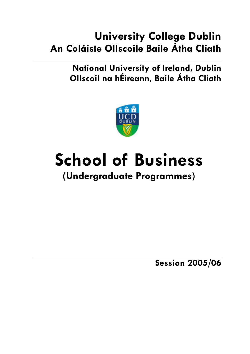## **University College Dublin An Coláiste Ollscoile Baile Átha Cliath**

**National University of Ireland, Dublin Ollscoil na hÉireann, Baile Átha Cliath** 



# **School of Business**

## **(Undergraduate Programmes)**

**Session 2005/06**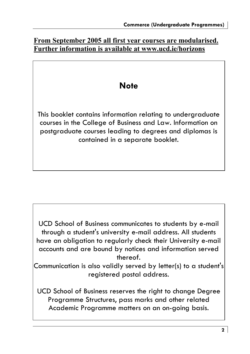### **From September 2005 all first year courses are modularised. Further information is available at www.ucd.ie/horizons**

## **Note**

This booklet contains information relating to undergraduate courses in the College of Business and Law. Information on postgraduate courses leading to degrees and diplomas is contained in a separate booklet.

UCD School of Business communicates to students by e-mail through a student's university e-mail address. All students have an obligation to regularly check their University e-mail accounts and are bound by notices and information served thereof.

Communication is also validly served by letter(s) to a student's registered postal address.

UCD School of Business reserves the right to change Degree Programme Structures, pass marks and other related Academic Programme matters on an on-going basis.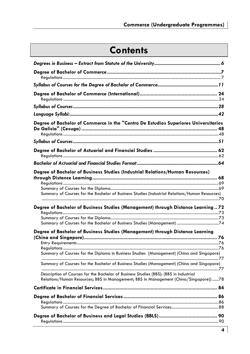## **Contents**

| Degree of Bachelor of Commerce in the "Centro De Estudios Superiores Universitarios                                                                                             |  |
|---------------------------------------------------------------------------------------------------------------------------------------------------------------------------------|--|
|                                                                                                                                                                                 |  |
|                                                                                                                                                                                 |  |
|                                                                                                                                                                                 |  |
|                                                                                                                                                                                 |  |
| Degree of Bachelor of Business Studies (Industrial Relations/Human Resources)<br>Summary of Courses for the Bachelor of Business Studies (Industrial Relations/Human Resources) |  |
| Degree of Bachelor of Business Studies (Management) through Distance Learning72                                                                                                 |  |
|                                                                                                                                                                                 |  |
| Degree of Bachelor of Business Studies (Management) through Distance Learning                                                                                                   |  |
|                                                                                                                                                                                 |  |
| Summary of Courses for the Diploma in Business Studies (Management) (China and Singapore)                                                                                       |  |
| Summary of Courses for the Bachelor of Business Studies (Management) (China and Singapore)                                                                                      |  |
| Description of Courses for the Bachelor of Business Studies (BBS): (BBS in Industrial<br>Relations/Human Resources; BBS in Management; BBS in Management (China/Singapore))78   |  |
|                                                                                                                                                                                 |  |
|                                                                                                                                                                                 |  |
|                                                                                                                                                                                 |  |
|                                                                                                                                                                                 |  |
|                                                                                                                                                                                 |  |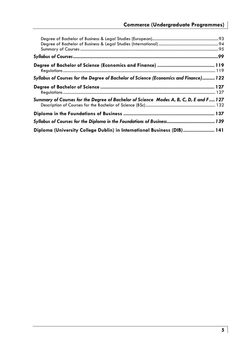| Syllabus of Courses for the Degree of Bachelor of Science (Economics and Finance) 122  |  |
|----------------------------------------------------------------------------------------|--|
|                                                                                        |  |
| Summary of Courses for the Degree of Bachelor of Science Modes A, B, C, D, E and F 127 |  |
|                                                                                        |  |
|                                                                                        |  |
| Diploma (University College Dublin) in International Business (DIB) 141                |  |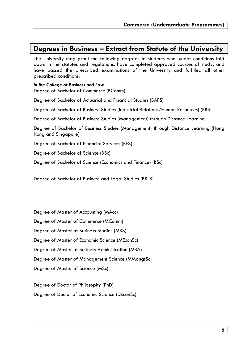### **Degrees in Business – Extract from Statute of the University**

The University may grant the following degrees to students who, under conditions laid down in the statutes and regulations, have completed approved courses of study, and have passed the prescribed examinations of the University and fulfilled all other prescribed conditions:

*In the College of Business and Law*  Degree of Bachelor of Commerce (BComm) Degree of Bachelor of Actuarial and Financial Studies (BAFS)

Degree of Bachelor of Business Studies (Industrial Relations/Human Resources) (BBS)

Degree of Bachelor of Business Studies (Management) through Distance Learning

Degree of Bachelor of Business Studies (Management) through Distance Learning (Hong Kong and Singapore)

Degree of Bachelor of Financial Services (BFS)

Degree of Bachelor of Science (BSc)

Degree of Bachelor of Science (Economics and Finance) (BSc)

Degree of Bachelor of Business and Legal Studies (BBLS)

Degree of Master of Accounting (MAcc)

Degree of Master of Commerce (MComm)

Degree of Master of Business Studies (MBS)

Degree of Master of Economic Science (MEconSc)

Degree of Master of Business Administration (MBA)

Degree of Master of Management Science (MMangtSc)

Degree of Master of Science (MSc)

Degree of Doctor of Philosophy (PhD)

Degree of Doctor of Economic Science (DEconSc)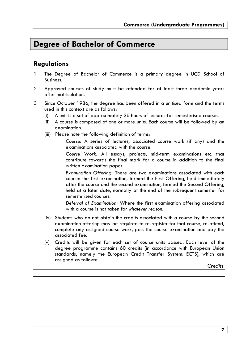## **Degree of Bachelor of Commerce**

### **Regulations**

- 1 The Degree of Bachelor of Commerce is a primary degree in UCD School of Business.
- 2 Approved courses of study must be attended for at least three academic years after matriculation.
- 3 Since October 1986, the degree has been offered in a unitised form and the terms used in this context are as follows:
	- (i) A unit is a set of approximately 36 hours of lectures for semesterised courses.
	- (ii) A course is composed of one or more units. Each course will be followed by an examination.
	- (iii) Please note the following definition of terms:

*Course:* A series of lectures, associated course work (if any) and the examinations associated with the course.

*Course Work:* All essays, projects, mid-term examinations etc. that contribute towards the final mark for a course in addition to the final written examination paper.

*Examination Offering:* There are two examinations associated with each course: the first examination, termed the First Offering, held immediately after the course and the second examination, termed the Second Offering, held at a later date, normally at the end of the subsequent semester for semesterised courses.

*Deferral of Examination:* Where the first examination offering associated with a course is not taken for *whatever reason*.

- (iv) Students who do not obtain the credits associated with a course by the second examination offering may be required to re-register for that course, re-attend, complete any assigned course work, pass the course examination and pay the associated fee.
- (v) Credits will be given for each set of course units passed. Each level of the degree programme contains 60 credits (in accordance with European Union standards, namely the European Credit Transfer System: ECTS), which are assigned as follows:

*Credits*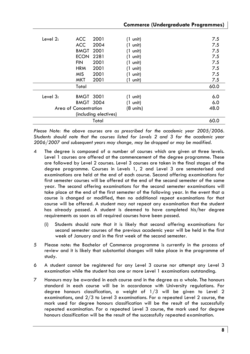|          |                       |                       | <b>Commerce (Undergraduate Programmes)</b> |      |
|----------|-----------------------|-----------------------|--------------------------------------------|------|
|          |                       |                       |                                            |      |
| Level 2: | <b>ACC</b>            | 2001                  | (1 unit)                                   | 7.5  |
|          | <b>ACC</b>            | 2004                  | (1 unit)                                   | 7.5  |
|          | BMGT                  | 2001                  | (1 unit)                                   | 7.5  |
|          | <b>ECON</b>           | 2281                  | (1 unit)                                   | 7.5  |
|          | <b>FIN</b>            | 2001                  | (1 unit)                                   | 7.5  |
|          | <b>HRM</b>            | 2001                  | (1 unit)                                   | 7.5  |
|          | <b>MIS</b>            | 2001                  | (1 unit)                                   | 7.5  |
|          | MKT                   | 2001                  | (1 unit)                                   | 7.5  |
|          | Total                 |                       |                                            | 60.0 |
| Level 3: | <b>BMGT 3001</b>      |                       | (1 unit)                                   | 6.0  |
|          | <b>BMGT 3004</b>      |                       | (1 unit)                                   | 6.0  |
|          | Area of Concentration |                       | (8 units)                                  | 48.0 |
|          |                       | (including electives) |                                            |      |
|          |                       | Total                 |                                            | 60.0 |

*Please Note: the above courses are as prescribed for the academic year 2005/2006. Students should note that the courses listed for Levels 2 and 3 for the academic year 2006/2007 and subsequent years may change, may be dropped or may be modified.* 

- 4 The degree is composed of a number of courses which are given at three levels. Level 1 courses are offered at the commencement of the degree programme. These are followed by Level 2 courses. Level 3 courses are taken in the final stages of the degree programme. Courses in Levels 1, 2 and Level 3 are semesterised and examinations are held at the end of each course. Second offering examinations for first semester courses will be offered at the end of the second semester of the same year. The second offering examinations for the second semester examinations will take place at the end of the first semester of the following year. In the event that a course is changed or modified, then no additional repeat examinations for that course will be offered. A student may not repeat any examination that the student has already passed. A student is deemed to have completed his/her degree requirements as soon as all required courses have been passed.
	- (i) Students should note that it is likely that second offering examinations for second semester courses of the previous academic year will be held in the first week of January and in the first week of the second semester.
- 5 Please note: the Bachelor of Commerce programme is currently in the process of review and it is likely that substantial changes will take place in the programme of study.
- 6 A student cannot be registered for any Level 3 course nor attempt any Level 3 examination while the student has one or more Level 1 examinations outstanding.
- 7 Honours may be awarded in each course and in the degree as a whole. The honours standard in each course will be in accordance with University regulations. For degree honours classification, a weight of 1/3 will be given to Level 2 examinations, and 2/3 to Level 3 examinations. For a repeated Level 2 course, the mark used for degree honours classification will be the result of the successfully repeated examination. For a repeated Level 3 course, the mark used for degree honours classification will be the result of the successfully repeated examination.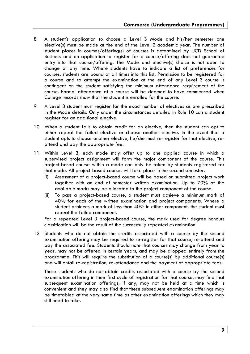- 8 A student's application to choose a Level 3 Mode and his/her semester one elective(s) must be made at the end of the Level 2 academic year. The number of student places in courses/offering(s) of courses is determined by UCD School of Business and an application to register for a course/offering does not guarantee entry into that course/offering. The Mode and elective(s) choice is not open to change at any time. Where students have to indicate a list of preferences for courses, students are bound at all times into this list. Permission to be registered for a course and to attempt the examination at the end of any Level 3 course is contingent on the student satisfying the minimum attendance requirement of the course. Formal attendance at a course will be deemed to have commenced when College records show that the student is enrolled for the course.
- 9 A Level 3 student must register for the exact number of electives as are prescribed in the Mode details. Only under the circumstances detailed in Rule 10 can a student register for an additional elective.
- 10 When a student fails to obtain credit for an elective, then the student can opt to either repeat the failed elective or choose another elective. In the event that a student opts to choose another elective, he/she must re-register for that elective, reattend and pay the appropriate fee.
- 11 Within Level 3, each mode may offer up to one applied course in which a supervised project assignment will form the major component of the course. This project-based course within a mode can only be taken by students registered for that mode. All project-based courses will take place in the second semester.
	- (i) Assessment of a project-based course will be based on submitted project work together with an end of semester written examination. Up to 70% of the available marks may be allocated to the project component of the course.
	- (ii) To pass a project-based course, a student must achieve a minimum mark of 40% for each of the written examination and project components. Where a student achieves a mark of less than 40% in either component, the student must repeat the failed component.

For a repeated Level 3 project-based course, the mark used for degree honours classification will be the result of the successfully repeated examination.

12 Students who do not obtain the credits associated with a course by the second examination offering may be required to re-register for that course, re-attend and pay the associated fee. Students should note that courses may change from year to year, may not be offered in certain years, and may be dropped entirely from the programme. This will require the substitution of a course(s) by additional course(s) and will entail re-registration, re-attendance and the payment of appropriate fees.

Those students who do not obtain credits associated with a course by the second examination offering in their first cycle of registration for that course, may find that subsequent examination offerings, if any, may not be held at a time which is convenient and they may also find that these subsequent examination offerings may be timetabled at the very same time as other examination offerings which they may still need to take.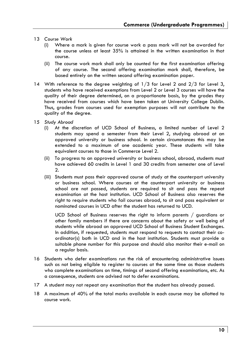- 13 *Course Work*
	- (i) Where a mark is given for course work a pass mark will not be awarded for the course unless at least 35% is attained in the written examination in that course.
	- (ii) The course work mark shall only be counted for the first examination offering of any course. The second offering examination mark shall, therefore, be based entirely on the written second offering examination paper.
- 14 With reference to the degree weighting of 1/3 for Level 2 and 2/3 for Level 3, students who have received exemptions from Level 2 or Level 3 courses will have the quality of their degree determined, on a proportionate basis, by the grades they have received from courses which have been taken at University College Dublin. Thus, grades from courses used for exemption purposes will not contribute to the quality of the degree.
- 15 *Study Abroad*
	- (i) At the discretion of UCD School of Business, a limited number of Level 2 students may spend a semester from their Level 2, studying abroad at an approved university or business school. In certain circumstances this may be extended to a maximum of one academic year. These students will take equivalent courses to those in Commerce Level 2.
	- (ii) To progress to an approved university or business school, abroad, students must have achieved 60 credits in Level 1 and 30 credits from semester one of Level 2.
	- (iii) Students must pass their approved course of study at the counterpart university or business school. Where courses at the counterpart university or business school are not passed, students are required to sit and pass the repeat examination at the host institution. UCD School of Business also reserves the right to require students who fail courses abroad, to sit and pass equivalent or nominated courses in UCD after the student has returned to UCD.

UCD School of Business reserves the right to inform parents / guardians or other family members if there are concerns about the safety or well being of students while abroad on approved UCD School of Business Student Exchanges. In addition, if requested, students must respond to requests to contact their coordinator(s) both in UCD and in the host institution. Students must provide a suitable phone number for this purpose and should also monitor their e-mail on a regular basis.

- 16 Students who defer examinations run the risk of encountering administrative issues such as not being eligible to register to courses at the same time as those students who complete examinations on time, timings of second offering examinations, etc. As a consequence, students are advised not to defer examinations.
- 17 A student may not repeat any examination that the student has already passed.
- 18 A maximum of 40% of the total marks available in each course may be allotted to course work.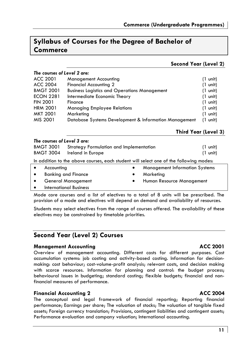## **Syllabus of Courses for the Degree of Bachelor of Commerce**

### **Second Year (Level 2)**

| The courses of Level 2 are:                           |                    |
|-------------------------------------------------------|--------------------|
| Management Accounting                                 | $(1 \text{ unit})$ |
| Financial Accounting 2                                | $(1 \text{ unit})$ |
| <b>Business Logistics and Operations Management</b>   | $(1 \text{ unit})$ |
| Intermediate Economic Theory                          | $(1 \text{ unit})$ |
| Finance                                               | $(1 \text{ unit})$ |
| <b>Managing Employee Relations</b>                    | $(1 \text{ unit})$ |
| Marketing                                             | $(1 \text{ unit})$ |
| Database Systems Development & Information Management | $(1 \text{ unit})$ |
|                                                       |                    |

**Third Year (Level 3)** 

| The courses of Level 3 are:                                                            |                            |                                         |                                       |           |                    |
|----------------------------------------------------------------------------------------|----------------------------|-----------------------------------------|---------------------------------------|-----------|--------------------|
| <b>BMGT 3001</b>                                                                       |                            | Strategy Formulation and Implementation |                                       |           | (1 unit)           |
| <b>BMGT 3004</b><br>Ireland in Europe                                                  |                            |                                         |                                       |           | $(1 \text{ unit})$ |
| In addition to the above courses, each student will select one of the following modes: |                            |                                         |                                       |           |                    |
| Accounting                                                                             |                            | $\bullet$                               | <b>Management Information Systems</b> |           |                    |
|                                                                                        | <b>Banking and Finance</b> |                                         | ٠                                     | Marketing |                    |
| <b>General Management</b>                                                              |                            | $\bullet$                               | Human Resource Management             |           |                    |
|                                                                                        |                            | <b>International Business</b>           |                                       |           |                    |

Mode core courses and a list of electives to a total of 8 units will be prescribed. The provision of a mode and electives will depend on demand and availability of resources.

Students may select electives from the range of courses offered. The availability of these electives may be constrained by timetable priorities.

### **Second Year (Level 2) Courses**

### **Management Accounting Community Community ACC 2001**

Overview of management accounting. Different costs for different purposes. Cost accumulation systems: job costing and activity-based costing. Information for decisionmaking: cost behaviour; cost-volume-profit analysis; relevant costs, and decision making with scarce resources. Information for planning and control: the budget process; behavioural issues in budgeting; standard costing; flexible budgets; financial and nonfinancial measures of performance.

### **Financial Accounting 2 ACC 2004**

The conceptual and legal framework of financial reporting; Reporting financial performance; Earnings per share; The valuation of stocks; The valuation of tangible fixed assets; Foreign currency translation; Provisions, contingent liabilities and contingent assets; Performance evaluation and company valuation; International accounting.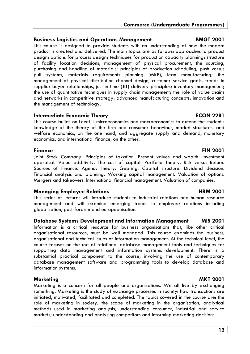### **Business Logistics and Operations Management BMGT 2001**

This course is designed to provide students with an understanding of how the modern product is created and delivered. The main topics are as follows: approaches to product design; options for process design; techniques for production capacity planning; structure of facility location decisions; management of physical procurement, the sourcing, purchasing and handling of materials; principles of production scheduling, push versus pull systems, materials requirements planning (MRP), lean manufacturing; the management of physical distribution channel design, customer service goals, trends in supplier-buyer relationships, just-in-time (JIT) delivery principles; inventory management; the use of quantitative techniques in supply chain management; the role of value chains and networks in competitive strategy; advanced manufacturing concepts; innovation and the management of technology.

### **Intermediate Economic Theory ECON 2281**

This course builds on Level 1 microeconomics and macroeconomics to extend the student's knowledge of the theory of the firm and consumer behaviour, market structures, and welfare economics, on the one hand, and aggregate supply and demand, monetary economics, and international finance, on the other.

**Finance FIN 2001** Joint Stock Company. Principles of taxation. Present values and wealth. Investment appraisal. Value additivity. The cost of capital. Portfolio Theory. Risk versus Return. Sources of Finance. Agency theory. Gearing. Capital structure. Dividend decision. Financial analysis and planning. Working capital management. Valuation of options. Mergers and takeovers. International financial management. Valuation of companies.

### **Managing Employee Relations and American Construction Construction Construction Construction Construction Construction Construction Construction Construction Construction Construction Construction Construction Constructio**

This series of lectures will introduce students to industrial relations and human resource management and will examine emerging trends in employee relations including globalisation, post-fordism and europeanisation.

### **Database Systems Development and Information Management MIS 2001**

Information is a critical resource for business organisations that, like other critical organisational resources, must be well managed. This course examines the business, organisational and technical issues of information management. At the technical level, the course focuses on the use of relational database management tools and techniques for supporting data management and information systems development. There is a substantial practical component to the course, involving the use of contemporary database management software and programming tools to develop database and information systems.

### Marketing **MALLACE IN THE SERVICE OF A SERVICE 2001**

Marketing is a concern for all people and organisations. We all live by exchanging something. Marketing is the study of exchange processes in society: how transactions are initiated, motivated, facilitated and completed. The topics covered in the course are: the role of marketing in society; the scope of marketing in the organisation; analytical methods used in marketing analysis; understanding consumer, industrial and service markets; understanding and analysing competitors and informing marketing decisions.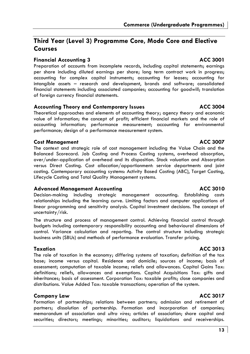### **Third Year (Level 3) Programme Core, Mode Core and Elective Courses**

### **Financial Accounting 3** ACC 3001

Preparation of accounts from incomplete records, including capital statements; earnings per share including diluted earnings per share; long term contract work in progress; accounting for complex capital instruments; accounting for leases; accounting for intangible assets – research and development, brands and software; consolidated financial statements including associated companies; accounting for goodwill; translation of foreign currency financial statements.

#### Accounting Theory and Contemporary Issues **ACC 3004**

Theoretical approaches and elements of accounting theory; agency theory and economic value of information; the concept of profit; efficient financial markets and the role of accounting information; performance measurement; accounting for environmental performance; design of a performance measurement system.

### **Cost Management ACC 3007**

The context and strategic role of cost management including the Value Chain and the Balanced Scorecard. Job Costing and Process Costing systems, overhead absorption, over/under-application of overhead and its disposition. Stock valuation and Absorption versus Direct Costing. Cost allocation/apportionment: service departments and joint costing. Contemporary accounting systems: Activity Based Costing (ABC), Target Costing, Lifecycle Costing and Total Quality Management systems.

### **Advanced Management Accounting ACC 3010**

Decision-making including strategic management accounting. Establishing costs relationships including the learning curve. Limiting factors and computer applications of linear programming and sensitivity analysis. Capital investment decisions. The concept of uncertainty/risk.

The structure and process of management control. Achieving financial control through budgets including contemporary responsibility accounting and behavioural dimensions of control. Variance calculation and reporting. The control structure including strategic business units (SBUs) and methods of performance evaluation. Transfer pricing.

The role of taxation in the economy; differing systems of taxation; definition of the tax base; income versus capital. Residence and domicile; sources of income; basis of assessment; computation of taxable income; reliefs and allowances. Capital Gains Tax: definitions; reliefs, allowances and exemptions. Capital Acquisitions Tax: gifts and inheritances; basis of assessment. Corporation Tax: taxable profits; close companies and distributions. Value Added Tax: taxable transactions; operation of the system.

### **Company Law ACC 3017**

Formation of partnerships; relations between partners; admission and retirement of partners; dissolution of partnership. Formation and incorporation of companies; memorandum of association and *ultra vires*; articles of association; share capital and securities; directors; meetings; minorities; auditors; liquidations and receiverships.

### **Taxation ACC 3013**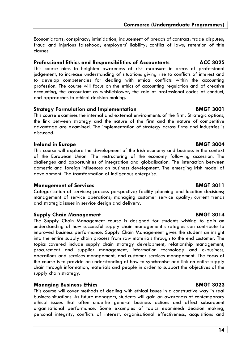**Commerce (Undergraduate Programmes)** 

Economic torts; conspiracy; intimidation; inducement of breach of contract; trade disputes; fraud and injurious falsehood; employers' liability; conflict of laws; retention of title clauses.

#### **Professional Ethics and Responsibilities of Accountants ACC 3025**

This course aims to heighten awareness of risk exposure in areas of professional judgement, to increase understanding of situations giving rise to conflicts of interest and to develop competencies for dealing with ethical conflicts within the accounting profession. The course will focus on the ethics of accounting regulation and of creative accounting, the accountant as whistleblower, the role of professional codes of conduct, and approaches to ethical decision-making.

#### **Strategy Formulation and Implementation BMGT 3001**

This course examines the internal and external environments of the firm. Strategic options, the link between strategy and the nature of the firm and the nature of competitive advantage are examined. The implementation of strategy across firms and industries is discussed.

#### **Ireland in Europe BMGT 3004**

This course will explore the development of the Irish economy and business in the context of the European Union. The restructuring of the economy following accession. The challenges and opportunities of integration and globalisation. The interaction between domestic and foreign influences on business development. The emerging Irish model of development. The transformation of indigenous enterprise.

#### **Management of Services** BMGT 3011

Categorisation of services; process perspective; facility planning and location decisions; management of service operations; managing customer service quality; current trends and strategic issues in service design and delivery.

#### **Supply Chain Management Communist Communist Communist Communist Communist Communist Communist Communist Communist Communist Communist Communist Communist Communist Communist Communist Communist Communist Communist Communi**

The Supply Chain Management course is designed for students wishing to gain an understanding of how successful supply chain management strategies can contribute to improved business performance. Supply Chain Management gives the student an insight into the entire supply chain process from raw materials through to the end customer. The topics covered include supply chain strategy development, relationship management, procurement and supplier management, information technology and e-business, operations and services management, and customer services management. The focus of the course is to provide an understanding of how to synchronise and link an entire supply chain through information, materials and people in order to support the objectives of the supply chain strategy.

### **Managing Business Ethics** BMGT 3023

This course will cover methods of dealing with ethical issues in a constructive way in real business situations. As future managers, students will gain an awareness of contemporary ethical issues that often underlie general business actions and affect subsequent organisational performance. Some examples of topics examined: decision making, personal integrity, conflicts of interest, organisational effectiveness, acquisitions and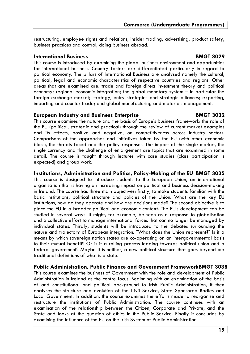restructuring, employee rights and relations, insider trading, advertising, product safety, business practices and control, doing business abroad.

#### **International Business BMGT 3029**

This course is introduced by examining the global business environment and opportunities for international business. Country factors are differentiated particularly in regard to political economy. The pillars of International Business are analysed namely the cultural, political, legal and economic characteristics of respective countries and regions. Other areas that are examined are: trade and foreign direct investment theory and political economy; regional economic integration; the global monetary system – in particular the foreign exchange market; strategy, entry strategies and strategic alliances; exporting, importing and counter trade; and global manufacturing and materials management.

#### **European Industry and Business Enterprise BMGT 3032**

This course examines the nature and the basis of Europe's business framework: the role of the EU (political, strategic and practical) through the review of current market examples and its effects, positive and negative, on competitiveness across industry sectors. Comparisons of the approaches and initiatives taken by the EU (with other economic blocs), the threats faced and the policy responses. The impact of the single market, the single currency and the challenge of enlargement are topics that are examined in some detail. The course is taught through lectures with case studies (class participation is expected) and group work.

#### **Institutions, Administration and Politics, Policy-Making of the EU BMGT 3035**

This course is designed to introduce students to the European Union, an international organisation that is having an increasing impact on political and business decision-making in Ireland. The course has three main objectives: firstly, to make students familiar with the basic institutions, political structure and policies of the Union. What are the key EU institutions, how do they operate and how are decisions made? The second objective is to place the EU in a broader political and economic context. The EU's development can be studied in several ways. It might, for example, be seen as a response to globalisation and a collective effort to manage international forces that can no longer be managed by individual states. Thirdly, students will be introduced to the debates surrounding the nature and trajectory of European integration. "What does the Union represent?" Is it a means by which sovereign nation states are co-operating on an intergovernmental basis to their mutual benefit? Or is it a rolling process leading towards political union and a federal government? Maybe it is neither, a new political structure that goes beyond our traditional definitions of what is a state.

#### **Public Administration, Public Finance and Government FrameworkBMGT 3038**

This course examines the business of Government with the role and development of Public Administration in Ireland as the centre focus. Beginning with an examination of the basis of and constitutional and political background to Irish Public Administration, it then analyses the structure and evolution of the Civil Service, State Sponsored Bodies and Local Government. In addition, the course examines the efforts made to reorganise and restructure the institutions of Public Administration. The course continues with an examination of the relationship between the Citizen, Corporate and Private, and the State and looks at the question of ethics in the Public Service. Finally it concludes by examining the influence of the EU on the Irish System of Public Administration.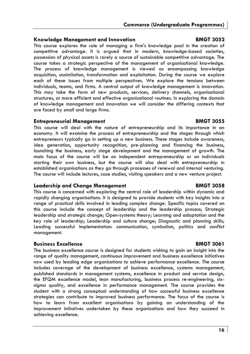### **Knowledge Management and Innovation BMGT 3052**

This course explores the role of managing a firm's knowledge pool in the creation of competitive advantage. It is argued that in modern, knowledge-based societies, possession of physical assets is rarely a source of sustainable competitive advantage. The course takes a strategic perspective of the management of organisational knowledge. The process of knowledge management is viewed as encompassing knowledge acquisition, assimilation, transformation and exploitation. During the course we explore each of these issues from multiple perspectives. We explore the tensions between individuals, teams, and firms. A central output of knowledge management is innovation. This may take the form of new products, services, delivery channels, organisational structures, or more efficient and effective organisational routines. In exploring the domain of knowledge management and innovation we will consider the differing contexts that are faced by small and large firms.

### **Entrepreneurial Management BMGT 3055**

This course will deal with the nature of entrepreneurship and its importance in an economy. It will examine the process of entrepreneurship and the stages through which entrepreneurs typically go in setting up a new business. These stages include awareness, idea generation, opportunity recognition, pre-planning and financing the business, launching the business, early stage development and the management of growth. The main focus of the course will be on independent entrepreneurship or on individuals starting their own business, but the course will also deal with entrepreneurship in established organisations as they go through processes of renewal and internal venturing. The course will include lectures, case studies, visiting speakers and a new venture project.

### **Leadership and Change Management BMGT 3058**

This course is concerned with exploring the central role of leadership within dynamic and rapidly changing organisations. It is designed to provide students with key insights into a range of practical skills involved in leading complex change. Specific topics covered on this course include the concept of leadership and the leadership process; Strategic leadership and strategic change; Open-systems theory; Learning and adaptation and the key role of leadership; Leadership and culture change; Diagnostic and planning skills; Leading successful implementation: communication, symbolism, politics and conflict management.

### **Business Excellence BMGT 3061**

The business excellence course is designed for students wishing to gain an insight into the range of quality management, continuous improvement and business excellence initiatives now used by leading edge organisations to achieve performance excellence. The course includes coverage of the development of business excellence, systems management, published standards in management systems, excellence in product and service design, the EFQM excellence model, lean manufacturing, business process re-engineering, sixsigma quality, and excellence in performance management. The course provides the student with a strong conceptual understanding of how successful business excellence strategies can contribute to improved business performance. The focus of the course is how to learn from excellent organisations by gaining an understanding of the improvement initiatives undertaken by these organisations and how they succeed in achieving excellence.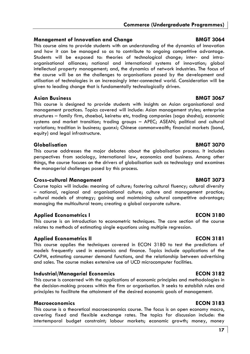### **Management of Innovation and Change Change BMGT 3064**

This course aims to provide students with an understanding of the dynamics of innovation and how it can be managed so as to contribute to ongoing competitive advantage. Students will be exposed to: theories of technological change; inter- and intraorganisational alliances; national and international systems of innovation; global intellectual property management; and, the dynamics of network industries. The focus of the course will be on the challenges to organisations posed by the development and utilisation of technologies in an increasingly inter-connected world. Consideration will be given to leading change that is fundamentally technologically driven.

### Asian Business **BMGT 3067**

This course is designed to provide students with insights on Asian organisational and management practices. Topics covered will include: Asian management styles; enterprise structures – family firm, chaebol, keiretsu etc, trading companies (soga shosha); economic systems and market transition; trading groups – APEC; ASEAN; political and cultural variations; tradition in business; guanxi; Chinese commonwealth; financial markets (bond, equity) and legal infrastructure.

### **Globalisation BMGT 3070**

This course addresses the major debates about the globalisation process. It includes perspectives from sociology, international law, economics and business. Among other things, the course focuses on the drivers of globalisation such as technology and examines the managerial challenges posed by this process.

### **Cross-cultural Management BMGT 3073**

Course topics will include: meaning of culture; fostering cultural fluency; cultural diversity – national, regional and organisational culture; culture and management practice; cultural models of strategy; gaining and maintaining cultural competitive advantage; managing the multicultural team; creating a global corporate culture.

### **Applied Econometrics I and ECON 3180**

This course is an introduction to econometric techniques. The core section of the course relates to methods of estimating single equations using multiple regression.

### **Applied Econometrics II ECON 3181**

This course applies the techniques covered in ECON 3180 to test the predictions of models frequently used in economics and finance. Topics include applications of the CAPM, estimating consumer demand functions, and the relationship between advertising and sales. The course makes extensive use of UCD microcomputer facilities.

### **Industrial/Managerial Economics ECON 3182**

This course is concerned with the applications of economic principles and methodologies in the decision-making process within the firm or organisation. It seeks to establish rules and principles to facilitate the attainment of the desired economic goals of management.

### **Macroeconomics ECON 3183**

This course is a theoretical macroeconomics course. The focus is on open economy macro, covering fixed and flexible exchange rates. The topics for discussion include: the intertemporal budget constraint; labour markets; economic growth; money, money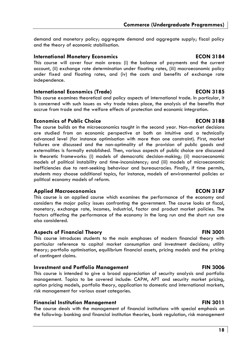demand and monetary policy; aggregate demand and aggregate supply; fiscal policy and the theory of economic stabilisation.

#### **International Monetary Economics ECON 3184**

This course will cover four main areas: (i) the balance of payments and the current account, (ii) exchange rate determination under floating rates, (iii) macroeconomic policy under fixed and floating rates, and (iv) the costs and benefits of exchange rate independence.

### **International Economics (Trade) ECON 3185**

This course examines theoretical and policy aspects of international trade. In particular, it is concerned with such issues as why trade takes place, the analysis of the benefits that accrue from trade and the welfare effects of protection and economic integration.

#### **Economics of Public Choice ECON 3188**

The course builds on the microeconomics taught in the second year. Non-market decisions are studied from an economic perspective at both an intuitive and a technically advanced level (for instance optimisation with more than one constraint). First, market failures are discussed and the non-optimality of the provision of public goods and externalities is formally established. Then, various aspects of public choice are discussed in theoretic frameworks: (i) models of democratic decision-making; (ii) macroeconomic models of political instability and time-inconsistency; and (iii) models of microeconomic inefficiencies due to rent-seeking behaviour and bureaucracies. Finally, if time permits, students may choose additional topics, for instance, models of environmental policies or political economy models of reform.

### **Applied Macroeconomics ECON 3187**

This course is an applied course which examines the performance of the economy and considers the major policy issues confronting the government. The course looks at fiscal, monetary, exchange rate, incomes, industrial, factor and product market policies. The factors affecting the performance of the economy in the long run and the short run are also considered.

### **Aspects of Financial Theory Community Community Community Community Community Community Community Community Community Community Community Community Community Community Community Community Community Community Community Com**

This course introduces students to the main emphases of modern financial theory with particular reference to capital market consumption and investment decisions; utility theory; portfolio optimisation, equilibrium financial assets, pricing models and the pricing of contingent claims.

#### **Investment and Portfolio Management The Contract Contract PIN 3006**

This course is intended to give a broad appreciation of security analysis and portfolio management. Topics to be covered include: CAPM, APT and security market pricing, option pricing models, portfolio theory, application to domestic and international markets, risk management for various asset categories.

#### **Financial Institution Management FIN 3011**

The course deals with the management of financial institutions with special emphasis on the following: banking and financial institution theories, bank regulation, risk management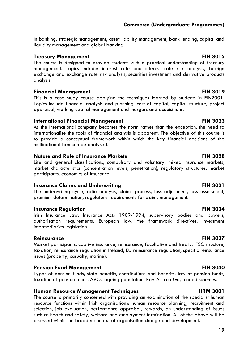in banking, strategic management, asset liability management, bank lending, capital and liquidity management and global banking.

#### **Treasury Management FIN 3015**

The course is designed to provide students with a practical understanding of treasury management. Topics include: interest rate and interest rate risk analysis, foreign exchange and exchange rate risk analysis, securities investment and derivative products analysis.

### **Financial Management FIN 3019**

This is a case study course applying the techniques learned by students in FIN2001. Topics include financial analysis and planning, cost of capital, capital structure, project appraisal, working capital management and mergers and acquisitions.

#### **International Financial Management FIN 3023**

As the international company becomes the norm rather than the exception, the need to internationalise the tools of financial analysis is apparent. The objective of this course is to provide a conceptual framework within which the key financial decisions of the multinational firm can be analysed.

### **Nature and Role of Insurance Markets FIN 3028**

Life and general classifications, compulsory and voluntary, mixed insurance markets, market characteristics (concentration levels, penetration), regulatory structures, market participants, economics of insurance.

### **Insurance Claims and Underwriting Travelly and Travelly 1986**

The underwriting cycle, ratio analysis, claims process, loss adjustment, loss assessment, premium determination, regulatory requirements for claims management.

### **Insurance Regulation FIN 3034**

Irish Insurance Law, Insurance Acts 1909-1994, supervisory bodies and powers, authorisation requirements, European law, the framework directives, investment intermediaries legislation.

### **Reinsurance FIN 3037**

Market participants, captive insurance, reinsurance, facultative and treaty. IFSC structure, taxation, reinsurance regulation in Ireland, EU reinsurance regulation, specific reinsurance issues (property, casualty, marine).

### **Pension Fund Management Communication FIN 3040**

Types of pension funds, state benefits, contributions and benefits, law of pension funds, taxation of pension funds, AVCs, ageing population, Pay-As-You-Go, funded schemes.

### **Human Resource Management Techniques**  FRM 3001

The course is primarily concerned with providing an examination of the specialist human resource functions within Irish organisations: human resource planning, recruitment and selection, job evaluation, performance appraisal, rewards, an understanding of issues such as health and safety, welfare and employment termination. All of the above will be assessed within the broader context of organisation change and development.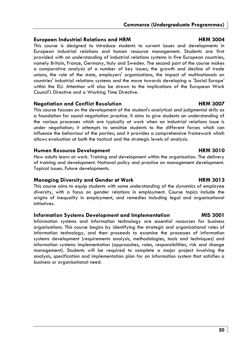### **European Industrial Relations and HRM HRM 3004**

This course is designed to introduce students to current issues and developments in European industrial relations and human resource management. Students are first provided with an understanding of industrial relations systems in five European countries, namely Britain, France, Germany, Italy and Sweden. The second part of the course makes a comparative analysis of a number of key issues; the growth and decline of trade unions, the role of the state, employers' organisations, the impact of multinationals on countries' industrial relations systems and the move towards developing a 'Social Europe' within the EU. Attention will also be drawn to the implications of the European Work Council's Directive and a Working Time Directive.

### **Negotiation and Conflict Resolution The Conflict Resolution HRM 3007**

This course focuses on the development of the student's analytical and judgmental skills as a foundation for sound negotiation practice. It aims to give students an understanding of the various processes which are typically at work when an industrial relations issue is under negotiation; it attempts to sensitise students to the different forces which can influence the behaviour of the parties; and it provides a comprehensive framework which allows evaluation at both the tactical and the strategic levels of analysis.

### **Human Resource Development Communist Communist Communist Communist Communist Communist Communist Communist Communist Communist Communist Communist Communist Communist Communist Communist Communist Communist Communist Comm**

How adults learn at work. Training and development within the organisation. The delivery of training and development. National policy and practice on management development. Topical issues. Future developments.

### **Managing Diversity and Gender at Work Communist Communist Communist Communist Communist Communist Communist Communist Communist Communist Communist Communist Communist Communist Communist Communist Communist Communist Com**

This course aims to equip students with some understanding of the dynamics of employee diversity, with a focus on gender relations in employment. Course topics include the origins of inequality in employment, and remedies including legal and organisational initiatives.

### **Information Systems Development and Implementation MIS 3001**

Information systems and information technology are essential resources for business organisations. This course begins by identifying the strategic and organisational roles of information technology, and then proceeds to examine the processes of information systems development (requirements analysis, methodologies, tools and techniques) and information systems implementation (approaches, roles, responsibilities, risk and change management). Students will be required to complete a major project involving the analysis, specification and implementation plan for an information system that satisfies a business or organisational need.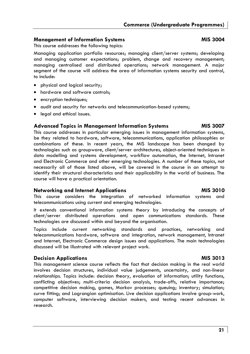### **Management of Information Systems MIS 3004 MIS 3004**

This course addresses the following topics:

Managing application portfolio resources; managing client/server systems; developing and managing customer expectations; problem, change and recovery management; managing centralised and distributed operations; network management. A major segment of the course will address the area of information systems security and control, to include:

- physical and logical security;
- hardware and software controls;
- encryption techniques;
- audit and security for networks and telecommunication-based systems;
- legal and ethical issues.

### **Advanced Topics in Management Information Systems MIS 3007**

This course addresses in particular emerging issues in management information systems, be they related to hardware, software, telecommunications, application philosophies or combinations of these. In recent years, the MIS landscape has been changed by technologies such as groupware, client/server architectures, object-oriented techniques in data modelling and systems development, workflow automation, the Internet, Intranet and Electronic Commerce and other emerging technologies. A number of these topics, not necessarily all of those listed above, will be covered in the course in an attempt to identify their structural characteristics and their applicability in the world of business. The course will have a practical orientation.

### **Networking and Internet Applications MIS 3010**

This course considers the integration of networked information systems and telecommunications using current and emerging technologies.

It extends conventional information systems theory by introducing the concepts of client/server distributed operations and open communications standards. These technologies are discussed within and beyond the organisation.

Topics include current networking standards and practices, networking and telecommunications hardware, software and integration, network management, Intranet and Internet, Electronic Commerce design issues and applications. The main technologies discussed will be illustrated with relevant project work.

### **Decision Applications and Algorithm Contract Applications Applications Applications Applications Applications**

This management science course reflects the fact that decision making in the real world involves decision structures, individual value judgements, uncertainty, and non-linear relationships. Topics include: decision theory, evaluation of information; utility functions, conflicting objectives; multi-criteria decision analysis, trade-offs, relative importance; competitive decision making, games, Markov processes; queuing; inventory; simulation; curve fitting; and Lagrangian optimisation. Live decision applications involve group-work, computer software, interviewing decision makers, and testing recent advances in research.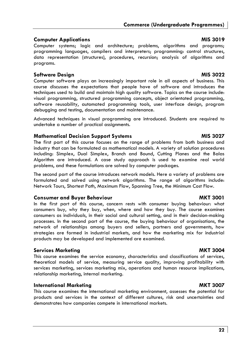### **Computer Applications and Computer Applications and Computer Applications and Computer Applications and Applications Applications and Applications Applications Applications and Applications and Applications and Applicatio**

Computer systems; logic and architecture; problems, algorithms and programs; programming languages, compilers and interpreters; programming: control structures, data representation (structures), procedures, recursion; analysis of algorithms and programs*.*

### **Software Design MIS 3022**

Computer software plays an increasingly important role in all aspects of business. This course discusses the expectations that people have of software and introduces the techniques used to build and maintain high quality software. Topics on the course include: visual programming, structured programming concepts, object orientated programming, software reusability, automated programming tools, user interface design, program debugging and testing, documentation and maintenance.

Advanced techniques in visual programming are introduced. Students are required to undertake a number of practical assignments.

### **Mathematical Decision Support Systems MIS 3027 MIS 3027**

The first part of this course focuses on the range of problems from both business and industry that can be formulated as mathematical models. A variety of solution procedures including: Simplex, Dual Simplex, Branch and Bound, Cutting Planes and the Balas Algorithm are introduced. A case study approach is used to examine real world problems, and these formulations are solved by computer packages.

The second part of the course introduces network models. Here a variety of problems are formulated and solved using network algorithms. The range of algorithms include: Network Tours, Shortest Path, Maximum Flow, Spanning Tree, the Minimum Cost Flow.

### **Consumer and Buyer Behaviour and and Southern American AMKT 3001**

In the first part of this course, concern rests with consumer buying behaviour: what consumers buy, why they buy, when, where and how they buy. The course examines consumers as individuals, in their social and cultural setting, and in their decision-making processes. In the second part of the course, the buying behaviour of organisations, the network of relationships among buyers and sellers, partners and governments, how strategies are formed in industrial markets, and how the marketing mix for industrial products may be developed and implemented are examined.

### **Services Marketing MKT 3004 and Services Marketing MKT 3004**

This course examines the service economy, characteristics and classifications of services, theoretical models of service, measuring service quality, improving profitability with services marketing, services marketing mix, operations and human resource implications, relationship marketing, internal marketing.

### **International Marketing MKT 3007**

This course examines the international marketing environment, assesses the potential for products and services in the context of different cultures, risk and uncertainties and demonstrates how companies compete in international markets.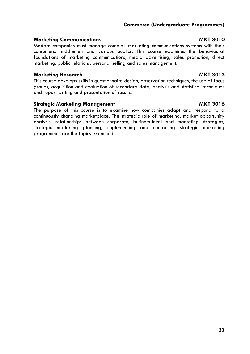### **Marketing Communications MKT 3010**

Modern companies must manage complex marketing communications systems with their consumers, middlemen and various publics. This course examines the behavioural foundations of marketing communications, media advertising, sales promotion, direct marketing, public relations, personal selling and sales management.

### **Marketing Research MKT 3013**

This course develops skills in questionnaire design, observation techniques, the use of focus groups, acquisition and evaluation of secondary data, analysis and statistical techniques and report writing and presentation of results.

### **Strategic Marketing Management Communist Communist Communist Communist Communist Communist Communist Communist Communist Communist Communist Communist Communist Communist Communist Communist Communist Communist Communist**

The purpose of this course is to examine how companies adapt and respond to a continuously changing marketplace. The strategic role of marketing, market opportunity analysis, relationships between corporate, business-level and marketing strategies, strategic marketing planning, implementing and controlling strategic marketing programmes are the topics examined.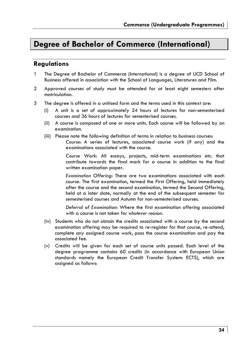## **Degree of Bachelor of Commerce (International)**

### **Regulations**

- 1 The Degree of Bachelor of Commerce (International) is a degree of UCD School of Business offered in association with the School of Languages, Literatures and Film.
- 2 Approved courses of study must be attended for at least eight semesters after matriculation.
- 3 The degree is offered in a unitised form and the terms used in this context are:
	- (i) A unit is a set of approximately 24 hours of lectures for non-semesterised courses and 36 hours of lectures for semesterised courses.
	- (ii) A course is composed of one or more units. Each course will be followed by an examination.
	- (iii) Please note the following definition of terms in relation to business courses: *Course*: A series of lectures, associated course work (if any) and the examinations associated with the course.

*Course Work*: All essays, projects, mid-term examinations etc. that contribute towards the final mark for a course in addition to the final written examination paper.

*Examination Offering*: There are two examinations associated with each course. The first examination, termed the First Offering, held immediately after the course and the second examination, termed the Second Offering, held at a later date, normally at the end of the subsequent semester for semesterised courses and Autumn for non-semesterised courses.

*Deferral of Examination*: Where the first examination offering associated with a course is not taken for *whatever reason*.

- (iv) Students who do not obtain the credits associated with a course by the second examination offering may be required to re-register for that course, re-attend, complete any assigned course work, pass the course examination and pay the associated fee.
- (v) Credits will be given for each set of course units passed. Each level of the degree programme contains 60 credits (in accordance with European Union standards namely the European Credit Transfer System: ECTS), which are assigned as follows: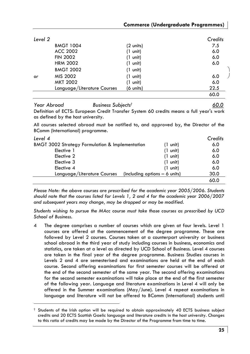| Level 2 |                             |                    | Credits |
|---------|-----------------------------|--------------------|---------|
|         | <b>BMGT 1004</b>            | (2 units)          | 7.5     |
|         | <b>ACC 2002</b>             | $(1 \text{ unit})$ | 6.0     |
|         | <b>FIN 2002</b>             | $(1 \text{ unit})$ | 6.0     |
|         | <b>HRM 2002</b>             | $(1 \text{ unit})$ | 6.0     |
|         | <b>BMGT 2002</b>            | $(1 \text{ unit})$ |         |
| or      | MIS 2002                    | $(1 \text{ unit})$ | 6.0     |
|         | <b>MKT 2002</b>             | $(1 \text{ unit})$ | 6.0     |
|         | Language/Literature Courses | (6 units)          | 22.5    |
|         |                             |                    | 60.0    |
|         |                             |                    |         |

*Year Abroad Business Subjects† 60.0* Definition of ECTS: European Credit Transfer System 60 credits means a full year's work as defined by the host university.

All courses selected abroad must be notified to, and approved by, the Director of the BComm (International) programme.

| Level 4                                                    |                                 | Credits |
|------------------------------------------------------------|---------------------------------|---------|
| <b>BMGT 3002 Strategy Formulation &amp; Implementation</b> | $(1 \text{ unit})$              | 6.0     |
| Elective 1                                                 | $(1 \text{ unit})$              | 6.0     |
| Elective 2                                                 | $(1 \text{ unit})$              | 6.0     |
| Elective 3                                                 | $(1 \text{ unit})$              | 6.0     |
| Elective 4                                                 | $(1 \text{ unit})$              | 6.0     |
| Language/Literature Courses                                | (including options $-$ 6 units) | 30.0    |
|                                                            |                                 | 60.0    |

*Please Note: the above courses are prescribed for the academic year 2005/2006. Students should note that the courses listed for Levels 1, 2 and 4 for the academic year 2006/2007 and subsequent years may change, may be dropped or may be modified.* 

*Students wishing to pursue the MAcc course must take those courses as prescribed by UCD School of Business.* 

4 The degree comprises a number of courses which are given at four levels. Level 1 courses are offered at the commencement of the degree programme. These are followed by Level 2 courses. Courses taken at a counterpart university or business school abroad in the third year of study including courses in business, economics and statistics, are taken at a level as directed by UCD School of Business. Level 4 courses are taken in the final year of the degree programme. Business Studies courses in Levels 2 and 4 are semesterised and examinations are held at the end of each course. Second offering examinations for first semester courses will be offered at the end of the second semester of the same year. The second offering examinations for the second semester examinations will take place at the end of the first semester of the following year. Language and literature examinations in Level 4 will only be offered in the Summer examinations (May/June). Level 4 repeat examinations in language and literature will not be offered to BComm (International) students until

<sup>†</sup> Students of the Irish option will be required to obtain approximately 40 ECTS business subject credits and 20 ECTS Scottish Gaelic language and literature credits in the host university. Changes to this ratio of credits may be made by the Director of the Programme from time to time.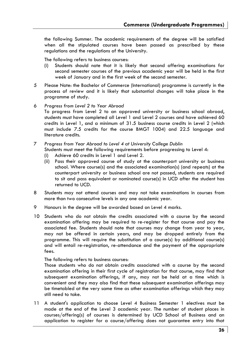the following Summer. The academic requirements of the degree will be satisfied when all the stipulated courses have been passed as prescribed by these regulations and the regulations of the University.

The following refers to business courses:

- (i) Students should note that it is likely that second offering examinations for second semester courses of the previous academic year will be held in the first week of January and in the first week of the second semester.
- *5* Please Note: the Bachelor of Commerce (International) programme is currently in the process of review and it is likely that substantial changes will take place in the programme of study.
- 6 *Progress from Level 2 to Year Abroad*
	- To progress from Level 2 to an approved university or business school abroad, students must have completed all Level 1 and Level 2 courses and have achieved 60 credits in Level 1, and a minimum of 31.5 business course credits in Level 2 (which must include 7.5 credits for the course BMGT 1004) and 22.5 language and literature credits.
- 7 *Progress from Year Abroad to Level 4 at University College Dublin*

Students must meet the following requirements before progressing to Level 4:

- (i) Achieve 60 credits in Level 1 and Level 2.
- (ii) Pass their approved course of study at the counterpart university or business school. Where course(s) and the associated examination(s) (and repeats) at the counterpart university or business school are not passed, students are required to sit and pass equivalent or nominated course(s) in UCD after the student has returned to UCD.
- 8 Students may not attend courses and may not take examinations in courses from more than two consecutive levels in any one academic year.
- 9 Honours in the degree will be awarded based on Level 4 marks.
- 10 Students who do not obtain the credits associated with a course by the second examination offering may be required to re-register for that course and pay the associated fee. Students should note that courses may change from year to year, may not be offered in certain years, and may be dropped entirely from the programme. This will require the substitution of a course(s) by additional course(s) and will entail re-registration, re-attendance and the payment of the appropriate fees.

The following refers to business courses:

Those students who do not obtain credits associated with a course by the second examination offering in their first cycle of registration for that course, may find that subsequent examination offerings, if any, may not be held at a time which is convenient and they may also find that these subsequent examination offerings may be timetabled at the very same time as other examination offerings which they may still need to take.

11 A student's application to choose Level 4 Business Semester 1 electives must be made at the end of the Level 3 academic year. The number of student places in courses/offering(s) of courses is determined by UCD School of Business and an application to register for a course/offering does not guarantee entry into that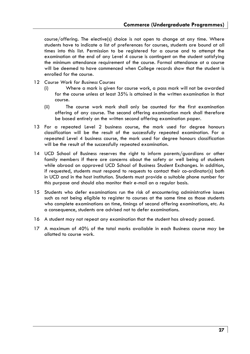course/offering. The elective(s) choice is not open to change at any time. Where students have to indicate a list of preferences for courses, students are bound at all times into this list. Permission to be registered for a course and to attempt the examination at the end of any Level 4 course is contingent on the student satisfying the minimum attendance requirement of the course. Formal attendance at a course will be deemed to have commenced when College records show that the student is enrolled for the course.

- 12 *Course Work for Business Courses*
	- (i) Where a mark is given for course work, a pass mark will not be awarded for the course unless at least 35% is attained in the written examination in that course.
	- (ii) The course work mark shall only be counted for the first examination offering of any course. The second offering examination mark shall therefore be based entirely on the written second offering examination paper.
- 13 For a repeated Level 2 business course, the mark used for degree honours classification will be the result of the successfully repeated examination. For a repeated Level 4 business course, the mark used for degree honours classification will be the result of the successfully repeated examination.
- 14 UCD School of Business reserves the right to inform parents/guardians or other family members if there are concerns about the safety or well being of students while abroad on approved UCD School of Business Student Exchanges. In addition, if requested, students must respond to requests to contact their co-ordinator(s) both in UCD and in the host institution. Students must provide a suitable phone number for this purpose and should also monitor their e-mail on a regular basis.
- 15 Students who defer examinations run the risk of encountering administrative issues such as not being eligible to register to courses at the same time as those students who complete examinations on time, timings of second offering examinations, etc. As a consequence, students are advised not to defer examinations.
- 16 A student may not repeat any examination that the student has already passed.
- 17 A maximum of 40% of the total marks available in each Business course may be allotted to course work.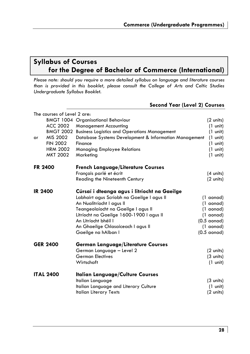### **Syllabus of Courses for the Degree of Bachelor of Commerce (International)**

*Please note: should you require a more detailed syllabus on language and literature courses than is provided in this booklet, please consult the College of Arts and Celtic Studies Undergraduate Syllabus Booklet.*

|                |                             | <b>Second Year (Level 2) Courses</b>                  |                      |
|----------------|-----------------------------|-------------------------------------------------------|----------------------|
|                | The courses of Level 2 are: |                                                       |                      |
|                |                             | <b>BMGT 1004 Organisational Behaviour</b>             | (2 units)            |
|                | ACC 2002                    | <b>Management Accounting</b>                          | $(1 \text{ unit})$   |
|                | <b>BMGT 2002</b>            | <b>Business Logistics and Operations Management</b>   | $(1 \text{ unit})$   |
| or             | MIS 2002                    | Database Systems Development & Information Management | $(1 \text{ unit})$   |
|                | <b>FIN 2002</b>             | Finance                                               | $(1 \text{ unit})$   |
|                | <b>HRM 2002</b>             | <b>Managing Employee Relations</b>                    | $(1 \text{ unit})$   |
|                | MKT 2002                    | Marketing                                             | $(1 \text{ unit})$   |
| <b>FR 2400</b> |                             | <b>French Language/Literature Courses</b>             |                      |
|                |                             | Français parlé et écrit                               | $(4 \text{ units})$  |
|                |                             | Reading the Nineteenth Century                        | $(2 \text{ units})$  |
| <b>IR 2400</b> |                             | Cúrsaí i dteanga agus i litríocht na Gaeilge          |                      |
|                |                             | Labhairt agus Scríobh na Gaeilge I agus II            | (1 aonad)            |
|                |                             | An Nualitríocht I agus II                             | (1 aonad)            |
|                |                             | Teangeolaíocht na Gaeilge I agus II                   | (1 aonad)            |
|                |                             | Litríocht na Gaeilge 1600-1900 I agus II              | (1 aonad)            |
|                |                             | An Litríocht bhéil l                                  | $(0.5 \text{ aond})$ |
|                |                             | An Ghaeilge Chlasaiceach I agus II                    | (1 aonad)            |
|                |                             | Gaeilge na hAlban I                                   | $(0.5 \text{ aond})$ |
|                | <b>GER 2400</b>             | German Language/Literature Courses                    |                      |
|                |                             | German Language - Level 2                             | $(2 \text{ units})$  |
|                |                             | <b>German Electives</b>                               | $(3 \text{ units})$  |
|                |                             | Wirtschaft                                            | $(1 \text{ unit})$   |
|                | <b>ITAL 2400</b>            | <b>Italian Language/Culture Courses</b>               |                      |
|                |                             | Italian Language                                      | $(3 \text{ units})$  |
|                |                             | Italian Language and Literary Culture                 | $(1 \text{ unit})$   |
|                |                             | <b>Italian Literary Texts</b>                         | $(2 \text{ units})$  |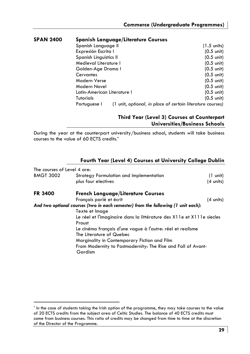| <b>SPAN 2400</b> |                             | <b>Spanish Language/Literature Courses</b>                 |                       |
|------------------|-----------------------------|------------------------------------------------------------|-----------------------|
|                  | Spanish Language II         |                                                            | $(1.5 \text{ units})$ |
|                  | Expresión Escrita I         |                                                            | $(0.5 \text{ unit})$  |
|                  | Spanish Linguistics II      |                                                            | $(0.5 \text{ unit})$  |
|                  | Medieval Literature I       |                                                            | $(0.5 \text{ unit})$  |
|                  | Golden-Age Drama I          |                                                            | $(0.5 \text{ unit})$  |
|                  | Cervantes                   |                                                            | $(0.5 \text{ unit})$  |
|                  | Modern Verse                |                                                            | $(0.5 \text{ unit})$  |
|                  | Modern Novel                |                                                            | $(0.5 \text{ unit})$  |
|                  | Latin-American Literature I |                                                            | $(0.5 \text{ unit})$  |
|                  | Tutorials                   |                                                            | $(0.5 \text{ unit})$  |
|                  | Portuguese I                | (1 unit, optional, in place of certain literature courses) |                       |

### **Third Year (Level 3) Courses at Counterpart Universities/Business Schools**

During the year at the counterpart university/business school, students will take business courses to the value of 60 ECTS credits.\*

### **Fourth Year (Level 4) Courses at University College Dublin**

| The courses of Level 4 are: |                                                                                   |                     |
|-----------------------------|-----------------------------------------------------------------------------------|---------------------|
| <b>BMGT 3002</b>            | Strategy Formulation and Implementation                                           | (1 unit)            |
|                             | plus four electives                                                               | $(4 \text{ units})$ |
| <b>FR 3400</b>              | <b>French Language/Literature Courses</b>                                         |                     |
|                             | Français parlé et écrit                                                           | $(4 \text{ units})$ |
|                             | And two optional courses (two in each semester) from the following (1 unit each): |                     |
|                             | Texte et Image                                                                    |                     |
|                             | Le réel et l'imaginaire dans la littérature des X11e et X111e siecles             |                     |
|                             | Proust                                                                            |                     |
|                             | Le cinéma français d'une vague à l'autre: réel et realisme                        |                     |
|                             | The Literature of Quebec                                                          |                     |
|                             | Marginality in Contemporary Fiction and Film                                      |                     |
|                             | From Modernity to Postmodernity: The Rise and Fall of Avant-                      |                     |
|                             | Gardism                                                                           |                     |
|                             |                                                                                   |                     |

<sup>\*</sup> In the case of students taking the Irish option of the programme, they may take courses to the value of 20 ECTS credits from the subject area of Celtic Studies. The balance of 40 ECTS credits must come from business courses. This ratio of credits may be changed from time to time at the discretion of the Director of the Programme.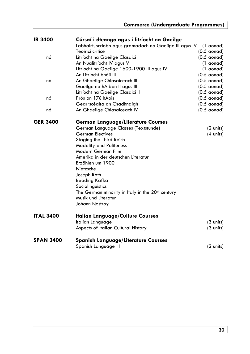| <b>IR 3400</b>   | Cúrsaí i dteanga agus i litríocht na Gaeilge                 |                      |
|------------------|--------------------------------------------------------------|----------------------|
|                  | Labhairt, scríobh agus gramadach na Gaeilge III agus IV      | (1 aonad)            |
|                  | Teoiricí critice                                             | $(0.5 \text{ aond})$ |
| nó               | Litríocht na Gaeilge Clasaicí I                              | $(0.5 \text{ aond})$ |
|                  | An Nualitríocht IV agus V                                    | (1 aonad)            |
|                  | Litríocht na Gaeilge 1600-1900 III agus IV                   | (1 aonad)            |
|                  | An Litríocht bhéil III                                       | $(0.5 \text{ aond})$ |
| nó               | An Ghaeilge Chlasaiceach III                                 | $(0.5 \text{ aond})$ |
|                  | Gaeilge na hAlban II agus III                                | $(0.5 \text{ aond})$ |
|                  | Litríocht na Gaeilge Clasaicí II                             | $(0.5 \text{ aond})$ |
| nó               | Prós an 17ú hAois                                            | $(0.5 \text{ aond})$ |
|                  | Gearrscéalta an Chadhnaigh                                   | $(0.5 \text{ aond})$ |
| nó               | An Ghaeilge Chlasaiceach IV                                  | $(0.5 \text{ aond})$ |
| <b>GER 3400</b>  | German Language/Literature Courses                           |                      |
|                  | German Language Classes (Textstunde)                         | (2 units)            |
|                  | <b>German Electives</b>                                      | $(4 \text{ units})$  |
|                  | Staging the Third Reich                                      |                      |
|                  | <b>Modality and Politeness</b>                               |                      |
|                  | Modern German Film                                           |                      |
|                  | Amerika in der deutschen Literatur                           |                      |
|                  | Erzählen um 1900                                             |                      |
|                  | Nietzsche                                                    |                      |
|                  | Joseph Roth                                                  |                      |
|                  | Reading Kafka                                                |                      |
|                  | Sociolinguistics                                             |                      |
|                  | The German minority in Italy in the 20 <sup>th</sup> century |                      |
|                  | Musik und Literatur                                          |                      |
|                  | Johann Nestroy                                               |                      |
| <b>ITAL 3400</b> | <b>Italian Language/Culture Courses</b>                      |                      |
|                  | Italian Language                                             | $(3 \text{ units})$  |
|                  | Aspects of Italian Cultural History                          | $(3 \text{ units})$  |
| <b>SPAN 3400</b> | <b>Spanish Language/Literature Courses</b>                   |                      |
|                  | Spanish Language III                                         | $(2 \text{ units})$  |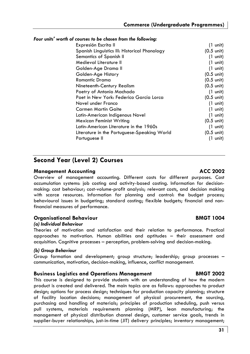#### *Four units' worth of courses to be chosen from the following:*

| Expresión Escrita II                          | $(1 \text{ unit})$   |
|-----------------------------------------------|----------------------|
| Spanish Linguistics III: Historical Phonology | $(0.5 \text{ unit})$ |
| Semantics of Spanish II                       | $(1 \text{ unit})$   |
| Medieval Literature II                        | $(1 \text{ unit})$   |
| Golden-Age Drama II                           | $(1 \text{ unit})$   |
| Golden-Age History                            | $(0.5 \text{ unit})$ |
| Romantic Drama                                | $(0.5 \text{ unit})$ |
| Nineteenth-Century Realism                    | $(0.5 \text{ unit})$ |
| Poetry of Antonio Machado                     | $(1 \text{ unit})$   |
| Poet in New York: Federico García Lorca       | $(0.5 \text{ unit})$ |
| Novel under Franco                            | $(1 \text{ unit})$   |
| Carmen Martín Gaite                           | $(1 \text{ unit})$   |
| Latin-American Indigenous Novel               | $(1 \text{ unit})$   |
| Mexican Feminist Writing                      | $(0.5 \text{ unit})$ |
| Latin-American Literature in the 1960s        | $(1 \text{ unit})$   |
| Literature in the Portuguese-Speaking World   | $(0.5 \text{ unit})$ |
| Portuguese II                                 | (1 unit)             |
|                                               |                      |

### **Second Year (Level 2) Courses**

#### **Management Accounting Community Community ACC 2002**

Overview of management accounting. Different costs for different purposes. Cost accumulation systems: job costing and activity-based costing. Information for decisionmaking: cost behaviour; cost-volume-profit analysis; relevant costs, and decision making with scarce resources. Information for planning and control: the budget process; behavioural issues in budgeting; standard costing; flexible budgets; financial and nonfinancial measures of performance.

### **Organisational Behaviour** BMGT 1004

#### *(a) Individual Behaviour*

Theories of motivation and satisfaction and their relation to performance. Practical approaches to motivation. Human abilities and aptitudes – their assessment and acquisition. Cognitive processes – perception, problem-solving and decision-making.

#### *(b) Group Behaviour*

Group formation and development; group structure; leadership; group processes – communication, motivation, decision-making, influence, conflict management.

#### **Business Logistics and Operations Management BMGT 2002**

This course is designed to provide students with an understanding of how the modern product is created and delivered. The main topics are as follows: approaches to product design; options for process design; techniques for production capacity planning; structure of facility location decisions; management of physical procurement, the sourcing, purchasing and handling of materials; principles of production scheduling, push versus pull systems, materials requirements planning (MRP), lean manufacturing; the management of physical distribution channel design, customer service goals, trends in supplier-buyer relationships, just-in-time (JIT) delivery principles; inventory management;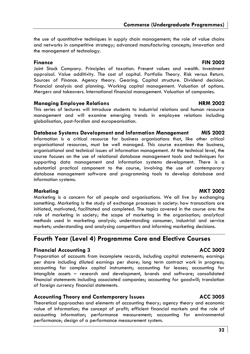the use of quantitative techniques in supply chain management; the role of value chains and networks in competitive strategy; advanced manufacturing concepts; innovation and the management of technology.

**Finance FIN 2002** Joint Stock Company. Principles of taxation. Present values and wealth. Investment appraisal. Value additivity. The cost of capital. Portfolio Theory. Risk versus Return. Sources of Finance. Agency theory. Gearing. Capital structure. Dividend decision. Financial analysis and planning. Working capital management. Valuation of options. Mergers and takeovers. International financial management. Valuation of companies.

#### **Managing Employee Relations Area and Area HRM 2002**

This series of lectures will introduce students to industrial relations and human resource management and will examine emerging trends in employee relations including globalisation, post-fordism and europeanisation.

#### **Database Systems Development and Information Management MIS 2002**

Information is a critical resource for business organisations that, like other critical organisational resources, must be well managed. This course examines the business, organisational and technical issues of information management. At the technical level, the course focuses on the use of relational database management tools and techniques for supporting data management and information systems development. There is a substantial practical component to the course, involving the use of contemporary database management software and programming tools to develop database and information systems.

#### Marketing MKT 2002

Marketing is a concern for all people and organisations. We all live by exchanging something. Marketing is the study of exchange processes in society: how transactions are initiated, motivated, facilitated and completed. The topics covered in the course are: the role of marketing in society; the scope of marketing in the organisation; analytical methods used in marketing analysis; understanding consumer, industrial and service markets; understanding and analysing competitors and informing marketing decisions.

### **Fourth Year (Level 4) Programme Core and Elective Courses**

### **Financial Accounting 3 ACC 3002**

Preparation of accounts from incomplete records, including capital statements; earnings per share including diluted earnings per share; long term contract work in progress; accounting for complex capital instruments; accounting for leases; accounting for intangible assets – research and development, brands and software; consolidated financial statements including associated companies; accounting for goodwill; translation of foreign currency financial statements.

### **Accounting Theory and Contemporary Issues ACC 3005**

Theoretical approaches and elements of accounting theory; agency theory and economic value of information; the concept of profit; efficient financial markets and the role of accounting information; performance measurement; accounting for environmental performance; design of a performance measurement system.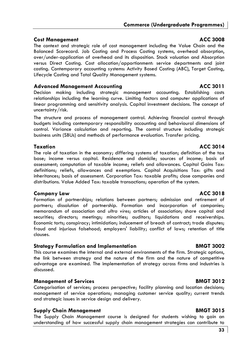### **Cost Management ACC 3008**

The context and strategic role of cost management including the Value Chain and the Balanced Scorecard. Job Costing and Process Costing systems, overhead absorption, over/under-application of overhead and its disposition. Stock valuation and Absorption versus Direct Costing. Cost allocation/apportionment: service departments and joint costing. Contemporary accounting systems: Activity Based Costing (ABC), Target Costing, Lifecycle Costing and Total Quality Management systems.

### **Advanced Management Accounting ACC 3011**

Decision making including strategic management accounting. Establishing costs relationships including the learning curve. Limiting factors and computer applications of linear programming and sensitivity analysis. Capital investment decisions. The concept of uncertainty/risk.

The structure and process of management control. Achieving financial control through budgets including contemporary responsibility accounting and behavioural dimensions of control. Variance calculation and reporting. The control structure including strategic business units (SBUs) and methods of performance evaluation. Transfer pricing.

**Taxation** ACC 3014 The role of taxation in the economy; differing systems of taxation; definition of the tax base; income versus capital. Residence and domicile; sources of income; basis of assessment; computation of taxable income; reliefs and allowances. Capital Gains Tax: definitions; reliefs, allowances and exemptions. Capital Acquisitions Tax: gifts and inheritances; basis of assessment. Corporation Tax: taxable profits; close companies and distributions. Value Added Tax: taxable transactions; operation of the system.

### **Company Law ACC 3018**

Formation of partnerships; relations between partners; admission and retirement of partners; dissolution of partnership. Formation and incorporation of companies; memorandum of association and *ultra vires*; articles of association; share capital and securities; directors; meetings; minorities; auditors; liquidations and receiverships. Economic torts; conspiracy; intimidation; inducement of breach of contract; trade disputes; fraud and injurious falsehood; employers' liability; conflict of laws; retention of title clauses.

### **Strategy Formulation and Implementation BMGT 3002**

This course examines the internal and external environments of the firm. Strategic options, the link between strategy and the nature of the firm and the nature of competitive advantage are examined. The implementation of strategy across firms and industries is discussed.

### **Management of Services** BMGT 3012

Categorisation of services; process perspective; facility planning and location decisions; management of service operations; managing customer service quality; current trends and strategic issues in service design and delivery.

### **Supply Chain Management BMGT 3015**

The Supply Chain Management course is designed for students wishing to gain an understanding of how successful supply chain management strategies can contribute to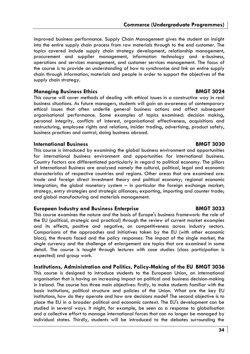improved business performance. Supply Chain Management gives the student an insight into the entire supply chain process from raw materials through to the end customer. The topics covered include supply chain strategy development, relationship management, procurement and supplier management, information technology and e-business, operations and services management, and customer services management. The focus of the course is to provide an understanding of how to synchronise and link an entire supply chain through information, materials and people in order to support the objectives of the supply chain strategy.

#### **Managing Business Ethics American Strutter BMGT 3024**

This course will cover methods of dealing with ethical issues in a constructive way in real business situations. As future managers, students will gain an awareness of contemporary ethical issues that often underlie general business actions and affect subsequent organisational performance. Some examples of topics examined: decision making, personal integrity, conflicts of interest, organisational effectiveness, acquisitions and restructuring, employee rights and relations, insider trading, advertising, product safety, business practices and control, doing business abroad.

#### **International Business BMGT 3030**

This course is introduced by examining the global business environment and opportunities for international business environment and opportunities for international business. Country factors are differentiated particularly in regard to political economy. The pillars of International Business are analysed namely the cultural, political, legal and economic characteristics of respective countries and regions. Other areas that are examined are: trade and foreign direct investment theory and political economy; regional economic integration; the global monetary system – in particular the foreign exchange market; strategy, entry strategies and strategic alliances; exporting, importing and counter trade; and global manufacturing and materials management.

#### **European Industry and Business Enterprise BMGT 3033**

This course examines the nature and the basis of Europe's business framework: the role of the EU (political, strategic and practical) through the review of current market examples and its effects, positive and negative, on competitiveness across industry sectors. Comparisons of the approaches and initiatives taken by the EU (with other economic blocs), the threats faced and the policy responses. The impact of the single market, the single currency and the challenge of enlargement are topics that are examined in some detail. The course is taught through lectures with case studies (class participation is expected) and group work.

#### **Institutions, Administration and Politics, Policy-Making of the EU BMGT 3036**

This course is designed to introduce students to the European Union, an international organisation that is having an increasing impact on political and business decision-making in Ireland. The course has three main objectives: firstly, to make students familiar with the basic institutions, political structure and policies of the Union. What are the key EU institutions, how do they operate and how are decisions made? The second objective is to place the EU in a broader political and economic context. The EU's development can be studied in several ways. It might, for example, be seen as a response to globalisation and a collective effort to manage international forces that can no longer be managed by individual states. Thirdly, students will be introduced to the debates surrounding the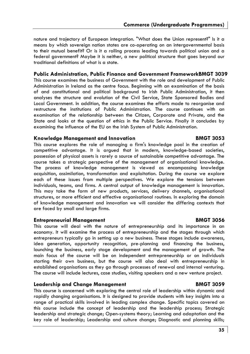nature and trajectory of European integration. "What does the Union represent?" Is it a means by which sovereign nation states are co-operating on an intergovernmental basis to their mutual benefit? Or is it a rolling process leading towards political union and a federal government? Maybe it is neither, a new political structure that goes beyond our traditional definitions of what is a state.

#### **Public Administration, Public Finance and Government FrameworkBMGT 3039**

This course examines the business of Government with the role and development of Public Administration in Ireland as the centre focus. Beginning with an examination of the basis of and constitutional and political background to Irish Public Administration, it then analyses the structure and evolution of the Civil Service, State Sponsored Bodies and Local Government. In addition, the course examines the efforts made to reorganise and restructure the institutions of Public Administration. The course continues with an examination of the relationship between the Citizen, Corporate and Private, and the State and looks at the question of ethics in the Public Service. Finally it concludes by examining the influence of the EU on the Irish System of Public Administration.

#### **Knowledge Management and Innovation BMGT 3053**

#### This course explores the role of managing a firm's knowledge pool in the creation of competitive advantage. It is argued that in modern, knowledge-based societies, possession of physical assets is rarely a source of sustainable competitive advantage. The course takes a strategic perspective of the management of organisational knowledge. The process of knowledge management is viewed as encompassing knowledge acquisition, assimilation, transformation and exploitation. During the course we explore each of these issues from multiple perspectives. We explore the tensions between individuals, teams, and firms. A central output of knowledge management is innovation. This may take the form of new products, services, delivery channels, organisational structures, or more efficient and effective organisational routines. In exploring the domain of knowledge management and innovation we will consider the differing contexts that are faced by small and large firms.

#### **Entrepreneurial Management BMGT 3056**

This course will deal with the nature of entrepreneurship and its importance in an economy. It will examine the process of entrepreneurship and the stages through which entrepreneurs typically go in setting up a new business. These stages include awareness, idea generation, opportunity recognition, pre-planning and financing the business, launching the business, early stage development and the management of growth. The main focus of the course will be on independent entrepreneurship or on individuals starting their own business, but the course will also deal with entrepreneurship in established organisations as they go through processes of renewal and internal venturing. The course will include lectures, case studies, visiting speakers and a new venture project.

#### **Leadership and Change Management BMGT 3059**

This course is concerned with exploring the central role of leadership within dynamic and rapidly changing organisations. It is designed to provide students with key insights into a range of practical skills involved in leading complex change. Specific topics covered on this course include the concept of leadership and the leadership process; Strategic leadership and strategic change; Open-systems theory; Learning and adaptation and the key role of leadership; Leadership and culture change; Diagnostic and planning skills;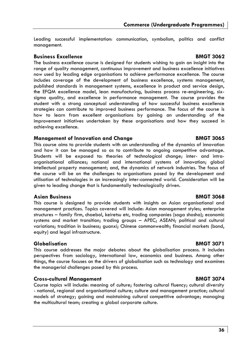Leading successful implementation: communication, symbolism, politics and conflict management.

### **Business Excellence BMGT 3062**

The business excellence course is designed for students wishing to gain an insight into the range of quality management, continuous improvement and business excellence initiatives now used by leading edge organisations to achieve performance excellence. The course includes coverage of the development of business excellence, systems management, published standards in management systems, excellence in product and service design, the EFQM excellence model, lean manufacturing, business process re-engineering, sixsigma quality, and excellence in performance management. The course provides the student with a strong conceptual understanding of how successful business excellence strategies can contribute to improved business performance. The focus of the course is how to learn from excellent organisations by gaining an understanding of the improvement initiatives undertaken by these organisations and how they succeed in achieving excellence.

### **Management of Innovation and Change Theory 6.8 BMGT 3065**

This course aims to provide students with an understanding of the dynamics of innovation and how it can be managed so as to contribute to ongoing competitive advantage. Students will be exposed to: theories of technological change; inter- and intraorganisational alliances; national and international systems of innovation; global intellectual property management; and, the dynamics of network industries. The focus of the course will be on the challenges to organisations posed by the development and utilisation of technologies in an increasingly inter-connected world. Consideration will be given to leading change that is fundamentally technologically driven.

### **Asian Business BMGT 3068**

This course is designed to provide students with insights on Asian organisational and management practices. Topics covered will include: Asian management styles; enterprise structures – family firm, chaebol, keiretsu etc, trading companies (soga shosha); economic systems and market transition; trading groups – APEC; ASEAN; political and cultural variations; tradition in business; guanxi; Chinese commonwealth; financial markets (bond, equity) and legal infrastructure.

### **Globalisation BMGT 3071**

This course addresses the major debates about the globalisation process. It includes perspectives from sociology, international law, economics and business. Among other things, the course focuses on the drivers of globalisation such as technology and examines the managerial challenges posed by this process.

### **Cross-cultural Management BMGT 3074**

Course topics will include: meaning of culture; fostering cultural fluency; cultural diversity - national, regional and organisational culture; culture and management practice; cultural models of strategy; gaining and maintaining cultural competitive advantage; managing the multicultural team; creating a global corporate culture.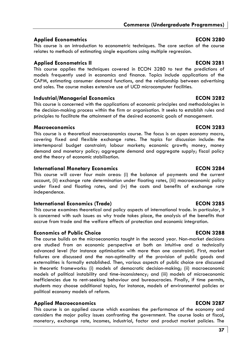## **Applied Econometrics ECON 3280**

This course is an introduction to econometric techniques. The core section of the course relates to methods of estimating single equations using multiple regression.

## **Applied Econometrics II ECON 3281**

This course applies the techniques covered in ECON 3280 to test the predictions of models frequently used in economics and finance. Topics include applications of the CAPM, estimating consumer demand functions, and the relationship between advertising and sales. The course makes extensive use of UCD microcomputer facilities.

### **Industrial/Managerial Economics ECON 3282**

This course is concerned with the applications of economic principles and methodologies in the decision-making process within the firm or organisation. It seeks to establish rules and principles to facilitate the attainment of the desired economic goals of management.

### **Macroeconomics ECON 3283**

This course is a theoretical macroeconomics course. The focus is on open economy macro, covering fixed and flexible exchange rates. The topics for discussion include: the intertemporal budget constraint; labour markets; economic growth; money, money demand and monetary policy; aggregate demand and aggregate supply; fiscal policy and the theory of economic stabilisation.

### **International Monetary Economics ECON 3284**

This course will cover four main areas: (i) the balance of payments and the current account, (ii) exchange rate determination under floating rates, (iii) macroeconomic policy under fixed and floating rates, and (iv) the costs and benefits of exchange rate independence.

## **International Economics (Trade) ECON 3285**

This course examines theoretical and policy aspects of international trade. In particular, it is concerned with such issues as why trade takes place, the analysis of the benefits that accrue from trade and the welfare effects of protection and economic integration.

# **Economics of Public Choice**  ECON 3288

The course builds on the microeconomics taught in the second year. Non-market decisions are studied from an economic perspective at both an intuitive and a technically advanced level (for instance optimisation with more than one constraint). First, market failures are discussed and the non-optimality of the provision of public goods and externalities is formally established. Then, various aspects of public choice are discussed in theoretic frameworks: (i) models of democratic decision-making; (ii) macroeconomic models of political instability and time-inconsistency; and (iii) models of microeconomic inefficiencies due to rent-seeking behaviour and bureaucracies. Finally, if time permits, students may choose additional topics, for instance, models of environmental policies or political economy models of reform.

### **Applied Macroeconomics ECON 3287**

This course is an applied course which examines the performance of the economy and considers the major policy issues confronting the government. The course looks at fiscal, monetary, exchange rate, incomes, industrial, factor and product market policies. The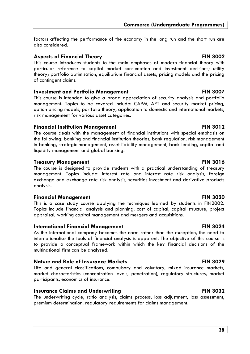factors affecting the performance of the economy in the long run and the short run are also considered.

### **Aspects of Financial Theory Community Community Community Community Community Community Community Community Community Community Community Community Community Community Community Community Community Community Community Com**

This course introduces students to the main emphases of modern financial theory with particular reference to capital market consumption and investment decisions; utility theory; portfolio optimisation, equilibrium financial assets, pricing models and the pricing of contingent claims.

### **Investment and Portfolio Management Transform Control 2007**

This course is intended to give a broad appreciation of security analysis and portfolio management. Topics to be covered include: CAPM, APT and security market pricing, option pricing models, portfolio theory, application to domestic and international markets, risk management for various asset categories.

### **Financial Institution Management FIN 3012**

The course deals with the management of financial institutions with special emphasis on the following: banking and financial institution theories, bank regulation, risk management in banking, strategic management, asset liability management, bank lending, capital and liquidity management and global banking.

### **Treasury Management Communist Communist Communist Communist Communist Communist Communist Communist Communist Communist Communist Communist Communist Communist Communist Communist Communist Communist Communist Communist C**

The course is designed to provide students with a practical understanding of treasury management. Topics include: interest rate and interest rate risk analysis, foreign exchange and exchange rate risk analysis, securities investment and derivative products analysis.

### **Financial Management FIN 3020**

This is a case study course applying the techniques learned by students in FIN2002. Topics include financial analysis and planning, cost of capital, capital structure, project appraisal, working capital management and mergers and acquisitions.

### **International Financial Management FIN 3024**

As the international company becomes the norm rather than the exception, the need to internationalise the tools of financial analysis is apparent. The objective of this course is to provide a conceptual framework within which the key financial decisions of the multinational firm can be analysed.

### **Nature and Role of Insurance Markets FIN 3029**

Life and general classifications, compulsory and voluntary, mixed insurance markets, market characteristics (concentration levels, penetration), regulatory structures, market participants, economics of insurance.

### **Insurance Claims and Underwriting Travelly and Travelly RIN 3032**

The underwriting cycle, ratio analysis, claims process, loss adjustment, loss assessment, premium determination, regulatory requirements for claims management.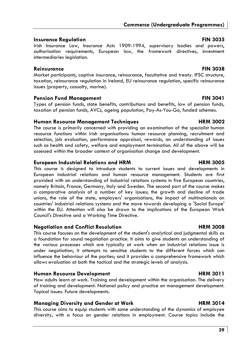### **Insurance Regulation FIN 3035**

Irish Insurance Law, Insurance Acts 1909-1994, supervisory bodies and powers, authorisation requirements, European law, the framework directives, investment intermediaries legislation.

### **Reinsurance FIN 3038**

Market participants, captive insurance, reinsurance, facultative and treaty. IFSC structure, taxation, reinsurance regulation in Ireland, EU reinsurance regulation, specific reinsurance issues (property, casualty, marine).

### **Pension Fund Management Communication FIN 3041**

Types of pension funds, state benefits, contributions and benefits, law of pension funds, taxation of pension funds, AVCs, ageing population, Pay-As-You-Go, funded schemes.

### **Human Resource Management Techniques**  The Management Techniques **HRM 3002**

The course is primarily concerned with providing an examination of the specialist human resource functions within Irish organisations: human resource planning, recruitment and selection, job evaluation, performance appraisal, rewards, an understanding of issues such as health and safety, welfare and employment termination. All of the above will be assessed within the broader context of organisation change and development.

### **European Industrial Relations and HRM CONGREY CONGREGATE:** FIRM 3005

This course is designed to introduce students to current issues and developments in European industrial relations and human resource management. Students are first provided with an understanding of industrial relations systems in five European countries, namely Britain, France, Germany, Italy and Sweden. The second part of the course makes a comparative analysis of a number of key issues; the growth and decline of trade unions, the role of the state, employers' organisations, the impact of multinationals on countries' industrial relations systems and the move towards developing a 'Social Europe' within the EU. Attention will also be drawn to the implications of the European Work Council's Directive and a Working Time Directive.

### **Negotiation and Conflict Resolution Area and HRM 3008**

This course focuses on the development of the student's analytical and judgmental skills as a foundation for sound negotiation practice. It aims to give students an understanding of the various processes which are typically at work when an industrial relations issue is under negotiation; it attempts to sensitise students to the different forces which can influence the behaviour of the parties; and it provides a comprehensive framework which allows evaluation at both the tactical and the strategic levels of analysis.

### **Human Resource Development Area and Area HRM 3011**

How adults learn at work. Training and development within the organisation. The delivery of training and development. National policy and practice on management development. Topical issues. Future developments.

### **Managing Diversity and Gender at Work Christian Communist Christian HRM 3014**

This course aims to equip students with some understanding of the dynamics of employee diversity, with a focus on gender relations in employment. Course topics include the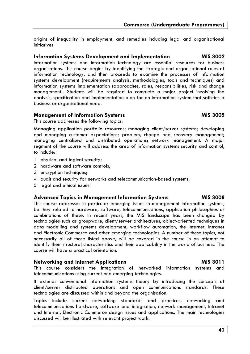origins of inequality in employment, and remedies including legal and organisational initiatives.

### **Information Systems Development and Implementation MIS 3002**

Information systems and information technology are essential resources for business organisations. This course begins by identifying the strategic and organisational roles of information technology, and then proceeds to examine the processes of information systems development (requirements analysis, methodologies, tools and techniques) and information systems implementation (approaches, roles, responsibilities, risk and change management). Students will be required to complete a major project involving the analysis, specification and implementation plan for an information system that satisfies a business or organisational need.

### **Management of Information Systems MIS 3005 MIS 3005**

This course addresses the following topics:

Managing application portfolio resources; managing client/server systems; developing and managing customer expectations; problem, change and recovery management; managing centralised and distributed operations; network management. A major segment of the course will address the area of information systems security and control, to include:

- 1 physical and logical security;
- 2 hardware and software controls;
- 3 encryption techniques;
- 4 audit and security for networks and telecommunication-based systems;
- 5 legal and ethical issues.

### **Advanced Topics in Management Information Systems MIS 3008**

This course addresses in particular emerging issues in management information systems, be they related to hardware, software, telecommunications, application philosophies or combinations of these. In recent years, the MIS landscape has been changed by technologies such as groupware, client/server architectures, object-oriented techniques in data modelling and systems development, workflow automation, the Internet, Intranet and Electronic Commerce and other emerging technologies. A number of these topics, not necessarily all of those listed above, will be covered in the course in an attempt to identify their structural characteristics and their applicability in the world of business. The course will have a practical orientation.

### **Networking and Internet Applications MIS 3011**

This course considers the integration of networked information systems and telecommunications using current and emerging technologies.

It extends conventional information systems theory by introducing the concepts of client/server distributed operations and open communications standards. These technologies are discussed within and beyond the organisation.

Topics include current networking standards and practices, networking and telecommunications hardware, software and integration, network management, Intranet and Internet, Electronic Commerce design issues and applications. The main technologies discussed will be illustrated with relevant project work.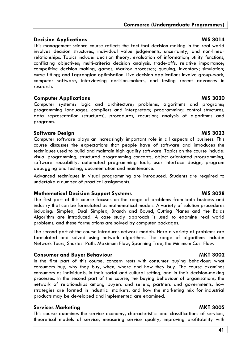**41**

# **Commerce (Undergraduate Programmes)**

## **Decision Applications** MIS 3014

This management science course reflects the fact that decision making in the real world involves decision structures, individual value judgements, uncertainty, and non-linear relationships. Topics include: decision theory, evaluation of information; utility functions, conflicting objectives; multi-criteria decision analysis, trade-offs, relative importance; competitive decision making, games, Markov processes; queuing; inventory; simulation; curve fitting; and Lagrangian optimisation. Live decision applications involve group-work, computer software, interviewing decision-makers, and testing recent advances in research.

### **Computer Applications and Computer Applications and Computer Applications and Computer Applications and Computer Applications and Computer Applications and Computer Applications and Computer Applications and Computer Appl**

Computer systems; logic and architecture; problems, algorithms and programs; programming languages, compilers and interpreters; programming: control structures, data representation (structures), procedures, recursion; analysis of algorithms and programs.

# **Software Design MIS 3023**

Computer software plays an increasingly important role in all aspects of business. This course discusses the expectations that people have of software and introduces the techniques used to build and maintain high quality software. Topics on the course include: visual programming, structured programming concepts, object orientated programming, software reusability, automated programming tools, user interface design, program debugging and testing, documentation and maintenance.

Advanced techniques in visual programming are introduced. Students are required to undertake a number of practical assignments.

# **Mathematical Decision Support Systems MIS 3028 MIS 3028**

The first part of this course focuses on the range of problems from both business and industry that can be formulated as mathematical models. A variety of solution procedures including: Simplex, Dual Simplex, Branch and Bound, Cutting Planes and the Balas Algorithm are introduced. A case study approach is used to examine real world problems, and these formulations are solved by computer packages.

The second part of the course introduces network models. Here a variety of problems are formulated and solved using network algorithms. The range of algorithms include: Network Tours, Shortest Path, Maximum Flow, Spanning Tree, the Minimum Cost Flow.

# **Consumer and Buyer Behaviour and and Southern American AMKT 3002**

In the first part of this course, concern rests with consumer buying behaviour: what consumers buy, why they buy, when, where and how they buy. The course examines consumers as individuals, in their social and cultural setting, and in their decision-making processes. In the second part of the course, the buying behaviour of organisations, the network of relationships among buyers and sellers, partners and governments, how strategies are formed in industrial markets, and how the marketing mix for industrial products may be developed and implemented are examined.

# **Services Marketing MKT 3005**

This course examines the service economy, characteristics and classifications of services, theoretical models of service, measuring service quality, improving profitability with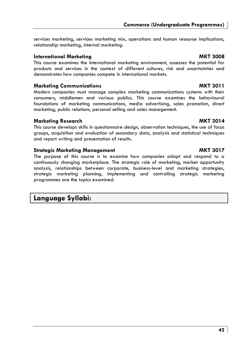services marketing, services marketing mix, operations and human resource implications, relationship marketing, internal marketing.

## **International Marketing MKT 3008**

This course examines the international marketing environment, assesses the potential for products and services in the context of different cultures, risk and uncertainties and demonstrates how companies compete in international markets.

# **Marketing Communications MKT 3011**

Modern companies must manage complex marketing communications systems with their consumers, middlemen and various publics. This course examines the behavioural foundations of marketing communications, media advertising, sales promotion, direct marketing, public relations, personal selling and sales management.

# **Marketing Research MKT 3014**

This course develops skills in questionnaire design, observation techniques, the use of focus groups, acquisition and evaluation of secondary data, analysis and statistical techniques and report writing and presentation of results.

# **Strategic Marketing Management MKT 3017**

The purpose of this course is to examine how companies adapt and respond to a continuously changing marketplace. The strategic role of marketing, market opportunity analysis, relationships between corporate, business-level and marketing strategies, strategic marketing planning, implementing and controlling strategic marketing programmes are the topics examined.

# **Language Syllabi:**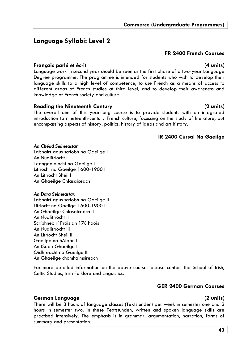# **Language Syllabi: Level 2**

## **FR 2400 French Courses**

### **Français parlé et écrit (4 units)**

Language work in second year should be seen as the first phase of a two-year Language Degree programme. The programme is intended for students who wish to develop their language skills to a high level of competence, to use French as a means of access to different areas of French studies at third level, and to develop their awareness and knowledge of French society and culture.

### **Reading the Nineteenth Century (2 units)**

The overall aim of this year-long course is to provide students with an integrated introduction to nineteenth-century French culture, focussing on the study of literature, but encompassing aspects of history, politics, history of ideas and art history.

# **IR 2400 Cúrsaí Na Gaeilge**

### *An Chéad Seimeastar:*

Labhairt agus scríobh na Gaeilge I An Nualitríocht I Teangeolaíocht na Gaeilge I Litríocht na Gaeilge 1600-1900 I An Litríocht Bhéil I An Ghaeilge Chlasaiceach I

### *An Dara Seimeastar:*

Labhairt agus scríobh na Gaeilge II Litríocht na Gaeilge 1600-1900 II An Ghaeilge Chlasaiceach II An Nualitríocht II Scríbhneoirí Próis an 17ú haois An Nualitríocht III An Litríocht Bhéil II Gaeilge na hAlban I An tSean-Ghaeilge I Oidhreacht na Gaeilge III An Ghaeilge chomhaimsireach I

For more detailed information on the above courses please contact the School of Irish, Celtic Studies, Irish Folklore and Linguistics.

# **GER 2400 German Courses**

## **German Language (2 units)**

There will be 3 hours of language classes (Textstunden) per week in semester one and 2 hours in semester two. In these Textstunden, written and spoken language skills are practised intensively. The emphasis is in grammar, argumentation, narration, forms of summary and presentation.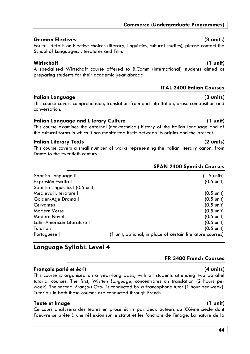# **German Electives (3 units)**

## For full details on Elective choices (literary, linguistics, cultural studies), please contact the School of Languages, Literatures and Film.

# **Wirtschaft (1 unit)**

A specialised Wirtschaft course offered to B.Comm (International) students aimed at preparing students for their academic year abroad.

# **ITAL 2400 Italian Courses**

# **Italian Language (3 units)**

This course covers comprehension, translation from and into Italian, prose composition and conversation.

# **Italian Language and Literary Culture (1 unit)**

This course examines the external (non-technical) history of the Italian language and of the cultural forms in which it has manifested itself between its origins and the present.

# **Italian Literary Texts (2 units)**

This course covers a small number of works representing the Italian literary canon, from Dante to the twentieth century.

# **SPAN 2400 Spanish Courses**

| Spanish Language II              | $(1.5 \text{ units})$                                      |
|----------------------------------|------------------------------------------------------------|
| Expresión Escrita I              | $(0.5 \text{ unit})$                                       |
| Spanish Linguistics II(0.5 unit) |                                                            |
| Medieval Literature I            | $(0.5 \text{ unit})$                                       |
| Golden-Age Drama I               | $(0.5 \text{ unit})$                                       |
| Cervantes                        | $(0.5 \text{ unit})$                                       |
| Modern Verse                     | $(0.5 \text{ unit})$                                       |
| Modern Novel                     | $(0.5 \text{ unit})$                                       |
| Latin-American Literature I      | $(0.5 \text{ unit})$                                       |
| <b>Tutorials</b>                 | $(0.5 \text{ unit})$                                       |
| Portuguese I                     | (1 unit, optional, in place of certain literature courses) |

# **Language Syllabi: Level 4**

# **Français parlé et écrit (4 units)**

This course is organised on a year-long basis, with all students attending two parallel tutorial courses. The first, *Written Language,* concentrates on translation (2 hours per week). The second, *Français Oral,* is conducted by a francophone tutor (1 hour per week). Tutorials in both these courses are conducted through French.

# **Texte et Image (1 unit)**

Ce cours analysera des textes en prose écrits par deux auteurs du XXéme siecle dont l'oeuvre se prête à une réflexion sur le statut et les fonctions de l'image. La nature de la

**FR 3400 French Courses**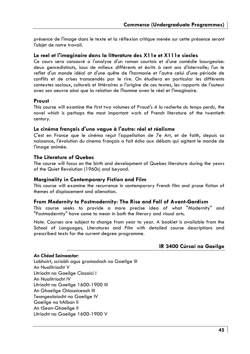présence de l'image dans le texte et la réflexion critique menée sur cette présence seront l'objet de notre travail.

### **Le reel et l'imaginaire dans la litterature des X11e et X111e siecles**

Ce cours sera consacré a l'analyse d'un roman courtois et d'une comédie bourgeoise: deux genredistincts, issus de milieux différents et écrits à cent ans d'intervalle; l'un le reflet d'un monde idéal at d'une quête de l'harmonie et l'autre celui d'une période de conflits et de crises transcendés par le rire. On étudiera en particular les différents contextes sociaux, culturels et littéraires a l'origine de ces textes, les rapports de l'auteur avec son oeuvre ainsi que la relation de l'homme aven le réel et l'imaginaire.

### **Proust**

This course will examine the first two volumes of Proust's *A la recherhe du temps perdu,* the novel which is perhaps the most important work of French literature of the twentieth century.

### **Le cinéma français d'une vague à l'autre: réel et réalisme**

C'est en France que le cinéma reçut l'appellation de 7e Art, et de faith, depuis sa naissance, l'évolution du cinema français a fait écho aux débats qui agitent le monde de l'image animée.

### **The Literature of Quebec**

The course will focus on the birth and development of Quebec literature during the years of the Quiet Revolution (1960s) and beyond.

### **Marginality in Contemporary Fiction and Film**

This course will examine the recurrence in contemporary French film and prose fiction of themes of displacement and alienation.

### **From Modernity to Postmodernity: The Rise and Fall of Avant-Gardism**

This course seeks to provide a more precise idea of what "Modernity" and "Postmodernity" have come to mean in both the literary and visual arts.

*Note:* Courses are subject to change from year to year. A booklet is available from the School of Languages, Literatures and Film with detailed course descriptions and prescribed texts for the current degree programme.

### **IR 3400 Cúrsaí na Gaeilge**

### *An Chéad Seimeastar:*

Labhairt, scríobh agus gramadach na Gaeilge III An Nualitríocht V Litríocht na Gaeilge Clasaicí I An Nualitríocht IV Litríocht na Gaeilge 1600-1900 III An Ghaeilge Chlasaiceach III Teangeolaíocht na Gaeilge IV Gaeilge na hAlban II An tSean-Ghaeilge II Litríocht na Gaeilge 1600-1900 V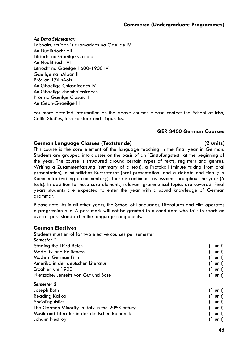### *An Dara Seimeastar:*

Labhairt, scríobh is gramadach na Gaeilge IV An Nualitríocht VII Litríocht na Gaeilge Clasaicí II An Nualitríocht VI Litríocht na Gaeilge 1600-1900 IV Gaeilge na hAlban III Prós an 17ú hAois An Ghaeilge Chlasaiceach IV An Ghaeilge chomhaimsireach II Prós na Gaeilge Clasaicí I An tSean-Ghaeilge III

For more detailed information on the above courses please contact the School of Irish, Celtic Studies, Irish Folklore and Linguistics.

### **GER 3400 German Courses**

### **German Language Classes (Textstunde) (2 units)**

This course is the core element of the language teaching in the final year in German. Students are grouped into classes on the basis of an "Einstufungstest" at the beginning of the year. The course is structured around certain types of texts, registers and genres. Writing a Zusammenfassung (summary of a text), a Protokoll (minute taking from oral presentation), a mündliches Kurzreferat (oral presentation) and a debate and finally a Kommentar (writing a commentary). There is continuous assessment throughout the year (5 tests). In addition to these core elements, relevant grammatical topics are covered. Final years students are expected to enter the year with a sound knowledge of German grammar.

Please note: As in all other years, the School of Languages, Literatures and Film operates a progression rule. A pass mark will not be granted to a candidate who fails to reach an overall pass standard in the language components.

### **German Electives**

| Students must enrol for two elective courses per semester    |                    |
|--------------------------------------------------------------|--------------------|
| Semester 1                                                   |                    |
| Staging the Third Reich                                      | $(1 \text{ unit})$ |
| <b>Modality and Politeness</b>                               | $(1 \text{ unit})$ |
| Modern German Film                                           | $(1 \text{ unit})$ |
| Amerika in der deutschen Literatur                           | $(1 \text{ unit})$ |
| Erzählen um 1900                                             | $(1 \text{ unit})$ |
| Nietzsche: Jenseits von Gut und Böse                         | $(1 \text{ unit})$ |
| Semester 2                                                   |                    |
| Joseph Roth                                                  | $(1 \text{ unit})$ |
| Reading Kafka                                                | $(1 \text{ unit})$ |
| Sociolinguistics                                             | $(1 \text{ unit})$ |
| The German Minority in Italy in the 20 <sup>th</sup> Century | $(1 \text{ unit})$ |
| Musik and Literatur in der deutschen Romantik                | (1 unit)           |

Johann Nestroy (1 unit)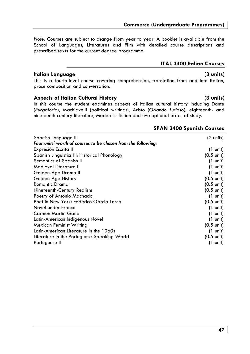*Note:* Courses are subject to change from year to year. A booklet is available from the School of Languages, Literatures and Film with detailed course descriptions and prescribed texts for the current degree programme.

## **Italian Language (3 units)**

This is a fourth-level course covering comprehension, translation from and into Italian, prose composition and conversation.

### **Aspects of Italian Cultural History (3 units)**

In this course the student examines aspects of Italian cultural history including Dante (*Purgatorio*), Machiavelli (political writings), Aristo (*Orlando furioso*), eighteenth- and nineteenth-century literature, Modernist fiction and two optional areas of study.

### **SPAN 3400 Spanish Courses**

**ITAL 3400 Italian Courses** 

| Spanish Language III                                          | (2 units)            |
|---------------------------------------------------------------|----------------------|
| Four units' worth of courses to be chosen from the following: |                      |
| Expresión Escrita II                                          | $(1 \text{ unit})$   |
| Spanish Linguistics III: Historical Phonology                 | $(0.5 \text{ unit})$ |
| Semantics of Spanish II                                       | $(1 \text{ unit})$   |
| Medieval Literature II                                        | $(1 \text{ unit})$   |
| Golden-Age Drama II                                           | $(1 \text{ unit})$   |
| Golden-Age History                                            | $(0.5 \text{ unit})$ |
| <b>Romantic Drama</b>                                         | $(0.5 \text{ unit})$ |
| Nineteenth-Century Realism                                    | $(0.5 \text{ unit})$ |
| Poetry of Antonio Machado                                     | $(1 \text{ unit})$   |
| Poet in New York: Federico García Lorca                       | $(0.5 \text{ unit})$ |
| Novel under Franco                                            | $(1 \text{ unit})$   |
| Carmen Martín Gaite                                           | $(1 \text{ unit})$   |
| Latin-American Indigenous Novel                               | $(1 \text{ unit})$   |
| Mexican Feminist Writing                                      | $(0.5 \text{ unit})$ |
| Latin-American Literature in the 1960s                        | $(1 \text{ unit})$   |
| Literature in the Portuguese-Speaking World                   | $(0.5 \text{ unit})$ |
| Portuguese II                                                 | $(1 \text{ unit})$   |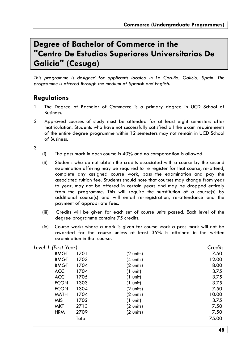# **Degree of Bachelor of Commerce in the "Centro De Estudios Superiores Universitarios De Galicia" (Cesuga)**

*This programme is designed for applicants located in La Coruña, Galicia, Spain. The programme is offered through the medium of Spanish and English.* 

# **Regulations**

- 1 The Degree of Bachelor of Commerce is a primary degree in UCD School of Business.
- 2 Approved courses of study must be attended for at least eight semesters after matriculation. Students who have not successfully satisfied all the exam requirements of the entire degree programme within 12 semesters may not remain in UCD School of Business.

3

- (i) The pass mark in each course is 40% and no compensation is allowed.
- (ii) Students who do not obtain the credits associated with a course by the second examination offering may be required to re register for that course, re-attend, complete any assigned course work, pass the examination and pay the associated tuition fee. Students should note that courses may change from year to year, may not be offered in certain years and may be dropped entirely from the programme. This will require the substitution of a course(s) by additional course(s) and will entail re-registration, re-attendance and the payment of appropriate fees.
- (iii) Credits will be given for each set of course units passed. Each level of the degree programme contains 75 credits.
- (iv) Course work: where a mark is given for course work a pass mark will not be awarded for the course unless at least 35% is attained in the written examination in that course.

| Level 1 (First Year) |       |                    | Credits |
|----------------------|-------|--------------------|---------|
| <b>BMGT</b>          | 1701  | (2 units)          | 7.50    |
| <b>BMGT</b>          | 1703  | (4 units)          | 12.00   |
| <b>BMGT</b>          | 1704  | (2 units)          | 8.00    |
| ACC                  | 1704  | $(1 \text{ unit})$ | 3.75    |
| ACC                  | 1705  | $(1 \text{ unit})$ | 3.75    |
| <b>ECON</b>          | 1303  | $(1 \text{ unit})$ | 3.75    |
| <b>ECON</b>          | 1304  | (2 units)          | 7.50    |
| <b>MATH</b>          | 1704  | (2 units)          | 10.00   |
| <b>MIS</b>           | 1702  | $(1 \text{ unit})$ | 3.75    |
| MKT                  | 2713  | (2 units)          | 7.50    |
| <b>HRM</b>           | 2709  | (2 units)          | 7.50    |
|                      | Total |                    | 75.00   |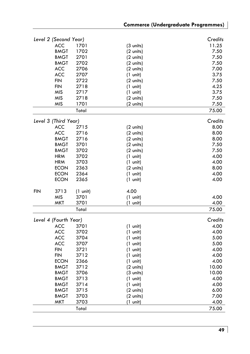|     | Level 2 (Second Year)     |                    |                     | Credits       |
|-----|---------------------------|--------------------|---------------------|---------------|
|     | ACC                       | 1701               | $(3 \text{ units})$ | 11.25         |
|     | <b>BMGT</b>               | 1702               | (2 units)           | 7.50          |
|     | <b>BMGT</b>               | 2701               | (2 units)           | 7.50          |
|     | <b>BMGT</b>               | 2702               | (2 units)           | 7.50          |
|     | ACC                       | 2706               | (2 units)           | 7.00          |
|     | <b>ACC</b>                | 2707               | $(1 \text{ unit})$  | 3.75          |
|     | <b>FIN</b>                | 2722               | $(2 \text{ units})$ | 7.50          |
|     | FIN                       | 2718               | $(1 \text{ unit})$  | 4.25          |
|     | MIS                       | 2717               | $(1 \text{ unit})$  | 3.75          |
|     | <b>MIS</b>                | 2718               | (2 units)           | 7.50          |
|     | <b>MIS</b>                | 1701               | (2 units)           | 7.50          |
|     |                           | Total              |                     | 75.00         |
|     | Level 3 (Third Year)      |                    |                     | Credits       |
|     | <b>ACC</b>                | 2715               |                     | 8.00          |
|     | <b>ACC</b>                | 2716               | $(2 \text{ units})$ | 8.00          |
|     |                           |                    | $(2 \text{ units})$ |               |
|     | <b>BMGT</b>               | 2716               | $(2 \text{ units})$ | 8.00          |
|     | <b>BMGT</b>               | 3701               | $(2 \text{ units})$ | 7.50          |
|     | <b>BMGT</b>               | 3702               | $(2 \text{ units})$ | 7.50          |
|     | <b>HRM</b>                | 3702               | $(1 \text{ unit})$  | 4.00          |
|     | <b>HRM</b>                | 3703               | $(1 \text{ unit})$  | 4.00          |
|     | <b>ECON</b>               | 2363               | $(2 \text{ units})$ | 8.00          |
|     | <b>ECON</b>               | 2364               | $(1 \text{ unit})$  | 4.00          |
|     | <b>ECON</b>               | 2365               | $(1 \text{ unit})$  | 4.00          |
| FIN | 3713                      | $(1 \text{ unit})$ | 4.00                |               |
|     | <b>MIS</b>                | 3701               | $(1 \text{ unit})$  | 4.00          |
|     | MKT                       | 3701               | (1 unit)            | 4.00          |
|     |                           | Total              |                     | 75.00         |
|     | Level 4 (Fourth Year)     |                    |                     | Credits       |
|     | <b>ACC</b>                | 3701               | $(1 \text{ unit})$  | 4.00          |
|     | ACC                       | 3702               | $(1 \text{ unit})$  | 4.00          |
|     | <b>ACC</b>                | 3704               | $(1 \text{ unit})$  | 5.00          |
|     | ACC                       | 3707               | $(1 \text{ unit})$  | 5.00          |
|     | <b>FIN</b>                | 3721               | $(1 \text{ unit})$  | 4.00          |
|     | <b>FIN</b>                | 3712               | $(1 \text{ unit})$  | 4.00          |
|     | <b>ECON</b>               | 2366               | $(1 \text{ unit})$  | 4.00          |
|     | <b>BMGT</b>               | 3712               | $(2 \text{ units})$ | 10.00         |
|     | <b>BMGT</b>               | 3706               | $(3 \text{ units})$ | 10.00         |
|     | <b>BMGT</b>               | 3713               | $(1 \text{ unit})$  | 4.00          |
|     | <b>BMGT</b>               | 3714               |                     | 4.00          |
|     | <b>BMGT</b>               | 3715               | $(1 \text{ unit})$  | 6.00          |
|     |                           |                    | (2 units)           |               |
|     | <b>BMGT</b><br><b>MKT</b> | 3703               | (2 units)           | 7.00          |
|     |                           | 3703               | $(1 \text{ unit})$  | 4.00<br>75.00 |
|     |                           | Total              |                     |               |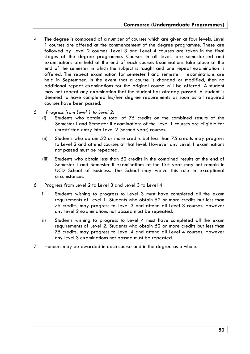- 4 The degree is composed of a number of courses which are given at four levels. Level 1 courses are offered at the commencement of the degree programme. These are followed by Level 2 courses. Level 3 and Level 4 courses are taken in the final stages of the degree programme. Courses in all levels are semesterised and examinations are held at the end of each course. Examinations take place at the end of the semester in which the subject is taught and one repeat examination is offered. The repeat examination for semester I and semester II examinations are held in September. In the event that a course is changed or modified, then no additional repeat examinations for the original course will be offered. A student may not repeat any examination that the student has already passed. A student is deemed to have completed his/her degree requirements as soon as all required courses have been passed.
- 5 *Progress from Level 1 to Level 2:*
	- (i) Students who obtain a total of 75 credits on the combined results of the Semester I and Semester II examinations of the Level 1 courses are eligible for unrestricted entry into Level 2 (second year) courses.
	- (ii) Students who obtain 52 or more credits but less than 75 credits may progress to Level 2 and attend courses at that level. However any Level 1 examinations not passed must be repeated.
	- (iii) Students who obtain less than 52 credits in the combined results at the end of Semester I and Semester II examinations of the first year may not remain in UCD School of Business. The School may waive this rule in exceptional circumstances.
- 6 Progress from Level 2 to Level 3 and Level 3 to Level 4
	- i) Students wishing to progress to Level 3 must have completed all the exam requirements of Level 1. Students who obtain 52 or more credits but less than 75 credits, may progress to Level 3 and attend all Level 3 courses. However any level 2 examinations not passed must be repeated.
	- ii) Students wishing to progress to Level 4 must have completed all the exam requirements of Level 2. Students who obtain 52 or more credits but less than 75 credits, may progress to Level 4 and attend all Level 4 courses. However any level 3 examinations not passed must be repeated.
- 7 Honours may be awarded in each course and in the degree as a whole.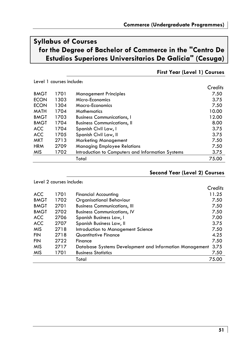# **Syllabus of Courses for the Degree of Bachelor of Commerce in the "Centro De Estudios Superiores Universitarios De Galicia" (Cesuga)**

Level 1 courses include:

|             |      |                                                   | Credits |
|-------------|------|---------------------------------------------------|---------|
| <b>BMGT</b> | 1701 | <b>Management Principles</b>                      | 7.50    |
| <b>ECON</b> | 1303 | Micro-Economics                                   | 3.75    |
| <b>ECON</b> | 1304 | Macro-Economics                                   | 7.50    |
| <b>MATH</b> | 1704 | <b>Mathematics</b>                                | 10.00   |
| <b>BMGT</b> | 1703 | <b>Business Communications, I</b>                 | 12.00   |
| <b>BMGT</b> | 1704 | <b>Business Communications, II</b>                | 8.00    |
| <b>ACC</b>  | 1704 | Spanish Civil Law, I                              | 3.75    |
| <b>ACC</b>  | 1705 | Spanish Civil Law, II                             | 3.75    |
| MKT         | 2713 | <b>Marketing Management</b>                       | 7.50    |
| <b>HRM</b>  | 2709 | <b>Managing Employee Relations</b>                | 7.50    |
| <b>MIS</b>  | 1702 | Introduction to Computers and Information Systems | 3.75    |
|             |      | Total                                             | 75.00   |

# **First Year (Level 1) Courses**

# **Second Year (Level 2) Courses**

| Level 2 courses include: |      |                                                         |         |
|--------------------------|------|---------------------------------------------------------|---------|
|                          |      |                                                         | Credits |
| <b>ACC</b>               | 1701 | <b>Financial Accounting</b>                             | 11.25   |
| <b>BMGT</b>              | 1702 | <b>Organisational Behaviour</b>                         | 7.50    |
| <b>BMGT</b>              | 2701 | <b>Business Communications, III</b>                     | 7.50    |
| <b>BMGT</b>              | 2702 | <b>Business Communications, IV</b>                      | 7.50    |
| <b>ACC</b>               | 2706 | Spanish Business Law, I                                 | 7.00    |
| <b>ACC</b>               | 2707 | Spanish Business Law, II                                | 3.75    |
| <b>MIS</b>               | 2718 | Introduction to Management Science                      | 7.50    |
| <b>FIN</b>               | 2718 | Quantitative Finance                                    | 4.25    |
| <b>FIN</b>               | 2722 | Finance                                                 | 7.50    |
| <b>MIS</b>               | 2717 | Database Systems Development and Information Management | 3.75    |
| <b>MIS</b>               | 1701 | <b>Business Statistics</b>                              | 7.50    |
|                          |      | Total                                                   | 75.00   |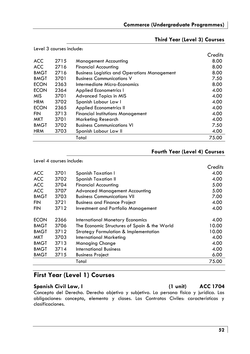# **Third Year (Level 3) Courses**

| Level 3 courses include: |      |                                                     |         |
|--------------------------|------|-----------------------------------------------------|---------|
|                          |      |                                                     | Credits |
| <b>ACC</b>               | 2715 | <b>Management Accounting</b>                        | 8.00    |
| <b>ACC</b>               | 2716 | <b>Financial Accounting</b>                         | 8.00    |
| <b>BMGT</b>              | 2716 | <b>Business Logistics and Operations Management</b> | 8.00    |
| <b>BMGT</b>              | 3701 | <b>Business Communications V</b>                    | 7.50    |
| <b>ECON</b>              | 2363 | Intermediate Micro-Economics                        | 8.00    |
| <b>ECON</b>              | 2364 | <b>Applied Econometrics I</b>                       | 4.00    |
| <b>MIS</b>               | 3701 | Advanced Topics in MIS                              | 4.00    |
| <b>HRM</b>               | 3702 | Spanish Labour Law I                                | 4.00    |
| <b>ECON</b>              | 2365 | <b>Applied Econometrics II</b>                      | 4.00    |
| <b>FIN</b>               | 3713 | <b>Financial Institutions Management</b>            | 4.00    |
| MKT                      | 3701 | Marketing Research                                  | 4.00    |
| <b>BMGT</b>              | 3702 | <b>Business Communications VI</b>                   | 7.50    |
| <b>HRM</b>               | 3703 | Spanish Labour Law II                               | 4.00    |
|                          |      | Total                                               | 75.00   |

### **Fourth Year (Level 4) Courses**

|             | Level 4 courses include: |                                                  |         |
|-------------|--------------------------|--------------------------------------------------|---------|
|             |                          |                                                  | Credits |
| <b>ACC</b>  | 3701                     | Spanish Taxation I                               | 4.00    |
| <b>ACC</b>  | 3702                     | Spanish Taxation II                              | 4.00    |
| <b>ACC</b>  | 3704                     | Financial Accounting                             | 5.00    |
| <b>ACC</b>  | 3707                     | <b>Advanced Management Accounting</b>            | 5.00    |
| <b>BMGT</b> | 3703                     | <b>Business Communications VII</b>               | 7.00    |
| <b>FIN</b>  | 3721                     | <b>Business and Finance Project</b>              | 4.00    |
| <b>FIN</b>  | 3712                     | Investment and Portfolio Management              | 4.00    |
| <b>ECON</b> | 2366                     | <b>International Monetary Economics</b>          | 4.00    |
| <b>BMGT</b> | 3706                     | The Economic Structures of Spain & the World     | 10.00   |
| <b>BMGT</b> | 3712                     | <b>Strategy Formulation &amp; Implementation</b> | 10.00   |
| MKT         | 3703                     | International Marketing                          | 4.00    |
| <b>BMGT</b> | 3713                     | Managing Change                                  | 4.00    |
| <b>BMGT</b> | 3714                     | International Business                           | 4.00    |
| <b>BMGT</b> | 3715                     | <b>Business Project</b>                          | 6.00    |
|             |                          | Total                                            | 75.00   |

# **First Year (Level 1) Courses**

Spanish Civil Law, I and Spanish Civil Law, I and Spanish Civil Law, I and Spanish Civil Law, I and Spanish Civ

Concepto del Derecho. Derecho objetivo y subjetivo. La persona fisica y jurídica. Las obligaciones: concepto, elemento y clases. Los Contratos Civiles: características y clasificaciones.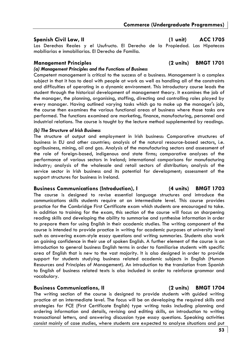### **Spanish Civil Law, II (1 unit) ACC 1705**

Los Derechos Reales y el Usufructo. El Derecho de la Propiedad. Las Hipotecas mobiliarias e inmobiliarias. El Derecho de Familia.

### **Management Principles (2 units) BMGT 1701**

### *(a) Management Principles and the Functions of Business*

Competent management is critical to the success of a business. Management is a complex subject in that it has to deal with people at work as well as handling all of the constraints and difficulties of operating in a dynamic environment. This introductory course leads the student through the historical development of management theory. It examines the job of the manager, the planning, organising, staffing, directing and controlling roles played by every manager. Having outlined varying tasks which go to make up the manager's job, the course then examines the various functional areas of business where those tasks are performed. The functions examined are marketing, finance, manufacturing, personnel and industrial relations. The course is taught by the lecture method supplemented by readings.

### *(b) The Structure of Irish Business*

The structure of output and employment in Irish business: Comparative structures of business in EU and other countries; analysis of the natural resource-based sectors, i.e. agribusiness, mining, oil and gas. Analysis of the manufacturing sectors and assessment of the role of foreign-based, indigenous and state firms; comparative analyses of the performance of various sectors in Ireland; international comparisons for manufacturing industry; analysis of the wholesale and retail sectors of distribution; analysis of the service sector in Irish business and its potential for development; assessment of the support structures for business in Ireland.

### **Business Communications (Introduction), I (4 units) BMGT 1703**

The course is designed to revise essential language structures and introduce the communications skills students require at an intermediate level. This course provides practice for the Cambridge First Certificate exam which students are encouraged to take. In addition to training for the exam, this section of the course will focus on sharpening reading skills and developing the ability to summarise and synthesise information in order to prepare them for using English in their academic studies. The writing component of the course is intended to provide practice in writing for academic purposes at university level such as answering exam-style essay questions and writing summaries. Students also work on gaining confidence in their use of spoken English. A further element of the course is an introduction to general business English terms in order to familiarise students with specific area of English that is new to the vast majority. It is also designed in order to provide support for students studying business related academic subjects in English (Human Resources and Principles of Management). An introduction to the translation from Spanish to English of business related texts is also included in order to reinforce grammar and vocabulary.

### **Business Communications, II (2 units) BMGT 1704**

The writing section of the course is designed to provide students with guided writing practice at an intermediate level. The focus will be on developing the required skills and strategies for FCE (First Certificate English) type writing tasks including planning and ordering information and details, revising and editing skills, an introduction to writing transactional letters, and answering discussion type essay questions. Speaking activities consist mainly of case studies, where students are expected to analyse situations and put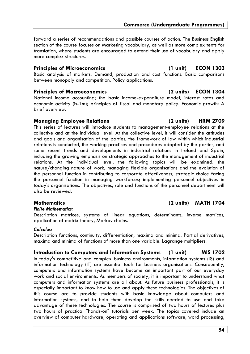forward a series of recommendations and possible courses of action. The Business English section of the course focuses on Marketing vocabulary, as well as more complex texts for translation, where students are encouraged to extend their use of vocabulary and apply more complex structures.

### **Principles of Microeconomics (1 unit) ECON 1303**

Basic analysis of markets. Demand, production and cost functions. Basic comparisons between monopoly and competition. Policy applications.

## **Principles of Macroeconomics (2 units) ECON 1304**

National income accounting; the basic income-expenditure model; interest rates and economic activity (is-1m); principles of fiscal and monetary policy. Economic growth: A brief overview.

## **Managing Employee Relations (2 units) HRM 2709**

This series of lectures will introduce students to management-employee relations at the collective and at the individual level. At the collective level, it will consider the attitudes and goals and organisation of the parties, the framework of law within which industrial relations is conducted, the working practices and procedures adopted by the parties, and some recent trends and developments in industrial relations in Ireland and Spain, including the growing emphasis on strategic approaches to the management of industrial relations. At the individual level, the following topics will be examined: the nature/changing nature of work, managing flexible organisations and the evolution of the personnel function in contributing to corporate effectiveness; strategic choice facing the personnel function in managing workforces; implementing personnel objectives in today's organisations. The objectives, role and functions of the personnel department will also be reviewed.

## **Mathematics (2 units) MATH 1704**

*Finite Mathematics:* 

Description matrices, systems of linear equations, determinants, inverse matrices, application of matrix theory, Markov chains.

### *Calculus:*

Description functions, continuity, differentiation, maxima and minima. Partial derivatives, maxima and minima of functions of more than one variable. Lagrange multipliers.

### **Introduction to Computers and Information Systems (1 unit) MIS 1702**  In today's competitive and complex business environments, information systems (IS) and information technology (IT) are essential tools for business organisations. Consequently, computers and information systems have become an important part of our everyday work and social environments. As members of society, it is important to understand what computers and information systems are all about. As future business professionals, it is especially important to know how to use and apply these technologies. The objectives of this course are to provide students with basic knowledge about computers and information systems, and to help them develop the skills needed to use and take advantage of these technologies. The course is comprised of two hours of lectures plus

two hours of practical "hands-on" tutorials per week. The topics covered include an overview of computer hardware, operating and applications software, word processing,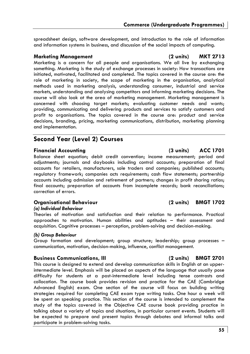spreadsheet design, software development, and introduction to the role of information and information systems in business, and discussion of the social impacts of computing.

### **Marketing Management (2 units) MKT 2713**

Marketing is a concern for all people and organisations. We all live by exchanging something. Marketing is the study of exchange processes in society: How transactions are initiated, motivated, facilitated and completed. The topics covered in the course are: the role of marketing in society, the scope of marketing in the organisation, analytical methods used in marketing analysis, understanding consumer, industrial and service markets, understanding and analysing competitors and informing marketing decisions. The course will also look at the area of marketing management. Marketing management is concerned with choosing target markets; evaluating customer needs and wants; providing, communicating and delivering products and services to satisfy customers and profit to organisations. The topics covered in the course are: product and service decisions, branding, pricing, marketing communications, distribution, marketing planning and implementation.

# **Second Year (Level 2) Courses**

### **Financial Accounting (3 units) ACC 1701**

Balance sheet equation; debit credit convention; income measurement; period and adjustments; journals and daybooks including control accounts; preparation of final accounts for retailers, manufacturers, sole traders and companies; published accounts; regulatory framework; companies acts requirements; cash flow statements; partnership accounts including admission and retirement of partners; changes in profit sharing ratios; final accounts; preparation of accounts from incomplete records; bank reconciliations; correction of errors.

### **Organisational Behaviour (2 units) BMGT 1702**

### *(a) Individual Behaviour*

Theories of motivation and satisfaction and their relation to performance. Practical approaches to motivation. Human abilities and aptitudes – their assessment and acquisition. Cognitive processes – perception, problem-solving and decision-making.

### *(b) Group Behaviour*

Group formation and development; group structure; leadership; group processes – communication, motivation, decision-making, influence, conflict management.

### **Business Communications, III (2 units) BMGT 2701**

This course is designed to extend and develop communication skills in English at an upperintermediate level. Emphasis will be placed on aspects of the language that usually pose difficulty for students at a post-intermediate level including tense contrasts and collocation. The course book provides revision and practice for the CAE (Cambridge Advanced English) exam. One section of the course will focus on building writing strategies required for completing CAE exam type writing tasks. One hour a week will be spent on speaking practice. This section of the course is intended to complement the study of the topics covered in the Objective CAE course book providing practice in talking about a variety of topics and situations, in particular current events. Students will be expected to prepare and present topics through debates and informal talks and participate in problem-solving tasks.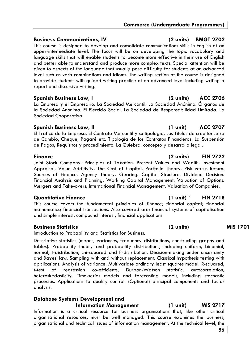### **Business Communications, IV (2 units) BMGT 2702**

This course is designed to develop and consolidate communications skills in English at an upper-intermediate level. The focus will be on developing the topic vocabulary and language skills that will enable students to become more effective in their use of English and better able to understand and produce more complex texts. Special attention will be given to aspects of the language that usually pose difficulty for students at an advanced level such as verb combinations and idioms. The writing section of the course is designed to provide students with guided writing practice at an advanced level including writing a report and discursive writing.

### **Spanish Business Law, I (2 units) ACC 2706**

La Empresa y el Empresario. La Sociedad Mercantil. La Sociedad Anónima. Órganos de la Sociedad Anónima. El Ejercicio Social. La Sociedad de Responsabilidad Limitada. La Sociedad Cooperativa.

### Spanish Business Law, II (1 unit) ACC 2707

El Tráfico de la Empresa. El Contrato Mercantil y su tipología. Los Títulos de crédito: Letra de Cambio, Cheque, Pagaré etc. Tipología de los Contratos Financieros. La Suspensión de Pagos; Requisitos y procedimiento. La Quiebra: concepto y desarrollo legal.

### **Finance (2 units) FIN 2722**

Joint Stock Company. Principles of Taxation. Present Values and Wealth. Investment Appraisal. Value Additivity. The Cost of Capital. Portfolio Theory. Risk versus Return. Sources of Finance. Agency Theory. Gearing. Capital Structure. Dividend Decision. Financial Analysis and Planning. Working Capital Management. Valuation of Options. Mergers and Take-overs. International Financial Management. Valuation of Companies.

This course covers the fundamental principles of finance; financial capital; financial mathematics; financial transactions. Also covered are: financial systems of capitalisation and simple interest, compound interest, financial applications.

### **Business Statistics (2 units) MIS 1701**

Introduction to Probability and Statistics for Business.

Descriptive statistics (means, variances, frequency distributions, constructing graphs and tables). Probability theory and probability distributions, including uniform, binomial, normal, t-distribution, chi-squared and F-distribution. Decision-making under uncertainty and Bayes' law. Sampling with and without replacement. Classical hypothesis testing with applications. Analysis of variance. Multivariate ordinary least squares model. R-squared, t-test of regression co-efficients, Durban-Watson statistic, autocorrelation, heteroskedasticity. Time-series models and forecasting models, including stochastic processes. Applications to quality control. (Optional) principal components and factor analysis.

### **Database Systems Development and**

### **Information Management (1 unit) MIS 2717**  Information is a critical resource for business organisations that, like other critical organisational resources, must be well managed. This course examines the business, organisational and technical issues of information management. At the technical level, the

### **Quantitative Finance (1 unit) ` FIN 2718**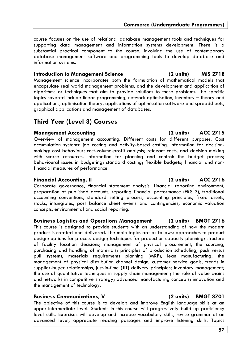course focuses on the use of relational database management tools and techniques for supporting data management and information systems development. There is a substantial practical component to the course, involving the use of contemporary database management software and programming tools to develop database and information systems.

**Introduction to Management Science (2 units) MIS 2718**  Management science incorporates both the formulation of mathematical models that encapsulate real world management problems, and the development and application of algorithms or techniques that aim to provide solutions to these problems. The specific topics covered include linear programming, network optimisation, inventory – theory and applications, optimisation theory, applications of optimisation software and spreadsheets, graphical applications and management of databases.

# **Third Year (Level 3) Courses**

# **Management Accounting (2 units) ACC 2715**

Overview of management accounting. Different costs for different purposes. Cost accumulation systems: job costing and activity-based costing. Information for decisionmaking: cost behaviour; cost-volume-profit analysis; relevant costs, and decision making with scarce resources. Information for planning and control: the budget process; behavioural issues in budgeting; standard costing; flexible budgets; financial and nonfinancial measures of performance.

# **Financial Accounting, II (2 units) ACC 2716**

Corporate governance, financial statement analysis, financial reporting environment, preparation of published accounts, reporting financial performance (FRS 3), traditional accounting conventions, standard setting process, accounting principles, fixed assets, stocks, intangibles, post balance sheet events and contingencies, economic valuation concepts, environmental and social reporting.

### **Business Logistics and Operations Management (2 units) BMGT 2716**

This course is designed to provide students with an understanding of how the modern product is created and delivered. The main topics are as follows: approaches to product design; options for process design; techniques for production capacity planning; structure of facility location decisions; management of physical procurement, the sourcing, purchasing and handling of materials; principles of production scheduling, push versus pull systems, materials requirements planning (MRP), lean manufacturing; the management of physical distribution channel design, customer service goals, trends in supplier-buyer relationships, just-in-time (JIT) delivery principles; inventory management; the use of quantitative techniques in supply chain management; the role of value chains and networks in competitive strategy; advanced manufacturing concepts; innovation and the management of technology.

### **Business Communications, V (2 units) BMGT 3701**

The objective of this course is to develop and improve English language skills at an upper-intermediate level. Students in this course will progressively build up proficiency level skills. Exercises will develop and increase vocabulary skills, revise grammar at an advanced level, appreciate reading passages and improve listening skills. Topics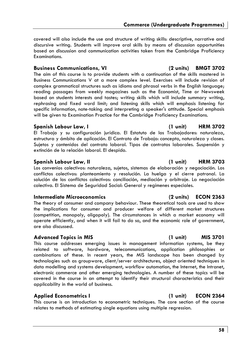covered will also include the use and structure of writing skills: descriptive, narrative and discursive writing. Students will improve oral skills by means of discussion opportunities based on discussion and communication activities taken from the Cambridge Proficiency Examinations.

### **Business Communications, VI (2 units) BMGT 3702**

The aim of this course is to provide students with a continuation of the skills mastered in Business Communications V at a more complex level. Exercises will include revision of complex grammatical structures such as idioms and phrasal verbs in the English language; reading passages from weekly magazines such as the Economist, Time or Newsweek based on students interests and tastes; writing skills which will include summary writing, rephrasing and fixed word limit; and listening skills which will emphasis listening for specific information, note-taking and interpreting a speaker's attitude. Special emphasis will be given to Examination Practice for the Cambridge Proficiency Examinations.

### **Spanish Labour Law, I (1 unit) HRM 3702**

El Trabajo y su configuración jurídica. El Estatuto de los Trabajadores: naturaleza, estructura y ámbito de aplicación. El Contrato de Trabajo: concepto, naturaleza y clases. Sujetos y contenidos del contrato laboral. Tipos de contratos laborales. Suspensión y extinción de la relación laboral. El despido.

### **Spanish Labour Law, II (1 unit) HRM 3703**

Los convenios colectivos: naturaleza, sujetos, sistemas de elaboración y negociación. Los conflictos colectivos: planteamiento y resolución. La huelga y el cierre patronal. La solución de los conflictos colectivos: conciliación, mediación y arbitraje. La negociación colectiva. El Sistema de Seguridad Social: General y regímenes especiales.

### **Intermediate Microeconomics (2 units) ECON 2363**

The theory of consumer and company behaviour. These theoretical tools are used to show the implications for consumer and producer welfare of different market structures (competition, monopoly, oligopoly). The circumstances in which a market economy will operate efficiently, and when it will fail to do so, and the economic role of government, are also discussed.

### Advanced Topics in MIS (1 unit) MIS 3701

This course addresses emerging issues in management information systems, be they related to software, hardware, telecommunications, application philosophies or combinations of these. In recent years, the MIS landscape has been changed by technologies such as groupware, client/server architectures, object oriented techniques in data modelling and systems development, workflow automation, the Internet, the Intranet, electronic commerce and other emerging technologies. A number of these topics will be covered in the course in an attempt to identify their structural characteristics and their applicability in the world of business.

### **Applied Econometrics I (1 unit) ECON 2364**

This course is an introduction to econometric techniques. The core section of the course relates to methods of estimating single equations using multiple regression.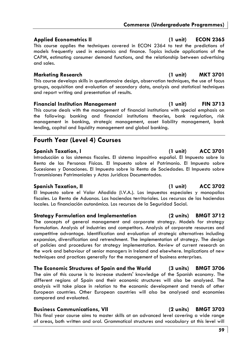## **Applied Econometrics II (1 unit) ECON 2365**

This course applies the techniques covered in ECON 2364 to test the predictions of models frequently used in economics and finance. Topics include applications of the CAPM, estimating consumer demand functions, and the relationship between advertising and sales.

## **Marketing Research (1 unit) MKT 3701**

This course develops skills in questionnaire design, observation techniques, the use of focus groups, acquisition and evaluation of secondary data, analysis and statistical techniques and report writing and presentation of results.

## **Financial Institution Management (1 unit) FIN 3713**

This course deals with the management of financial institutions with special emphasis on the following: banking and financial institutions theories, bank regulation, risk management in banking, strategic management, asset liability management, bank lending, capital and liquidity management and global banking.

# **Fourth Year (Level 4) Courses**

# **Spanish Taxation, I (1 unit) ACC 3701**

Introducción a los sistemas fiscales. El sistema impositivo español. El Impuesto sobre la Renta de las Personas Físicas. El Impuesto sobre el Patrimonio. El Impuesto sobre Sucesiones y Donaciones. El Impuesto sobre la Renta de Sociedades. El Impuesto sobre Transmisiones Patrimoniales y Actos Jurídicos Documentados.

# **Spanish Taxation, II (1 unit) ACC 3702**

El Impuesto sobre el Valor Añadido (I.V.A.). Los impuestos especiales y monopolios fiscales. La Renta de Aduanas. Las haciendas territoriales. Los recursos de las haciendas locales. La financiación autonómica. Los recursos de la Seguridad Social.

# **Strategy Formulation and Implementation (2 units) BMGT 3712**

The concepts of general management and corporate strategy. Models for strategy formulation. Analysis of industries and competitors. Analysis of corporate resources and competitive advantage. Identification and evaluation of strategic alternatives including expansion, diversification and retrenchment. The implementation of strategy. The design of policies and procedures for strategy implementation. Review of current research on the work and behaviour of senior managers in Ireland and elsewhere. Implications of new techniques and practices generally for the management of business enterprises.

# **The Economic Structures of Spain and the World (3 units) BMGT 3706**

The aim of this course is to increase students' knowledge of the Spanish economy. The different regions of Spain and their economic structures will also be analysed. The analysis will take place in relation to the economic development and trends of other European countries. Other European countries will also be analysed and economies compared and evaluated.

# **Business Communications, VII (2 units) BMGT 3703**

This final year course aims to master skills at an advanced level covering a wide range of areas, both written and oral. Grammatical structures and vocabulary at this level will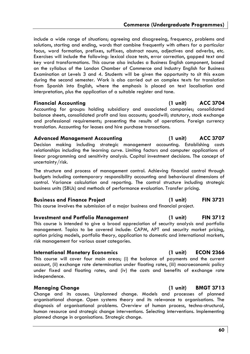include a wide range of situations; agreeing and disagreeing, frequency, problems and solutions, starting and ending, words that combine frequently with others for a particular focus, word formation, prefixes, suffixes, abstract nouns, adjectives and adverbs, etc. Exercises will include the following: lexical cloze tests, error correction, gapped text and key word transformations. This course also includes a Business English component, based on the syllabus of the London Chamber of Commerce and Industry English for Business Examination at Levels 3 and 4. Students will be given the opportunity to sit this exam during the second semester. Work is also carried out on complex texts for translation from Spanish into English, where the emphasis is placed on text localisation and interpretation, plus the application of a suitable register and tone.

### **Financial Accounting (1 unit) ACC 3704**

Accounting for groups: holding subsidiary and associated companies; consolidated balance sheets, consolidated profit and loss accounts; goodwill; statutory, stock exchange and professional requirements; presenting the results of operations. Foreign currency translation. Accounting for leases and hire purchase transactions.

### **Advanced Management Accounting (1 unit) ACC 3707**

Decision making including strategic management accounting. Establishing costs relationships including the learning curve. Limiting factors and computer applications of linear programming and sensitivity analysis. Capital investment decisions. The concept of uncertainty/risk.

The structure and process of management control. Achieving financial control through budgets including contemporary responsibility accounting and behavioural dimensions of control. Variance calculation and reporting. The control structure including strategic business units (SBUs) and methods of performance evaluation. Transfer pricing.

### **Business and Finance Project (1 unit) FIN 3721**

This course involves the submission of a major business and financial project.

### **Investment and Portfolio Management (1 unit) FIN 3712**

This course is intended to give a broad appreciation of security analysis and portfolio management. Topics to be covered include: CAPM, APT and security market pricing, option pricing models, portfolio theory, application to domestic and international markets, risk management for various asset categories.

### **International Monetary Economics (1 unit) ECON 2366**

This course will cover four main areas; (i) the balance of payments and the current account, (ii) exchange rate determination under floating rates, (iii) macroeconomic policy under fixed and floating rates, and (iv) the costs and benefits of exchange rate independence.

Change and its causes. Unplanned change. Models and processes of planned organisational change. Open systems theory and its relevance to organisations. The diagnosis of organisational problems. Overview of human process, techno-structural, human resource and strategic change interventions. Selecting interventions. Implementing planned change in organisations. Strategic change.

## **Managing Change (1 unit) BMGT 3713**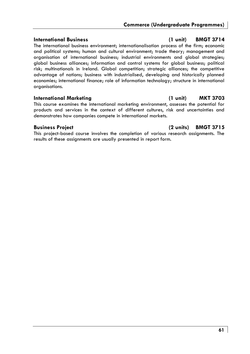The international business environment; internationalisation process of the firm; economic and political systems; human and cultural environment; trade theory; management and organisation of international business; industrial environments and global strategies; global business alliances; information and control systems for global business; political risk; multinationals in Ireland. Global competition; strategic alliances; the competitive advantage of nations; business with industrialised, developing and historically planned economies; international finance; role of information technology; structure in international organisations.

### **International Marketing (1 unit) MKT 3703**

This course examines the international marketing environment, assesses the potential for products and services in the context of different cultures, risk and uncertainties and demonstrates how companies compete in international markets.

This project-based course involves the completion of various research assignments. The results of these assignments are usually presented in report form.

## **International Business (1 unit) BMGT 3714**

# **Business Project (2 units) BMGT 3715**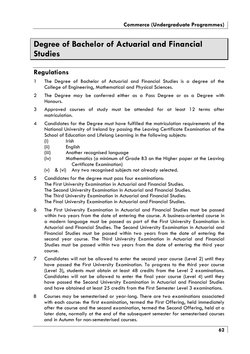# **Degree of Bachelor of Actuarial and Financial Studies**

# **Regulations**

- 1 The Degree of Bachelor of Actuarial and Financial Studies is a degree of the College of Engineering, Mathematical and Physical Sciences.
- 2 The Degree may be conferred either as a Pass Degree or as a Degree with Honours.
- 3 Approved courses of study must be attended for at least 12 terms after matriculation.
- 4 Candidates for the Degree must have fulfilled the matriculation requirements of the National University of Ireland by passing the Leaving Certificate Examination of the School of Education and Lifelong Learning in the following subjects:
	- (i) Irish
	- (ii) English
	- (iii) Another recognised language
	- (iv) Mathematics (a minimum of Grade B3 on the Higher paper at the Leaving Certificate Examination)
	- (v) & (vi) Any two recognised subjects not already selected.
- 5 Candidates for the degree must pass four examinations: The First University Examination in Actuarial and Financial Studies. The Second University Examination in Actuarial and Financial Studies. The Third University Examination in Actuarial and Financial Studies. The Final University Examination in Actuarial and Financial Studies.
- 6 The First University Examination in Actuarial and Financial Studies must be passed within two years from the date of entering the course. A business-oriented course in a modern language must be passed as part of the First University Examination in Actuarial and Financial Studies. The Second University Examination in Actuarial and Financial Studies must be passed within two years from the date of entering the second year course. The Third University Examination in Actuarial and Financial Studies must be passed within two years from the date of entering the third year course.
- 7 Candidates will not be allowed to enter the second year course (Level 2) until they have passed the First University Examination. To progress to the third year course (Level 3), students must obtain at least 48 credits from the Level 2 examinations. Candidates will not be allowed to enter the final year course (Level 4) until they have passed the Second University Examination in Actuarial and Financial Studies and have obtained at least 25 credits from the First Semester Level 3 examinations.
- 8 Courses may be semesterised or year-long. There are two examinations associated with each course: the first examination, termed the First Offering, held immediately after the course and the second examination, termed the Second Offering, held at a later date, normally at the end of the subsequent semester for semesterised courses and in Autumn for non-semesterised courses.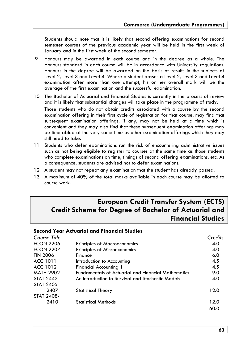Students should note that it is likely that second offering examinations for second semester courses of the previous academic year will be held in the first week of January and in the first week of the second semester.

- 9 Honours may be awarded in each course and in the degree as a whole. The Honours standard in each course will be in accordance with University regulations. Honours in the degree will be awarded on the basis of results in the subjects of Level 2, Level 3 and Level 4. Where a student passes a Level 2, Level 3 and Level 4 examination after more than one attempt, his or her overall mark will be the average of the first examination and the successful examination.
- 10 The Bachelor of Actuarial and Financial Studies is currently in the process of review and it is likely that substantial changes will take place in the programme of study.

Those students who do not obtain credits associated with a course by the second examination offering in their first cycle of registration for that course, may find that subsequent examination offerings, if any, may not be held at a time which is convenient and they may also find that these subsequent examination offerings may be timetabled at the very same time as other examination offerings which they may still need to take.

- 11 Students who defer examinations run the risk of encountering administrative issues such as not being eligible to register to courses at the same time as those students who complete examinations on time, timings of second offering examinations, etc. As a consequence, students are advised not to defer examinations.
- 12 A student may not repeat any examination that the student has already passed.
- 13 A maximum of 40% of the total marks available in each course may be allotted to course work.

# **European Credit Transfer System (ECTS) Credit Scheme for Degree of Bachelor of Actuarial and Financial Studies**

### **Second Year Actuarial and Financial Studies**

| Course Title     |                                                            | Credits |
|------------------|------------------------------------------------------------|---------|
| <b>ECON 2206</b> | <b>Principles of Macroeconomics</b>                        | 4.0     |
| <b>ECON 2207</b> | Principles of Microeconomics                               | 4.0     |
| <b>FIN 2006</b>  | Finance                                                    | 6.0     |
| ACC 1011         | Introduction to Accounting                                 | 4.5     |
| ACC 1012         | <b>Financial Accounting 1</b>                              | 4.5     |
| <b>MATH 2902</b> | <b>Fundamentals of Actuarial and Financial Mathematics</b> | 9.0     |
| <b>STAT 2442</b> | An Introduction to Survival and Stochastic Models          | 4.0     |
| STAT 2405-       |                                                            |         |
| 2407             | <b>Statistical Theory</b>                                  | 12.0    |
| STAT 2408-       |                                                            |         |
| 2410             | <b>Statistical Methods</b>                                 | 12.0    |
|                  |                                                            | 60.0    |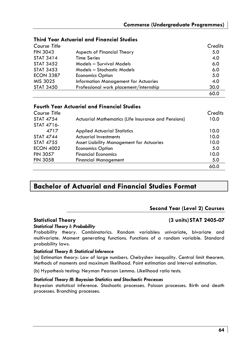| Course Title     |                                        | Credits |
|------------------|----------------------------------------|---------|
| <b>FIN 3043</b>  | Aspects of Financial Theory            | 5.0     |
| <b>STAT 3414</b> | <b>Time Series</b>                     | 4.0     |
| <b>STAT 3452</b> | Models - Survival Models               | 6.0     |
| <b>STAT 3453</b> | Models - Stochastic Models             | 6.0     |
| <b>ECON 3387</b> | <b>Economics Option</b>                | 5.0     |
| MIS 3025         | Information Management for Actuaries   | 4.0     |
| <b>STAT 3450</b> | Professional work placement/internship | 30.0    |
|                  |                                        | 60.0    |

# **Third Year Actuarial and Financial Studies**

# **Fourth Year Actuarial and Financial Studies**

| Course Title     |                                                     | Credits |
|------------------|-----------------------------------------------------|---------|
| <b>STAT 4754</b> | Actuarial Mathematics (Life Insurance and Pensions) | 10.0    |
| STAT 4716-       |                                                     |         |
| 4717             | <b>Applied Actuarial Statistics</b>                 | 10.0    |
| <b>STAT 4744</b> | <b>Actuarial Investments</b>                        | 10.0    |
| <b>STAT 4755</b> | Asset Liability Management for Actuaries            | 10.0    |
| <b>ECON 4002</b> | <b>Economics Option</b>                             | 5.0     |
| <b>FIN 3057</b>  | <b>Financial Economics</b>                          | 10.0    |
| <b>FIN 3058</b>  | <b>Financial Management</b>                         | 5.0     |
|                  |                                                     | 60.0    |

# **Bachelor of Actuarial and Financial Studies Format**

### **Second Year (Level 2) Courses**

# *Statistical Theory I: Probability*

## Probability theory. Combinatorics. Random variables: univariate, bivariate and multivariate. Moment generating functions. Functions of a random variable. Standard probability laws.

### *Statistical Theory II: Statistical Inference*

(a) Estimation theory: Law of large numbers. Chebyshev inequality. Central limit theorem. Methods of moments and maximum likelihood. Point estimation and interval estimation.

(b) Hypothesis testing: Neyman Pearson Lemma. Likelihood ratio tests.

### *Statistical Theory III: Bayesian Statistics and Stochastic Processes*

Bayesian statistical inference. Stochastic processes. Poisson processes. Birth and death processes. Branching processes.

**Statistical Theory (3 units) STAT 2405-07**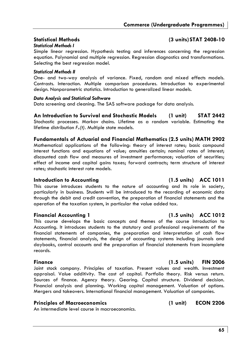### *Statistical Methods I*

Simple linear regression. Hypothesis testing and inferences concerning the regression equation. Polynomial and multiple regression. Regression diagnostics and transformations. Selecting the best regression model.

### *Statistical Methods II*

One- and two-way analysis of variance. Fixed, random and mixed effects models. Contrasts. Interaction. Multiple comparison procedures. Introduction to experimental design. Nonparametric statistics. Introduction to generalized linear models.

### *Data Analysis and Statistical Software*

Data screening and cleaning. The SAS software package for data analysis.

### **An Introduction to Survival and Stochastic Models (1 unit) STAT 2442**

Stochastic processes. Markov chains. Lifetime as a random variable. Estimating the lifetime distribution *Fx(t)*. Multiple state models.

### **Fundamentals of Actuarial and Financial Mathematics (2.5 units) MATH 2902**

Mathematical applications of the following: theory of interest rates; basic compound interest functions and equations of value; annuities certain; nominal rates of interest; discounted cash flow and measures of investment performance; valuation of securities; effect of income and capital gains taxes; forward contracts; term structure of interest rates; stochastic interest rate models.

### **Introduction to Accounting (1.5 units) ACC 1011**

This course introduces students to the nature of accounting and its role in society, particularly in business. Students will be introduced to the recording of economic data through the debit and credit convention, the preparation of financial statements and the operation of the taxation system, in particular the value added tax.

### **Financial Accounting 1 (1.5 units) ACC 1012**

This course develops the basic concepts and themes of the course Introduction to Accounting. It introduces students to the statutory and professional requirements of the financial statements of companies, the preparation and interpretation of cash flow statements, financial analysis, the design of accounting systems including journals and daybooks, control accounts and the preparation of financial statements from incomplete records.

Joint stock company. Principles of taxation. Present values and wealth. Investment appraisal. Value additivity. The cost of capital. Portfolio theory. Risk versus return. Sources of finance. Agency theory. Gearing. Capital structure. Dividend decision. Financial analysis and planning. Working capital management. Valuation of options. Mergers and takeovers. International financial management. Valuation of companies.

### **Principles of Macroeconomics (1 unit) ECON 2206**

An intermediate level course in macroeconomics.

# **Statistical Methods (3 units) STAT 2408-10**

# **Finance (1.5 units) FIN 2006**

### **65**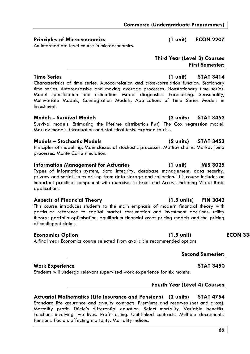# **Commerce (Undergraduate Programmes)**

# **Principles of Microeconomics (1 unit) ECON 2207**

An intermediate level course in microeconomics.

### **Time Series (1 unit) STAT 3414**  Characteristics of time series. Autocorrelation and cross-correlation function. Stationary time series. Autoregressive and moving average processes. Nonstationary time series. Model specification and estimation. Model diagnostics. Forecasting. Seasonality, Multivariate Models, Cointegration Models, Applications of Time Series Models in Investment.

# **Models - Survival Models (2 units) STAT 3452**

Survival models. Estimating the lifetime distribution  $F_x(t)$ . The Cox regression model. Markov models. Graduation and statistical tests. Exposed to risk.

# **Models – Stochastic Models (2 units) STAT 3453**

Principles of modelling. Main classes of stochastic processes. Markov chains. Markov jump processes. Monte Carlo simulation.

# **Information Management for Actuaries (1 unit) MIS 3025**

Types of information system, data integrity, database management, data security, privacy and social issues arising from data storage and collection. This course includes an important practical component with exercises in Excel and Access, including Visual Basic applications.

# **Aspects of Financial Theory (1.5 units) FIN 3043**

This course introduces students to the main emphasis of modern financial theory with particular reference to capital market consumption and investment decisions; utility theory; portfolio optimisation, equilibrium financial asset pricing models and the pricing of contingent claims.

**Actuarial Mathematics (Life Insurance and Pensions) (2 units) STAT 4754**  Standard life assurance and annuity contracts. Premiums and reserves (net and gross). Mortality profit. Thiele's differential equation. Select mortality. Variable benefits. Functions involving two lives. Profit-testing. Unit-linked contracts. Multiple decrements.

# **Economics Option 1.5 unit)** ECON 33

A final year Economics course selected from available recommended options.

# **Second Semester:**

Pensions. Factors affecting mortality. Mortality indices.

Students will undergo relevant supervised work experience for six months.

# **Fourth Year (Level 4) Courses**

# Work Experience **STAT 3450**

# **Third Year (Level 3) Courses First Semester:**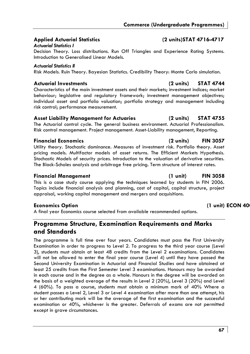# **Applied Actuarial Statistics (2 units)STAT 4716-4717**

### *Actuarial Statistics I*

Decision Theory. Loss distributions. Run Off Triangles and Experience Rating Systems. Introduction to Generalised Linear Models.

### *Actuarial Statistics II*

Risk Models. Ruin Theory. Bayesian Statistics. Credibility Theory: Monte Carlo simulation.

## **Actuarial Investments (2 units) STAT 4744**

Characteristics of the main investment assets and their markets; investment indices; market behaviour; legislative and regulatory framework; investment management objectives; individual asset and portfolio valuation; portfolio strategy and management including risk control; performance measurement.

### **Asset Liability Management for Actuaries (2 units) STAT 4755**

The Actuarial control cycle. The general business environment. Actuarial Professionalism. Risk control management. Project management. Asset-Liability management, Reporting.

## **Financial Economics (2 units) FIN 3057**

Utility theory. Stochastic dominance. Measures of investment risk. Portfolio theory. Asset pricing models. Multifactor models of asset returns. The Efficient Markets Hypothesis. Stochastic Models of security prices. Introduction to the valuation of derivative securities. The Black-Scholes analysis and arbitrage free pricing. Term structure of interest rates.

### **Financial Management (1 unit) FIN 3058**

This is a case study course applying the techniques learned by students in FIN 2006. Topics include financial analysis and planning, cost of capital, capital structure, project appraisal, working capital management and mergers and acquisitions.

# **Economics Option (1 unit) ECON 40**

A final year Economics course selected from available recommended options.

# **Programme Structure, Examination Requirements and Marks and Standards**

The programme is full time over four years. Candidates must pass the First University Examination in order to progress to Level 2. To progress to the third year course (Level 3), students must obtain at least 48 credits from the Level 2 examinations. Candidates will not be allowed to enter the final year course (Level 4) until they have passed the Second University Examination in Actuarial and Financial Studies and have obtained at least 25 credits from the First Semester Level 3 examinations. Honours may be awarded in each course and in the degree as a whole. Honours in the degree will be awarded on the basis of a weighted average of the results in Level 2 (20%), Level 3 (20%) and Level 4 (60%). To pass a course, students must obtain a minimum mark of 40% Where a student passes a Level 2, Level 3 or Level 4 examination after more than one attempt, his or her contributing mark will be the average of the first examination and the successful examination or 40%, whichever is the greater. Deferrals of exams are not permitted except in grave circumstances.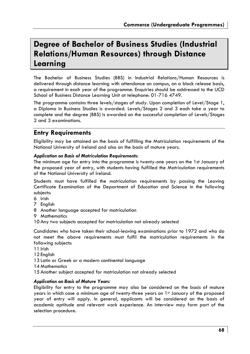# **Degree of Bachelor of Business Studies (Industrial Relations/Human Resources) through Distance Learning**

The Bachelor of Business Studies (BBS) in Industrial Relations/Human Resources is delivered through distance learning with attendance on campus, on a block release basis, a requirement in each year of the programme. Enquiries should be addressed to the UCD School of Business Distance Learning Unit at telephone: 01-716 4749.

The programme contains three levels/stages of study. Upon completion of Level/Stage 1, a Diploma in Business Studies is awarded. Levels/Stages 2 and 3 each take a year to complete and the degree (BBS) is awarded on the successful completion of Levels/Stages 2 and 3 examinations.

# **Entry Requirements**

Eligibility may be attained on the basis of fulfilling the Matriculation requirements of the National University of Ireland and also on the basis of mature years.

### *Application on Basis of Matriculation Requirements:*

The minimum age for entry into the programme is twenty-one years on the 1st January of the proposed year of entry, with students having fulfilled the Matriculation requirements of the National University of Ireland.

Students must have fulfilled the matriculation requirements by passing the Leaving Certificate Examination of the Department of Education and Science in the following subjects:

- 6 Irish
- 7 English
- 8 Another language accepted for matriculation
- 9 Mathematics

10 Any two subjects accepted for matriculation not already selected

Candidates who have taken their school-leaving examinations prior to 1972 and who do not meet the above requirements must fulfil the matriculation requirements in the following subjects:

- 11 Irish
- 12 English
- 13 Latin or Greek or a modern continental language
- 14 Mathematics
- 15 Another subject accepted for matriculation not already selected

### *Application on Basis of Mature Years:*

Eligibility for entry to the programme may also be considered on the basis of mature years in which case a minimum age of twenty-three years on 1st January of the proposed year of entry will apply. In general, applicants will be considered on the basis of academic aptitude and relevant work experience. An interview may form part of the selection procedure.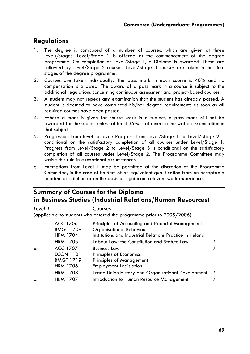# **Regulations**

- 1. The degree is composed of a number of courses, which are given at three levels/stages. Level/Stage 1 is offered at the commencement of the degree programme. On completion of Level/Stage 1, a Diploma is awarded. These are followed by Level/Stage 2 courses. Level/Stage 3 courses are taken in the final stages of the degree programme.
- 2. Courses are taken individually. The pass mark in each course is 40% and no compensation is allowed. The award of a pass mark in a course is subject to the additional regulations concerning continuous assessment and project-based courses.
- 3. A student may not repeat any examination that the student has already passed. A student is deemed to have completed his/her degree requirements as soon as all required courses have been passed.
- 4. Where a mark is given for course work in a subject, a pass mark will not be awarded for the subject unless at least 35% is attained in the written examination in that subject.
- 5. Progression from level to level: Progress from Level/Stage 1 to Level/Stage 2 is conditional on the satisfactory completion of all courses under Level/Stage 1. Progress from Level/Stage 2 to Level/Stage 3 is conditional on the satisfactory completion of all courses under Level/Stage 2. The Programme Committee may waive this rule in exceptional circumstances.
- 6. Exemptions from Level 1 may be permitted at the discretion of the Programme Committee, in the case of holders of an equivalent qualification from an acceptable academic institution or on the basis of significant relevant work experience.

# **Summary of Courses for the Diploma in Business Studies (Industrial Relations/Human Resources)**

*Level 1* Courses

(applicable to students who entered the programme prior to 2005/2006)

|    | ACC 1706         | Principles of Accounting and Financial Management         |  |
|----|------------------|-----------------------------------------------------------|--|
|    | <b>BMGT 1709</b> | Organisational Behaviour                                  |  |
|    | <b>HRM 1704</b>  | Institutions and Industrial Relations Practice in Ireland |  |
|    | <b>HRM 1705</b>  | Labour Law: the Constitution and Statute Law              |  |
| or | ACC 1707         | <b>Business Law</b>                                       |  |
|    | <b>ECON 1101</b> | Principles of Economics                                   |  |
|    | <b>BMGT 1719</b> | <b>Principles of Management</b>                           |  |
|    | <b>HRM 1706</b>  | <b>Employment Legislation</b>                             |  |
|    | <b>HRM 1703</b>  | Trade Union History and Organisational Development        |  |
| or | <b>HRM 1707</b>  | Introduction to Human Resource Management                 |  |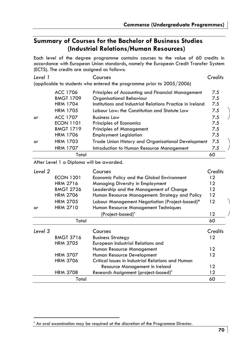# **Summary of Courses for the Bachelor of Business Studies (Industrial Relations/Human Resources)**

Each level of the degree programme contains courses to the value of 60 credits in accordance with European Union standards, namely the European Credit Transfer System (ECTS). The credits are assigned as follows:

| Level 1            |                                          | Courses                                                                       | Credits    |  |
|--------------------|------------------------------------------|-------------------------------------------------------------------------------|------------|--|
|                    |                                          | (applicable to students who entered the programme prior to 2005/2006)         |            |  |
|                    | ACC 1706<br><b>BMGT 1709</b>             | Principles of Accounting and Financial Management<br>Organisational Behaviour | 7.5<br>7.5 |  |
|                    | <b>HRM 1704</b>                          | Institutions and Industrial Relations Practice in Ireland                     | 7.5        |  |
|                    | <b>HRM 1705</b>                          | Labour Law: the Constitution and Statute Law                                  | 7.5        |  |
| or                 | <b>ACC 1707</b>                          | <b>Business Law</b>                                                           | 7.5        |  |
|                    | <b>ECON 1101</b>                         | Principles of Economics                                                       | 7.5        |  |
|                    | <b>BMGT 1719</b>                         | <b>Principles of Management</b>                                               | 7.5        |  |
|                    | <b>HRM 1706</b>                          | <b>Employment Legislation</b>                                                 | 7.5        |  |
| or                 | <b>HRM 1703</b>                          | Trade Union History and Organisational Development                            | 7.5        |  |
|                    | <b>HRM 1707</b>                          | Introduction to Human Resource Management                                     | 7.5        |  |
|                    | Total                                    |                                                                               | 60         |  |
|                    | After Level 1 a Diploma will be awarded. |                                                                               |            |  |
| Level <sub>2</sub> |                                          | Courses                                                                       | Credits    |  |
|                    | <b>ECON 1201</b>                         | Economic Policy and the Global Environment                                    | 12         |  |
|                    | <b>HRM 2716</b>                          | Managing Diversity in Employment                                              | 12         |  |
|                    | <b>BMGT 2726</b>                         | Leadership and the Management of Change                                       | 12         |  |
|                    | <b>HRM 2706</b>                          | Human Resource Management: Strategy and Policy                                | 12         |  |
|                    | <b>HRM 2705</b>                          | Labour Management Negotiation (Project-based)*                                | 12         |  |
| or                 | <b>HRM 2710</b>                          | Human Resource Management Techniques                                          |            |  |
|                    |                                          | (Project-based)*                                                              | 12         |  |
|                    | Total                                    |                                                                               | 60         |  |
| Level 3            |                                          | Courses                                                                       | Credits    |  |
|                    | <b>BMGT 3716</b>                         | <b>Business Strategy</b>                                                      | 12         |  |
|                    | <b>HRM 3705</b>                          | European Industrial Relations and                                             |            |  |
|                    |                                          | Human Resource Management                                                     | 12         |  |
|                    | <b>HRM 3707</b>                          | Human Resource Development                                                    | 12         |  |
|                    | <b>HRM 3706</b>                          | Critical Issues in Industrial Relations and Human                             |            |  |
|                    |                                          | Resource Management in Ireland                                                | 12         |  |
|                    | <b>HRM 3708</b>                          | Research Assignment (project-based)*                                          | 12<br>60   |  |
| Total              |                                          |                                                                               |            |  |

<sup>\*</sup> An oral examination may be required at the discretion of the Programme Director.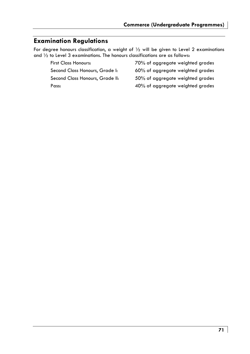# **Examination Regulations**

For degree honours classification, a weight of ½ will be given to Level 2 examinations and ½ to Level 3 examinations. The honours classifications are as follows:

First Class Honours: 70% of aggregate weighted grades

Second Class Honours, Grade I: 60% of aggregate weighted grades

Second Class Honours, Grade II: 50% of aggregate weighted grades

Pass: 40% of aggregate weighted grades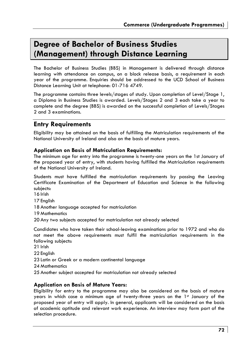# **Degree of Bachelor of Business Studies (Management) through Distance Learning**

The Bachelor of Business Studies (BBS) in Management is delivered through distance learning with attendance on campus, on a block release basis, a requirement in each year of the programme. Enquiries should be addressed to the UCD School of Business Distance Learning Unit at telephone: 01-716 4749.

The programme contains three levels/stages of study. Upon completion of Level/Stage 1, a Diploma in Business Studies is awarded. Levels/Stages 2 and 3 each take a year to complete and the degree (BBS) is awarded on the successful completion of Levels/Stages 2 and 3 examinations.

# **Entry Requirements**

Eligibility may be attained on the basis of fulfilling the Matriculation requirements of the National University of Ireland and also on the basis of mature years.

## **Application on Basis of Matriculation Requirements:**

The minimum age for entry into the programme is twenty-one years on the 1st January of the proposed year of entry, with students having fulfilled the Matriculation requirements of the National University of Ireland.

Students must have fulfilled the matriculation requirements by passing the Leaving Certificate Examination of the Department of Education and Science in the following subjects:

16 Irish

17 English

- 18 Another language accepted for matriculation
- 19 Mathematics
- 20 Any two subjects accepted for matriculation not already selected

Candidates who have taken their school-leaving examinations prior to 1972 and who do not meet the above requirements must fulfil the matriculation requirements in the following subjects:

- 21 Irish
- 22 English
- 23 Latin or Greek or a modern continental language
- 24 Mathematics
- 25 Another subject accepted for matriculation not already selected

### **Application on Basis of Mature Years:**

Eligibility for entry to the programme may also be considered on the basis of mature years in which case a minimum age of twenty-three years on the 1st January of the proposed year of entry will apply. In general, applicants will be considered on the basis of academic aptitude and relevant work experience. An interview may form part of the selection procedure.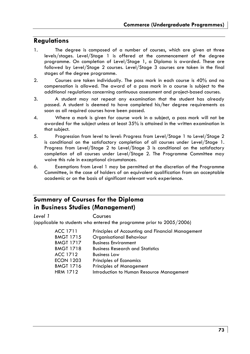# **Regulations**

- 1. The degree is composed of a number of courses, which are given at three levels/stages. Level/Stage 1 is offered at the commencement of the degree programme. On completion of Level/Stage 1, a Diploma is awarded. These are followed by Level/Stage 2 courses. Level/Stage 3 courses are taken in the final stages of the degree programme.
- 2. Courses are taken individually. The pass mark in each course is 40% and no compensation is allowed. The award of a pass mark in a course is subject to the additional regulations concerning continuous assessment and project-based courses.
- 3. A student may not repeat any examination that the student has already passed. A student is deemed to have completed his/her degree requirements as soon as all required courses have been passed.
- 4. Where a mark is given for course work in a subject, a pass mark will not be awarded for the subject unless at least 35% is attained in the written examination in that subject.
- 5. Progression from level to level: Progress from Level/Stage 1 to Level/Stage 2 is conditional on the satisfactory completion of all courses under Level/Stage 1. Progress from Level/Stage 2 to Level/Stage 3 is conditional on the satisfactory completion of all courses under Level/Stage 2. The Programme Committee may waive this rule in exceptional circumstances.
- 6. Exemptions from Level 1 may be permitted at the discretion of the Programme Committee, in the case of holders of an equivalent qualification from an acceptable academic or on the basis of significant relevant work experience.

# **Summary of Courses for the Diploma in Business Studies (Management)**

*Level 1* Courses

(applicable to students who entered the programme prior to 2005/2006)

| ACC 1711         | Principles of Accounting and Financial Management |
|------------------|---------------------------------------------------|
| <b>BMGT 1715</b> | Organisational Behaviour                          |
| <b>BMGT 1717</b> | <b>Business Environment</b>                       |
| <b>BMGT 1718</b> | <b>Business Research and Statistics</b>           |
| ACC 1712         | <b>Business Law</b>                               |
| <b>ECON 1203</b> | Principles of Economics                           |
| <b>BMGT 1716</b> | <b>Principles of Management</b>                   |
| <b>HRM 1712</b>  | Introduction to Human Resource Management         |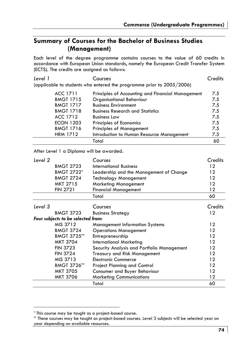# **Summary of Courses for the Bachelor of Business Studies (Management)**

Each level of the degree programme contains courses to the value of 60 credits in accordance with European Union standards, namely the European Credit Transfer System (ECTS). The credits are assigned as follows:

| Level 1 |                                          | Courses                                                               | Credits |
|---------|------------------------------------------|-----------------------------------------------------------------------|---------|
|         |                                          | (applicable to students who entered the programme prior to 2005/2006) |         |
|         | ACC 1711                                 | Principles of Accounting and Financial Management                     | 7.5     |
|         | <b>BMGT 1715</b>                         | Organisational Behaviour                                              | 7.5     |
|         | <b>BMGT 1717</b>                         | <b>Business Environment</b>                                           | 7.5     |
|         | <b>BMGT 1718</b>                         | <b>Business Research and Statistics</b>                               | 7.5     |
|         | ACC 1712                                 | <b>Business Law</b>                                                   | 7.5     |
|         | <b>ECON 1203</b>                         | Principles of Economics                                               | 7.5     |
|         | <b>BMGT 1716</b>                         | <b>Principles of Management</b>                                       | 7.5     |
|         | <b>HRM 1712</b>                          | Introduction to Human Resource Management                             | 7.5     |
|         |                                          | Total                                                                 | 60      |
|         | After Level 1 a Diploma will be awarded. |                                                                       |         |
| Level 2 |                                          | Courses                                                               | Credits |
|         | <b>BMGT 2723</b>                         | <b>International Business</b>                                         | 12      |
|         | <b>BMGT 2722*</b>                        | Leadership and the Management of Change                               | 12      |
|         | <b>BMGT 2724</b>                         | <b>Technology Management</b>                                          | 12      |
|         | MKT 2715                                 | <b>Marketing Management</b>                                           | 12      |
|         | <b>FIN 2721</b>                          | <b>Financial Management</b>                                           | 12      |
|         |                                          | Total                                                                 | 60      |
| Level 3 |                                          | Courses                                                               | Credits |
|         | <b>BMGT 3723</b>                         | <b>Business Strategy</b>                                              | 12      |
|         | Four subjects to be selected from:       |                                                                       |         |
|         | MIS 3712                                 | <b>Management Information Systems</b>                                 | 12      |
|         | <b>BMGT 3724</b>                         | <b>Operations Management</b>                                          | 12      |
|         | BMGT 3725**                              | Entrepreneurship                                                      | 12      |
|         | MKT 3704                                 | <b>International Marketing</b>                                        | 12      |
|         | <b>FIN 3723</b>                          | Security Analysis and Portfolio Management                            | 12      |
|         | <b>FIN 3724</b>                          | <b>Treasury and Risk Management</b>                                   | 12      |
|         | MIS 3713                                 | <b>Electronic Commerce</b>                                            | 12      |
|         | BMGT 3726**                              | Project Planning and Control                                          | 12      |
|         | <b>MKT 3705</b>                          | Consumer and Buyer Behaviour                                          | 12      |
|         | <b>MKT 3706</b>                          | <b>Marketing Communications</b>                                       | 12      |
|         |                                          | Total                                                                 | 60      |

<sup>\*</sup> This course may be taught as a project-based course.

<sup>\*\*</sup> These courses may be taught as project-based courses. Level 3 subjects will be selected year on year depending on available resources.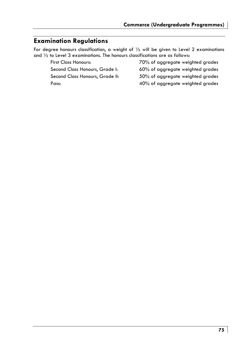# **Examination Regulations**

For degree honours classification, a weight of  $\frac{1}{2}$  will be given to Level 2 examinations and ½ to Level 3 examinations. The honours classifications are as follows:

Second Class Honours, Grade I: 60% of aggregate weighted grades

Second Class Honours, Grade II: 50% of aggregate weighted grades

First Class Honours: 70% of aggregate weighted grades

Pass: 40% of aggregate weighted grades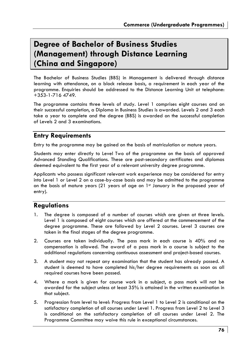# **Degree of Bachelor of Business Studies (Management) through Distance Learning (China and Singapore)**

The Bachelor of Business Studies (BBS) in Management is delivered through distance learning with attendance, on a block release basis, a requirement in each year of the programme. Enquiries should be addressed to the Distance Learning Unit at telephone: +353-1-716 4749.

The programme contains three levels of study. Level 1 comprises eight courses and on their successful completion, a Diploma in Business Studies is awarded. Levels 2 and 3 each take a year to complete and the degree (BBS) is awarded on the successful completion of Levels 2 and 3 examinations.

# **Entry Requirements**

Entry to the programme may be gained on the basis of matriculation or mature years.

Students may enter directly to Level Two of the programme on the basis of approved Advanced Standing Qualifications. These are post-secondary certificates and diplomas deemed equivalent to the first year of a relevant university degree programme.

Applicants who possess significant relevant work experience may be considered for entry into Level 1 or Level 2 on a case-by-case basis and may be admitted to the programme on the basis of mature years  $(21 \text{ years of age on } 1\text{st}$  January in the proposed year of entry).

# **Regulations**

- 1. The degree is composed of a number of courses which are given at three levels. Level 1 is composed of eight courses which are offered at the commencement of the degree programme. These are followed by Level 2 courses. Level 3 courses are taken in the final stages of the degree programme.
- 2. Courses are taken individually. The pass mark in each course is 40% and no compensation is allowed. The award of a pass mark in a course is subject to the additional regulations concerning continuous assessment and project-based courses.
- 3. A student may not repeat any examination that the student has already passed. A student is deemed to have completed his/her degree requirements as soon as all required courses have been passed.
- 4. Where a mark is given for course work in a subject, a pass mark will not be awarded for the subject unless at least 35% is attained in the written examination in that subject.
- 5. Progression from level to level: Progress from Level 1 to Level 2 is conditional on the satisfactory completion of all courses under Level 1. Progress from Level 2 to Level 3 is conditional on the satisfactory completion of all courses under Level 2. The Programme Committee may waive this rule in exceptional circumstances.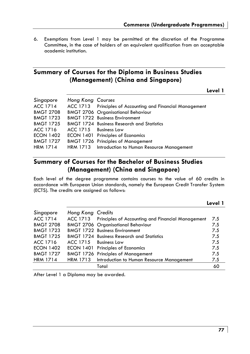6. Exemptions from Level 1 may be permitted at the discretion of the Programme Committee, in the case of holders of an equivalent qualification from an acceptable academic institution.

# **Summary of Courses for the Diploma in Business Studies (Management) (China and Singapore)**

**Level 1** 

| Singapore        | Hong Kong Courses     |                                                            |
|------------------|-----------------------|------------------------------------------------------------|
| ACC 1714         |                       | ACC 1713 Principles of Accounting and Financial Management |
| <b>BMGT 2708</b> |                       | <b>BMGT 2706 Organisational Behaviour</b>                  |
| <b>BMGT 1723</b> |                       | <b>BMGT 1722 Business Environment</b>                      |
| <b>BMGT 1725</b> |                       | <b>BMGT 1724 Business Research and Statistics</b>          |
| ACC 1716         | ACC 1715 Business Law |                                                            |
| <b>ECON 1402</b> |                       | ECON 1401 Principles of Economics                          |
| <b>BMGT 1727</b> |                       | <b>BMGT 1726 Principles of Management</b>                  |
| <b>HRM 1714</b>  |                       | HRM 1713 Introduction to Human Resource Management         |

# **Summary of Courses for the Bachelor of Business Studies (Management) (China and Singapore)**

Each level of the degree programme contains courses to the value of 60 credits in accordance with European Union standards, namely the European Credit Transfer System (ECTS). The credits are assigned as follows:

| Singapore        | Hong Kong Credits     |                                                            |     |
|------------------|-----------------------|------------------------------------------------------------|-----|
| <b>ACC 1714</b>  |                       | ACC 1713 Principles of Accounting and Financial Management | 7.5 |
| <b>BMGT 2708</b> |                       | <b>BMGT 2706 Organisational Behaviour</b>                  | 7.5 |
| <b>BMGT 1723</b> |                       | <b>BMGT 1722 Business Environment</b>                      | 7.5 |
| <b>BMGT 1725</b> |                       | <b>BMGT 1724 Business Research and Statistics</b>          | 7.5 |
| ACC 1716         | ACC 1715 Business Law |                                                            | 7.5 |
| <b>ECON 1402</b> |                       | ECON 1401 Principles of Economics                          | 7.5 |
| <b>BMGT 1727</b> |                       | <b>BMGT 1726 Principles of Management</b>                  | 7.5 |
| <b>HRM 1714</b>  |                       | HRM 1713 Introduction to Human Resource Management         | 7.5 |
|                  |                       | Total                                                      | 60  |

After Level 1 a Diploma may be awarded.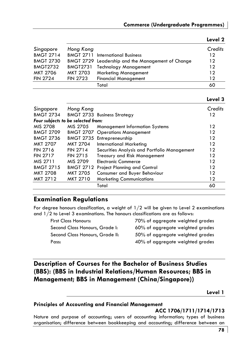| Singapore        | Hong Kong       |                                                   | Credits |
|------------------|-----------------|---------------------------------------------------|---------|
| <b>BMGT 2714</b> |                 | <b>BMGT 2711 International Business</b>           | $12 \,$ |
| <b>BMGT 2730</b> |                 | BMGT 2729 Leadership and the Management of Change | 12      |
| <b>BMGT2732</b>  | <b>BMGT2731</b> | <b>Technology Management</b>                      | 12      |
| MKT 2706         | <b>MKT 2703</b> | <b>Marketing Management</b>                       | 12      |
| <b>FIN 2724</b>  | <b>FIN 2723</b> | <b>Financial Management</b>                       | 12      |
|                  |                 | Total                                             | 60      |
|                  |                 |                                                   |         |

### **Level 2**

## **Level 3**

| Singapore<br><b>BMGT 2734</b>      | Hong Kong        | <b>BMGT 2733 Business Strategy</b>           | Credits<br>12 |
|------------------------------------|------------------|----------------------------------------------|---------------|
| Four subjects to be selected from: |                  |                                              |               |
| MIS 2708                           | MIS 2705         | <b>Management Information Systems</b>        | 12            |
| <b>BMGT 2709</b>                   |                  | <b>BMGT 2707 Operations Management</b>       | 12            |
| <b>BMGT 2736</b>                   |                  | BMGT 2735 Entrepreneurship                   | 12            |
| <b>MKT 2707</b>                    | <b>MKT 2704</b>  | <b>International Marketing</b>               | 12            |
| <b>FIN 2716</b>                    | <b>FIN 2714</b>  | Securities Analysis and Portfolio Management | 12            |
| <b>FIN 2717</b>                    | <b>FIN 2715</b>  | <b>Treasury and Risk Management</b>          | 12            |
| MIS 2711                           | MIS 2709         | <b>Electronic Commerce</b>                   | 12            |
| <b>BMGT 2715</b>                   | <b>BMGT 2712</b> | <b>Project Planning and Control</b>          | 12            |
| <b>MKT 2708</b>                    | MKT 2705         | Consumer and Buyer Behaviour                 | 12            |
| <b>MKT 2712</b>                    | <b>MKT 2710</b>  | <b>Marketing Communications</b>              | 12            |
|                                    |                  | Total                                        | 60            |
|                                    |                  |                                              |               |

# **Examination Regulations**

For degree honours classification, a weight of  $1/2$  will be given to Level 2 examinations and  $1/2$  to Level 3 examinations. The honours classifications are as follows:

 First Class Honours: 70% of aggregate weighted grades Second Class Honours, Grade I: 60% of aggregate weighted grades Second Class Honours, Grade II: 50% of aggregate weighted grades Pass: 40% of aggregate weighted grades

# **Description of Courses for the Bachelor of Business Studies (BBS): (BBS in Industrial Relations/Human Resources; BBS in Management; BBS in Management (China/Singapore))**

**Level 1** 

### **Principles of Accounting and Financial Management**

### **ACC 1706/1711/1714/1713**

Nature and purpose of accounting; users of accounting information; types of business organisation; difference between bookkeeping and accounting; difference between an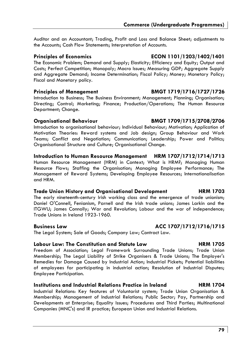Auditor and an Accountant; Trading, Profit and Loss and Balance Sheet; adjustments to the Accounts; Cash Flow Statements; Interpretation of Accounts.

# **Principles of Economics ECON 1101/1203/1402/1401**

The Economic Problem; Demand and Supply; Elasticity; Efficiency and Equity; Output and Costs; Perfect Competition; Monopoly; Macro Issues; Measuring GDP; Aggregate Supply and Aggregate Demand; Income Determination; Fiscal Policy; Money; Monetary Policy; Fiscal and Monetary policy.

## **Principles of Management BMGT 1719/1716/1727/1726**

Introduction to Business; The Business Environment; Management; Planning; Organisation; Directing; Control; Marketing; Finance; Production/Operations; The Human Resource Department; Change.

Introduction to organisational behaviour; Individual Behaviour; Motivation; Application of Motivation Theories: Reward systems and Job design; Group Behaviour and Work Teams; Conflict and Negotiation; Communication; Leadership; Power and Politics; Organisational Structure and Culture; Organisational Change.

# **Introduction to Human Resource Management HRM 1707/1712/1714/1713**

Human Resource Management (HRM) in Context; What is HRM?; Managing Human Resource Flows; Staffing the Organisation; Managing Employee Performance; The Management of Reward Systems; Developing Employee Resources; Internationalisation and HRM.

# **Trade Union History and Organisational Development HRM 1703**

The early nineteenth-century Irish working class and the emergence of trade unionism; Daniel O'Connell, Fenianism, Parnell and the Irish trade unions; James Larkin and the ITGWU; James Connolly; War and Revolution; Labour and the war of independence; Trade Unions in Ireland 1923-1960.

The Legal System; Sale of Goods; Company Law; Contract Law.

# **Labour Law: The Constitution and Statute Law HRM 1705**

Freedom of Association; Legal Framework Surrounding Trade Unions; Trade Union Membership; The Legal Liability of Strike Organisers & Trade Unions; The Employer's Remedies for Damage Caused by Industrial Action; Industrial Pickets; Potential liabilities of employees for participating in industrial action; Resolution of Industrial Disputes; Employee Participation.

# **Institutions and Industrial Relations Practice in Ireland HRM 1704**

Industrial Relations: Key features of Voluntarist system; Trade Union Organisation & Membership; Management of Industrial Relations; Public Sector; Pay, Partnership and Developments at Enterprise; Equality Issues; Procedures and Third Parties; Multinational Companies (MNC's) and IR practice; European Union and Industrial Relations.

## **Organisational Behaviour BMGT 1709/1715/2708/2706**

# **Business Law ACC 1707/1712/1716/1715**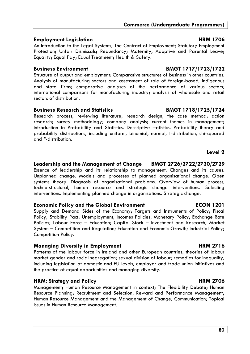## **Employment Legislation HRM 1706**

An Introduction to the Legal Systems; The Contract of Employment; Statutory Employment Protection; Unfair Dismissals; Redundancy; Maternity, Adoptive and Parental Leave; Equality; Equal Pay; Equal Treatment; Health & Safety.

Structure of output and employment: Comparative structures of business in other countries. Analysis of manufacturing sectors and assessment of role of foreign-based, indigenous and state firms; comparative analyses of the performance of various sectors; international comparisons for manufacturing industry; analysis of wholesale and retail sectors of distribution.

## **Business Research and Statistics BMGT 1718/1725/1724**

Research process; reviewing literature; research design; the case method; action research; survey methodology; company analysis; current themes in management; introduction to Probability and Statistics. Descriptive statistics. Probability theory and probability distributions, including uniform, binomial, normal, t-distribution, chi-squared and F-distribution.

# **Leadership and the Management of Change BMGT 2726/2722/2730/2729**

Essence of leadership and its relationship to management. Changes and its causes. Unplanned change. Models and processes of planned organisational change. Open systems theory. Diagnosis of organisational problems. Overview of human process, techno-structural, human resource and strategic change interventions. Selecting interventions. Implementing planned change in organisations. Strategic change.

## **Economic Policy and the Global Environment ECON 1201**

Supply and Demand Sides of the Economy; Targets and Instruments of Policy; Fiscal Policy; Stability Pact; Unemployment; Incomes Policies; Monetary Policy; Exchange Rate Policies; Labour Force – Education; Capital Stock – Investment and Research; Market System – Competition and Regulation; Education and Economic Growth; Industrial Policy; Competition Policy.

## **Managing Diversity in Employment Communication Communication Communication Communication Communication Communication Communication Communication Communication Communication Communication Communication Communication Commun**

Patterns of the labour force in Ireland and other European countries; theories of labour market gender and racial segregation; sexual division of labour; remedies for inequality, including legislation at domestic and EU levels, employer and trade union initiatives and the practice of equal opportunities and managing diversity.

# **HRM: Strategy and Policy Community Community HRM 2706**

Management; Human Resource Management in context; The Flexibility Debate; Human Resource Planning; Recruitment and Selection; Reward and Performance Management; Human Resource Management and the Management of Change; Communication; Topical Issues in Human Resource Management.

# **Business Environment BMGT 1717/1723/1722**

**Level 2**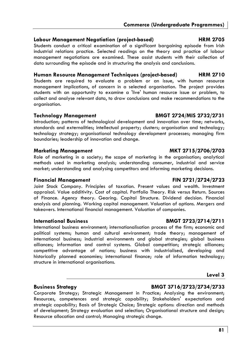## **Labour Management Negotiation (project-based) HRM 2705**

Students conduct a critical examination of a significant bargaining episode from Irish industrial relations practice. Selected readings on the theory and practice of labour management negotiations are examined. These assist students with their collection of data surrounding the episode and in structuring the analysis and conclusions.

## **Human Resource Management Techniques (project-based) HRM 2710**

Students are required to evaluate a problem or an issue, with human resource management implications, of concern in a selected organisation. The project provides students with an opportunity to examine a 'live' human resource issue or problem, to collect and analyse relevant data, to draw conclusions and make recommendations to the organisation.

## **Technology Management BMGT 2724/MIS 2732/2731**

Introduction; patterns of technological development and innovation over time; networks, standards and externalities; intellectual property; clusters; organisation and technology; technology strategy; organisational technology development processes; managing firm boundaries; leadership of innovation and change.

## **Marketing Management MKT 2715/2706/2703**

Role of marketing in a society; the scope of marketing in the organisation; analytical methods used in marketing analysis; understanding consumer, industrial and service market; understanding and analysing competitors and informing marketing decisions.

## **Financial Management FIN 2721/2724/2723**

Joint Stock Company. Principles of taxation. Present values and wealth. Investment appraisal. Value additivity. Cost of capital. Portfolio Theory. Risk versus Return. Sources of Finance. Agency theory. Gearing. Capital Structure. Dividend decision. Financial analysis and planning. Working capital management. Valuation of options. Mergers and takeovers. International financial management. Valuation of companies.

## **International Business BMGT 2723/2714/2711**

International business environment; internationalisation process of the firm; economic and political systems; human and cultural environment; trade theory; management of international business; industrial environments and global strategies; global business alliances; information and control systems. Global competition; strategic alliances; competitive advantage of nations; business with industrialised, developing and historically planned economies; international finance; role of information technology; structure in international organisations.

## **Level 3**

# **Business Strategy BMGT 3716/2723/2734/2733**

Corporate Strategy; Strategic Management in Practice; Analysing the environment; Resources, competences and strategic capability; Stakeholders' expectations and strategic capability; Basis of Strategic Choice; Strategic options: direction and methods of development; Strategy evaluation and selection; Organisational structure and design; Resource allocation and control; Managing strategic change.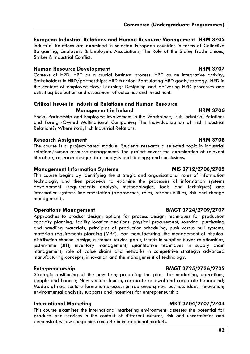## **European Industrial Relations and Human Resource Management HRM 3705**

Industrial Relations are examined in selected European countries in terms of Collective Bargaining, Employers & Employers Associations; The Role of the State; Trade Unions; Strikes & Industrial Conflict.

## **Human Resource Development Area and HRM 3707 http://www.frm.com/manusurer.com/manusurer.com/manusurer.com/manusurer.com/manusurer.com/manusurer.com/manusurer.com/manusurer.com/manusurer.com/manusurer.com/manusurer.com/man**

Context of HRD; HRD as a crucial business process; HRD as an integrative activity; Stakeholders in HRD/partnerships; HRD function; Formulating HRD goals/strategy; HRD in the context of employee flow; Learning; Designing and delivering HRD processes and activities; Evaluation and assessment of outcomes and investment.

## **Critical Issues in Industrial Relations and Human Resource Management in Ireland HRM 3706**

Social Partnership and Employee Involvement in the Workplace; Irish Industrial Relations and Foreign-Owned Multinational Companies; The Individualization of Irish Industrial Relations?; Where now, Irish Industrial Relations.

## **Research Assignment Communist Communist Communist Communist Communist Communist Communist Communist Communist Communist Communist Communist Communist Communist Communist Communist Communist Communist Communist Communist C**

The course is a project-based module. Students research a selected topic in industrial relations/human resource management. The project covers the examination of relevant literature; research design; data analysis and findings; and conclusions.

## **Management Information Systems MIS 3712/2708/2705**

This course begins by identifying the strategic and organisational roles of information technology, and then proceeds to examine the processes of information systems development (requirements analysis, methodologies, tools and techniques) and information systems implementation (approaches, roles, responsibilities, risk and change management).

# **Operations Management BMGT 3724/2709/2707**

Approaches to product design; options for process design; techniques for production capacity planning; facility location decisions; physical procurement, sourcing, purchasing and handling materials; principles of production scheduling, push versus pull systems, materials requirements planning (MRP), lean manufacturing; the management of physical distribution channel design, customer service goals, trends in supplier-buyer relationships, just-in-time (JIT); inventory management; quantitative techniques in supply chain management; role of value chains and networks in competitive strategy; advanced manufacturing concepts; innovation and the management of technology.

Strategic positioning of the new firm; preparing the plans for marketing, operations, people and finance; New venture launch, corporate renewal and corporate turnaround; Models of new venture formation process; entrepreneurs; new business ideas; innovation; environmental analysis; supports and incentives for entrepreneurship.

# **International Marketing MKT 3704/2707/2704**

This course examines the international marketing environment, assesses the potential for products and services in the context of different cultures, risk and uncertainties and demonstrates how companies compete in international markets.

# **Entrepreneurship BMGT 3725/2736/2735**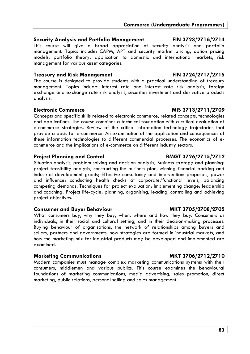## **Security Analysis and Portfolio Management FIN 3723/2716/2714**

This course will give a broad appreciation of security analysis and portfolio management. Topics include: CAPM, APT and security market pricing, option pricing models, portfolio theory, application to domestic and international markets, risk management for various asset categories.

## **Treasury and Risk Management FIN 3724/2717/2715**

The course is designed to provide students with a practical understanding of treasury management. Topics include: interest rate and interest rate risk analysis, foreign exchange and exchange rate risk analysis, securities investment and derivative products analysis.

Concepts and specific skills related to electronic commerce, related concepts, technologies and applications. The course combines a technical foundation with a critical evaluation of e-commerce strategies. Review of the critical information technology trajectories that provide a basis for e-commerce. An examination of the application and consequences of these information technologies to different commercial processes. The economics of ecommerce and the implications of e-commerce on different industry sectors.

# **Project Planning and Control BMGT 3726/2715/2712**

Situation analysis, problem solving and decision analysis; Business strategy and planning: project feasibility analysis; constructing the business plan, winning financial backing and industrial development grants; Effective consultancy and intervention: proposals, power and influence; conducting health checks at corporate/functional levels, balancing competing demands, Techniques for project evaluation; Implementing change: leadership and coaching; Project life-cycle; planning, organising, leading, controlling and achieving project objectives.

# **Consumer and Buyer Behaviour MKT 3705/2708/2705**

What consumers buy, why they buy, when, where and how they buy. Consumers as individuals, in their social and cultural setting, and in their decision-making processes. Buying behaviour of organisations, the network of relationships among buyers and sellers, partners and governments, how strategies are formed in industrial markets, and how the marketing mix for industrial products may be developed and implemented are examined.

# **Marketing Communications MKT 3706/2712/2710**

Modern companies must manage complex marketing communications systems with their consumers, middlemen and various publics. This course examines the behavioural foundations of marketing communications, media advertising, sales promotion, direct marketing, public relations, personal selling and sales management.

# **Electronic Commerce MIS 3713/2711/2709**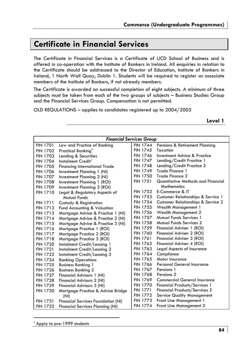# **Certificate in Financial Services**

The Certificate in Financial Services is a Certificate of UCD School of Business and is offered in co-operation with the Institute of Bankers in Ireland. All enquiries in relation to the Certificate should be addressed to the Director of Education, Institute of Bankers in Ireland, 1 North Wall Quay, Dublin 1. Students will be required to register as associate members of the Institute of Bankers, if not already members.

The Certificate is awarded on successful completion of eight subjects. A minimum of three subjects must be taken from each of the two groups of subjects – Business Studies Group and the Financial Services Group. Compensation is not permitted.

OLD REGULATIONS – applies to candidates registered up to 2004/2005

**Level 1** 

|                 | <b>Financial Services Group</b>           |                 |                                      |  |
|-----------------|-------------------------------------------|-----------------|--------------------------------------|--|
| <b>FIN 1701</b> | Law and Practice of Banking               | <b>FIN 1744</b> | Pensions & Retirement Planning       |  |
| <b>FIN 1702</b> | Practical Banking <sup>®</sup>            | <b>FIN 1745</b> | Taxation                             |  |
| <b>FIN 1703</b> | Lending & Securities                      | <b>FIN 1746</b> | Investment Advice & Practice         |  |
| <b>FIN 1704</b> | Instalment Credit*                        | <b>FIN 1747</b> | Lending/Credit Practice 1            |  |
| <b>FIN 1705</b> | <b>Financing International Trade</b>      | <b>FIN 1748</b> | Lending/Credit Practice 2            |  |
| <b>FIN 1706</b> | Investment Planning 1 (NI)                | <b>FIN 1749</b> | Trade Finance 1                      |  |
| <b>FIN 1707</b> | Investment Planning 2 (NI)                | <b>FIN 1750</b> | Trade Finance 2                      |  |
| <b>FIN 1708</b> | Investment Planning 1 (ROI)               | <b>FIN 1751</b> | Quantitative Methods and Financial   |  |
| <b>FIN 1709</b> | Investment Planning 2 (ROI)               |                 | <b>Mathematics</b>                   |  |
| <b>FIN 1710</b> | Legal & Regulatory Aspects of             | <b>FIN 1752</b> | E-Commerce & IT                      |  |
|                 | Mutual Funds                              | <b>FIN 1753</b> | Customer Relationships & Service 1   |  |
| <b>FIN 1711</b> | Custody & Registration                    | <b>FIN 1754</b> | Customer Relationships & Service 2   |  |
| <b>FIN 1712</b> | Fund Accounting & Valuation               | <b>FIN 1755</b> | <b>Wealth Management 1</b>           |  |
| <b>FIN 1713</b> | Mortgage Advice & Practice 1 (NI)         | <b>FIN 1756</b> | <b>Wealth Management 2</b>           |  |
| <b>FIN 1714</b> | Mortgage Advice & Practice 2 (NI)         | <b>FIN 1757</b> | Mutual Funds Services 1              |  |
| <b>FIN 1715</b> | Mortgage Advice & Practice 3 (NI)         | <b>FIN 1758</b> | <b>Mutual Funds Services 2</b>       |  |
| <b>FIN 1716</b> | Mortgage Practice 1 (ROI)                 | <b>FIN 1759</b> | Financial Adviser 1 (ROI)            |  |
| <b>FIN 1717</b> | Mortgage Practice 2 (ROI)                 | <b>FIN 1760</b> | Financial Adviser 2 (ROI)            |  |
| <b>FIN 1718</b> | Mortgage Practice 3 (ROI)                 | <b>FIN 1761</b> | Financial Adviser 3 (ROI)            |  |
| <b>FIN 1720</b> | Instalment Credit/Leasing 1               | <b>FIN 1762</b> | Financial Adviser 4 (ROI)            |  |
| <b>FIN 1721</b> | Instalment Credit/Leasing 2               | <b>FIN 1763</b> | Legal Aspects of Insurance           |  |
| <b>FIN 1722</b> | Instalment Credit/Leasing 3               | <b>FIN 1764</b> | Compliance                           |  |
| <b>FIN 1724</b> | <b>Banking Operations</b>                 | <b>FIN 1765</b> | Motor Insurance                      |  |
| <b>FIN 1725</b> | <b>Business Banking 1</b>                 | <b>FIN 1766</b> | <b>Personal General Insurance</b>    |  |
| <b>FIN 1726</b> | <b>Business Banking 2</b>                 | <b>FIN 1767</b> | Pensions 1                           |  |
| <b>FIN 1727</b> | Financial Advisors 1 (NI)                 | <b>FIN 1768</b> | Pensions <sub>2</sub>                |  |
| <b>FIN 1728</b> | Financial Advisors 2 (NI)                 | <b>FIN 1769</b> | <b>Commercial General Insurance</b>  |  |
| <b>FIN 1729</b> | Financial Advisors 3 (NI)                 | <b>FIN 1770</b> | <b>Financial Products/Services 1</b> |  |
| <b>FIN 1730</b> | Mortgage Practice & Advice Bridge         | <b>FIN 1771</b> | Financial Products/Services 2        |  |
|                 | (NI)                                      | <b>FIN 1772</b> | <b>Service Quality Management</b>    |  |
| <b>FIN 1731</b> | <b>Financial Services Foundation (NI)</b> | <b>FIN 1773</b> | Front Line Management 1              |  |
| <b>FIN 1732</b> | <b>Financial Services Planning (NI)</b>   | <b>FIN 1774</b> | Front Line Management 2              |  |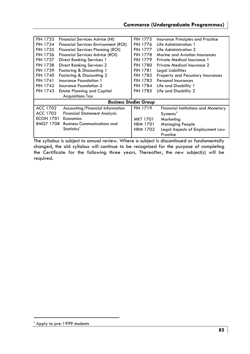| <b>FIN 1733</b>                                       | Financial Services Advice (NI)              | <b>FIN 1775</b> | Insurance Principles and Practice   |
|-------------------------------------------------------|---------------------------------------------|-----------------|-------------------------------------|
| <b>FIN 1734</b>                                       | <b>Financial Services Environment (ROI)</b> | <b>FIN 1776</b> | Life Administration 1               |
| <b>FIN 1735</b>                                       | <b>Financial Services Planning (ROI)</b>    | <b>FIN 1777</b> | Life Administration 2               |
| <b>FIN 1736</b>                                       | <b>Financial Services Advice (ROI)</b>      | <b>FIN 1778</b> | Marine and Aviation Insurances      |
| <b>FIN 1737</b>                                       | <b>Direct Banking Services 1</b>            | <b>FIN 1779</b> | Private Medical Insurance 1         |
| <b>FIN 1738</b>                                       | <b>Direct Banking Services 2</b>            | <b>FIN 1780</b> | Private Medical Insurance 2         |
| <b>FIN 1739</b>                                       | Factoring & Discounting 1                   | <b>FIN 1781</b> | Legal Liabilities                   |
| <b>FIN 1740</b>                                       | Factoring & Discounting 2                   | <b>FIN 1782</b> | Property and Pecuniary Insurances   |
| <b>FIN 1741</b>                                       | Insurance Foundation 1                      | <b>FIN 1783</b> | Personal Insurances                 |
| <b>FIN 1742</b>                                       | Insurance Foundation 2                      | <b>FIN 1784</b> | Life and Disability 1               |
| <b>FIN 1743</b><br><b>Estate Planning and Capital</b> |                                             | <b>FIN 1785</b> | Life and Disability 2               |
|                                                       | <b>Acquisitions Tax</b>                     |                 |                                     |
|                                                       | <b>Business Studies Group</b>               |                 |                                     |
| ACC 1702                                              | Accounting/Financial Information            | <b>FIN 1719</b> | Financial Institutions and Monetary |
| ACC 1703                                              | <b>Financial Statement Analysis</b>         |                 | Systems <sup>*</sup>                |
| <b>ECON 1701</b>                                      | Economics                                   | MKT 1701        | Marketing                           |
| <b>BMGT 1708</b>                                      | <b>Business Communications and</b>          | <b>HRM 1701</b> | <b>Managing People</b>              |
|                                                       | Statistics <sup>*</sup>                     | <b>HRM 1702</b> | Legal Aspects of Employment Law     |
|                                                       |                                             |                 | Practice                            |
|                                                       |                                             |                 |                                     |

The syllabus is subject to annual review. Where a subject is discontinued or fundamentally changed, the old syllabus will continue to be recognised for the purpose of completing the Certificate for the following three years. Thereafter, the new subject(s) will be required.

<sup>\*</sup> Apply to pre-1999 students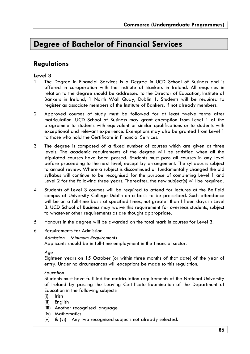# **Degree of Bachelor of Financial Services**

# **Regulations**

## **Level 3**

- 1 The Degree in Financial Services is a Degree in UCD School of Business and is offered in co-operation with the Institute of Bankers in Ireland. All enquiries in relation to the degree should be addressed to the Director of Education, Institute of Bankers in Ireland, 1 North Wall Quay, Dublin 1. Students will be required to register as associate members of the Institute of Bankers, if not already members.
- 2 Approved courses of study must be followed for at least twelve terms after matriculation. UCD School of Business may grant exemption from Level 1 of the programme to students with equivalent or similar qualifications or to students with exceptional and relevant experience. Exemptions may also be granted from Level 1 to those who hold the Certificate in Financial Services.
- 3 The degree is composed of a fixed number of courses which are given at three levels. The academic requirements of the degree will be satisfied when all the stipulated courses have been passed. Students must pass all courses in any level before proceeding to the next level, except by arrangement. The syllabus is subject to annual review. Where a subject is discontinued or fundamentally changed the old syllabus will continue to be recognised for the purpose of completing Level 1 and Level 2 for the following three years. Thereafter, the new subject(s) will be required.
- 4 Students of Level 3 courses will be required to attend for lectures at the Belfield campus of University College Dublin on a basis to be prescribed. Such attendance will be on a full-time basis at specified times, not greater than fifteen days in Level 3. UCD School of Business may waive this requirement for overseas students, subject to whatever other requirements as are thought appropriate.
- 5 Honours in the degree will be awarded on the total mark in courses for Level 3.
- 6 Requirements for Admission

### *Admission – Minimum Requirements*

Applicants should be in full-time employment in the financial sector.

Eighteen years on 15 October (or within three months of that date) of the year of entry. Under no circumstances will exceptions be made to this regulation.

### *Education*

Students must have fulfilled the matriculation requirements of the National University of Ireland by passing the Leaving Certificate Examination of the Department of Education in the following subjects:

- (i) Irish
- (ii) English
- (iii) Another recognised language
- (iv) Mathematics
- (v) & (vi) Any two recognised subjects not already selected.

*Age*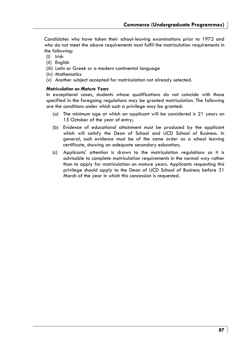Candidates who have taken their school-leaving examinations prior to 1972 and who do not meet the above requirements must fulfil the matriculation requirements in the following:

- (i) Irish
- (ii) English
- (iii) Latin or Greek or a modern continental language
- (iv) Mathematics
- (v) Another subject accepted for matriculation not already selected.

### *Matriculation on Mature Years*

In exceptional cases, students whose qualifications do not coincide with those specified in the foregoing regulations may be granted matriculation. The following are the conditions under which such a privilege may be granted:

- (a) The minimum age at which an applicant will be considered is 21 years on 15 October of the year of entry;
- (b) Evidence of educational attainment must be produced by the applicant which will satisfy the Dean of School and UCD School of Business. In general, such evidence must be of the same order as a school leaving certificate, showing an adequate secondary education;
- (c) Applicants' attention is drawn to the matriculation regulations as it is advisable to complete matriculation requirements in the normal way rather than to apply for matriculation on mature years. Applicants requesting this privilege should apply to the Dean of UCD School of Business before 31 March of the year in which this concession is requested.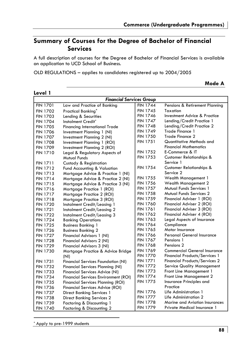**Mode A** 

# **Summary of Courses for the Degree of Bachelor of Financial Services**

A full description of courses for the Degree of Bachelor of Financial Services is available on application to UCD School of Business.

OLD REGULATIONS – applies to candidates registered up to 2004/2005

*Financial Services Group*  FIN 1701 Law and Practice of Banking FIN 1702 Practical Banking<sup>\*</sup><br>FIN 1703 Lending & Securiti Lending & Securities FIN 1704 Instalment Credit<sup>\*</sup><br>FIN 1705 Financina Internat FIN 1705 Financing International Trade<br>FIN 1706 Investment Plannina 1 (NI) Investment Planning 1 (NI) FIN 1707 Investment Planning 2 (NI)<br>FIN 1708 Investment Planning 1 (RO Investment Planning 1 (ROI) FIN 1709 Investment Planning 2 (ROI) FIN 1710 Legal & Regulatory Aspects of Mutual Funds FIN 1711 Custody & Registration FIN 1712 Fund Accounting & Valuation FIN 1713 Mortgage Advice & Practice 1 (NI) FIN 1714 Mortgage Advice & Practice 2 (NI) FIN 1715 Mortgage Advice & Practice 3 (NI) FIN 1716 Mortgage Practice 1 (ROI) Mortgage Practice 2 (ROI) FIN 1718 Mortgage Practice 3 (ROI) FIN 1720 Instalment Credit/Leasing 1<br>FIN 1721 Instalment Credit/Leasing 2 FIN 1721 Instalment Credit/Leasing 2<br>FIN 1722 Instalment Credit/Leasing 3 FIN 1722 Instalment Credit/Leasing 3<br>FIN 1724 Banking Operations **Banking Operations** FIN 1725 Business Banking 1 FIN 1726 Business Banking 2<br>FIN 1727 Financial Advisors FIN 1727 Financial Advisors 1 (NI)<br>FIN 1728 Financial Advisors 2 (NI) Financial Advisors 2 (NI) FIN 1729 Financial Advisors 3 (NI) FIN 1730 Mortgage Practice & Advice Bridge (NI) FIN 1731 Financial Services Foundation (NI) FIN 1732 Financial Services Planning (NI) FIN 1733 Financial Services Advice (NI) FIN 1734 Financial Services Environment (ROI) FIN 1735 Financial Services Planning (ROI) Financial Services Advice (ROI) FIN 1737 Direct Banking Services 1 FIN 1738 Direct Banking Services 2 FIN 1739 Factoring & Discounting 1 FIN 1740 Factoring & Discounting 2 FIN 1744 Pensions & Retirement Planning FIN 1745 Taxation FIN 1746 Investment Advice & Practice<br>FIN 1747 Iending/Credit Practice 1 Lending/Credit Practice 1 FIN 1748 Lending/Credit Practice 2 FIN 1749 Trade Finance 1<br>FIN 1750 Trade Finance 2 Trade Finance 2 FIN 1751 Quantitative Methods and Financial Mathematics FIN 1752 E-Commerce & IT FIN 1753 Customer Relationships & Service 1 FIN 1754 Customer Relationships & Service 2 FIN 1755 Wealth Management 1 FIN 1756 Wealth Management 2 FIN 1757 Mutual Funds Services 1<br>FIN 1758 Mutual Funds Services 2 **Mutual Funds Services 2** FIN 1759 Financial Adviser 1 (ROI) FIN 1760 Financial Adviser 2 (ROI) FIN 1761 Financial Adviser 3 (ROI)<br>FIN 1762 Financial Adviser 4 (ROI) Financial Adviser 4 (ROI) FIN 1763 Legal Aspects of Insurance FIN 1764 Compliance FIN 1765 Motor Insurance<br>FIN 1766 Personal Genera FIN 1766 Personal General Insurance<br>FIN 1767 Pensions 1 Pensions 1 FIN 1768 Pensions 2<br>FIN 1769 Commercion Commercial General Insurance FIN 1770 Financial Products/Services 1 FIN 1771 Financial Products/Services 2 FIN 1772 Service Quality Management FIN 1773 Front Line Management 1<br>FIN 1774 Front Line Management 2 Front Line Management 2 FIN 1775 Insurance Principles and Practice FIN 1776 Life Administration 1 FIN 1777 Life Administration 2 FIN 1778 Marine and Aviation Insurances FIN 1779 Private Medical Insurance 1

**Level 1** 

\* Apply to pre-1999 students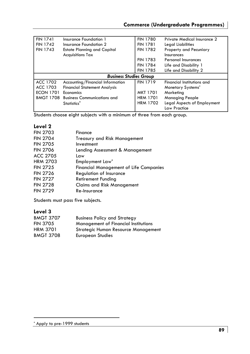| <b>FIN 1741</b>  | Insurance Foundation 1              | <b>FIN 1780</b> | Private Medical Insurance 2 |
|------------------|-------------------------------------|-----------------|-----------------------------|
| <b>FIN 1742</b>  | Insurance Foundation 2              | <b>FIN 1781</b> | Legal Liabilities           |
| <b>FIN 1743</b>  | <b>Estate Planning and Capital</b>  | <b>FIN 1782</b> | Property and Pecuniary      |
|                  | <b>Acquisitions Tax</b>             |                 | Insurances                  |
|                  |                                     | <b>FIN 1783</b> | Personal Insurances         |
|                  |                                     | <b>FIN 1784</b> | Life and Disability 1       |
|                  |                                     | <b>FIN 1785</b> | Life and Disability 2       |
|                  | <b>Business Studies Group</b>       |                 |                             |
| ACC 1702         | Accounting/Financial Information    | <b>FIN 1719</b> | Financial Institutions and  |
| ACC 1703         | <b>Financial Statement Analysis</b> |                 | Monetary Systems*           |
| <b>ECON 1701</b> | Economics                           | <b>MKT 1701</b> | Marketing                   |
| <b>BMGT 1708</b> | <b>Business Communications and</b>  | <b>HRM 1701</b> | <b>Managing People</b>      |
|                  |                                     |                 |                             |
|                  | Statistics <sup>*</sup>             | <b>HRM 1702</b> | Legal Aspects of Employment |

Students choose eight subjects with a minimum of three from each group.

# **Level 2**

| <b>FIN 2703</b> | Finance                                       |
|-----------------|-----------------------------------------------|
| <b>FIN 2704</b> | Treasury and Risk Management                  |
| <b>FIN 2705</b> | Investment                                    |
| <b>FIN 2706</b> | Lending Assessment & Management               |
| ACC 2705        | Law                                           |
| <b>HRM 2703</b> | Employment Law*                               |
| <b>FIN 2725</b> | <b>Financial Management of Life Companies</b> |
| <b>FIN 2726</b> | Regulation of Insurance                       |
| <b>FIN 2727</b> | Retirement Funding                            |
| <b>FIN 2728</b> | <b>Claims and Risk Management</b>             |
| <b>FIN 2729</b> | Re-Insurance                                  |
|                 |                                               |

Students must pass five subjects.

# **Level 3**

| <b>BMGT 3707</b> | <b>Business Policy and Strategy</b>         |
|------------------|---------------------------------------------|
| <b>FIN 3705</b>  | <b>Management of Financial Institutions</b> |
| HRM 3701         | Strategic Human Resource Management         |
| <b>BMGT 3708</b> | European Studies                            |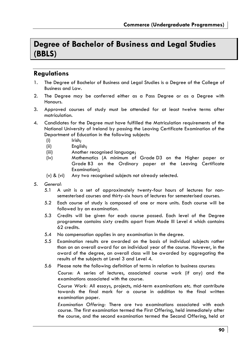# **Degree of Bachelor of Business and Legal Studies (BBLS)**

# **Regulations**

- 1. The Degree of Bachelor of Business and Legal Studies is a Degree of the College of Business and Law.
- 2. The Degree may be conferred either as a Pass Degree or as a Degree with Honours.
- 3. Approved courses of study must be attended for at least twelve terms after matriculation.
- 4. Candidates for the Degree must have fulfilled the Matriculation requirements of the National University of Ireland by passing the Leaving Certificate Examination of the Department of Education in the following subjects:
	- (i) Irish;
	- (ii) English;
	- (iii) Another recognised language;
	- (iv) Mathematics (A minimum of Grade D3 on the Higher paper or Grade B3 on the Ordinary paper at the Leaving Certificate Examination);
	- (v) & (vi) Any two recognised subjects not already selected.
- 5. *General:*
	- 5.1 A unit is a set of approximately twenty-four hours of lectures for nonsemesterised courses and thirty-six hours of lectures for semesterised courses.
	- 5.2 Each course of study is composed of one or more units. Each course will be followed by an examination.
	- 5.3 Credits will be given for each course passed. Each level of the Degree programme contains sixty credits apart from Mode III Level 4 which contains 62 credits.
	- 5.4 No compensation applies in any examination in the degree.
	- 5.5 Examination results are awarded on the basis of individual subjects rather than on an overall award for an individual year of the course. However, in the award of the degree, an overall class will be awarded by aggregating the results of the subjects at Level 3 and Level 4.
	- 5.6 Please note the following definition of terms in relation to business courses:

*Course:* A series of lectures, associated course work (if any) and the examinations associated with the course.

*Course Work:* All essays, projects, mid-term examinations etc. that contribute towards the final mark for a course in addition to the final written examination paper.

*Examination Offering:* There are two examinations associated with each course. The first examination termed the First Offering, held immediately after the course, and the second examination termed the Second Offering, held at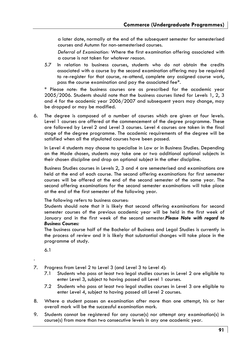a later date, normally at the end of the subsequent semester for semesterised courses and Autumn for non-semesterised courses.

*Deferral of Examination:* Where the first examination offering associated with a course is not taken for *whatever reason.* 

5.7 In relation to business courses, students who do not obtain the credits associated with a course by the second examination offering may be required to re-register for that course, re-attend, complete any assigned course work, pass the course examination and pay the associated fee\*.

\* Please note: the business courses are as prescribed for the academic year 2005/2006. Students should note that the business courses listed for Levels 1, 2, 3 and 4 for the academic year 2006/2007 and subsequent years may change, may be dropped or may be modified.

6. The degree is composed of a number of courses which are given at four levels. Level 1 courses are offered at the commencement of the degree programme. These are followed by Level 2 and Level 3 courses. Level 4 courses are taken in the final stage of the degree programme. The academic requirements of the degree will be satisfied when all the stipulated courses have been passed.

In Level 4 students may choose to specialise in Law or in Business Studies. Depending on the Mode chosen, students may take one or two additional optional subjects in their chosen discipline and drop an optional subject in the other discipline.

Business Studies courses in Levels 2, 3 and 4 are semesterised and examinations are held at the end of each course. The second offering examinations for first semester courses will be offered at the end of the second semester of the same year. The second offering examinations for the second semester examinations will take place at the end of the first semester of the following year.

The following refers to business courses:

Students should note that it is likely that second offering examinations for second semester courses of the previous academic year will be held in the first week of January and in the first week of the second semester.*Please Note with regard to Business Courses:* 

The business course half of the Bachelor of Business and Legal Studies is currently in the process of review and it is likely that substantial changes will take place in the programme of study.

6.1

.

- 7. Progress from Level 2 to Level 3 (and Level 3 to Level 4):
	- 7.1 Students who pass at least two legal studies courses in Level 2 are eligible to enter Level 3, subject to having passed all Level 1 courses.
	- 7.2 Students who pass at least two legal studies courses in Level 3 are eligible to enter Level 4, subject to having passed all Level 2 courses.
- 8. Where a student passes an examination after more than one attempt, his or her overall mark will be the successful examination mark.
- 9. Students cannot be registered for any course(s) nor attempt any examination(s) in course(s) from more than two consecutive levels in any one academic year.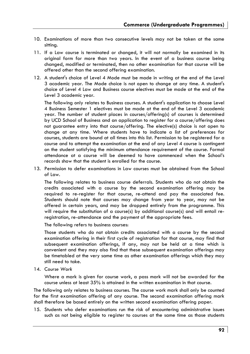- 10. Examinations of more than two consecutive levels may not be taken at the same sitting.
- 11. If a Law course is terminated or changed, it will not normally be examined in its original form for more than two years. In the event of a business course being changed, modified or terminated, then no other examination for that course will be offered other than the second offering examination.
- 12. A student's choice of Level 4 Mode must be made in writing at the end of the Level 3 academic year. The Mode choice is not open to change at any time. A student's choice of Level 4 Law and Business course electives must be made at the end of the Level 3 academic year.

The following only relates to Business courses. A student's application to choose Level 4 Business Semester 1 electives must be made at the end of the Level 3 academic year. The number of student places in courses/offering(s) of courses is determined by UCD School of Business and an application to register for a course/offering does not guarantee entry into that course/offering. The elective(s) choice is not open to change at any time. Where students have to indicate a list of preferences for courses, students are bound at all times into this list. Permission to be registered for a course and to attempt the examination at the end of any Level 4 course is contingent on the student satisfying the minimum attendance requirement of the course. Formal attendance at a course will be deemed to have commenced when the School's records show that the student is enrolled for the course.

13. Permission to defer examinations in Law courses must be obtained from the School of Law.

The following relates to business course deferrals. Students who do not obtain the credits associated with a course by the second examination offering may be required to re-register for that course, re-attend and pay the associated fee. Students should note that courses may change from year to year, may not be offered in certain years, and may be dropped entirely from the programme. This will require the substitution of a course(s) by additional course(s) and will entail reregistration, re-attendance and the payment of the appropriate fees.

The following refers to business courses:

Those students who do not obtain credits associated with a course by the second examination offering in their first cycle of registration for that course, may find that subsequent examination offerings, if any, may not be held at a time which is convenient and they may also find that these subsequent examination offerings may be timetabled at the very same time as other examination offerings which they may still need to take.

14. C*ourse Work*

Where a mark is given for course work, a pass mark will not be awarded for the course unless at least 35% is attained in the written examination in that course.

The following only relates to business courses. The course work mark shall only be counted for the first examination offering of any course. The second examination offering mark shall therefore be based entirely on the written second examination offering paper.

15. Students who defer examinations run the risk of encountering administrative issues such as not being eligible to register to courses at the same time as those students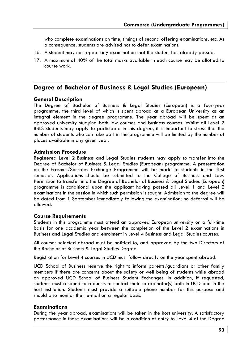who complete examinations on time, timings of second offering examinations, etc. As a consequence, students are advised not to defer examinations.

- 16. A student may not repeat any examination that the student has already passed.
- 17. A maximum of 40% of the total marks available in each course may be allotted to course work.

# **Degree of Bachelor of Business & Legal Studies (European)**

## **General Description**

The Degree of Bachelor of Business & Legal Studies (European) is a four-year programme, the third level of which is spent abroad at a European University as an integral element in the degree programme. The year abroad will be spent at an approved university studying both law courses and business courses. Whilst all Level 2 BBLS students may apply to participate in this degree, it is important to stress that the number of students who can take part in the programme will be limited by the number of places available in any given year.

## **Admission Procedure**

Registered Level 2 Business and Legal Studies students may apply to transfer into the Degree of Bachelor of Business & Legal Studies (European) programme. A presentation on the Erasmus/Socrates Exchange Programme will be made to students in the first semester. Applications should be submitted to the College of Business and Law. Permission to transfer into the Degree of Bachelor of Business & Legal Studies (European) programme is conditional upon the applicant having passed all Level 1 and Level 2 examinations in the session in which such permission is sought. Admission to the degree will be dated from 1 September immediately following the examination; no deferral will be allowed.

### **Course Requirements**

Students in this programme must attend an approved European university on a full-time basis for one academic year between the completion of the Level 2 examinations in Business and Legal Studies and enrolment in Level 4 Business and Legal Studies courses.

All courses selected abroad must be notified to, and approved by the two Directors of the Bachelor of Business & Legal Studies Degree.

Registration for Level 4 courses in UCD must follow directly on the year spent abroad.

UCD School of Business reserve the right to inform parents/guardians or other family members if there are concerns about the safety or well being of students while abroad on approved UCD School of Business Student Exchanges. In addition, if requested, students must respond to requests to contact their co-ordinator(s) both in UCD and in the host institution. Students must provide a suitable phone number for this purpose and should also monitor their e-mail on a regular basis.

## **Examinations**

During the year abroad, examinations will be taken in the host university. A satisfactory performance in these examinations will be a condition of entry to Level 4 of the Degree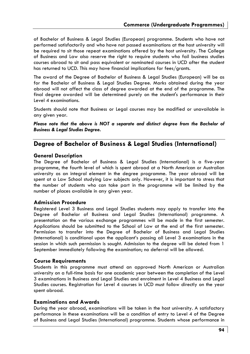of Bachelor of Business & Legal Studies (European) programme. Students who have not performed satisfactorily and who have not passed examinations at the host university will be required to sit those repeat examinations offered by the host university. The College of Business and Law also reserve the right to require students who fail business studies courses abroad to sit and pass equivalent or nominated courses in UCD after the student has returned to UCD. This may have financial implications for fees/grants.

The award of the Degree of Bachelor of Business & Legal Studies (European) will be as for the Bachelor of Business & Legal Studies Degree. Marks obtained during the year abroad will not affect the class of degree awarded at the end of the programme. The final degree awarded will be determined purely on the student's performance in their Level 4 examinations.

Students should note that Business or Legal courses may be modified or unavailable in any given year.

*Please note that the above is NOT a separate and distinct degree from the Bachelor of Business & Legal Studies Degree.* 

# **Degree of Bachelor of Business & Legal Studies (International)**

## **General Description**

The Degree of Bachelor of Business & Legal Studies (International) is a five-year programme, the fourth level of which is spent abroad at a North American or Australian university as an integral element in the degree programme. The year abroad will be spent at a Law School studying Law subjects only. However, it is important to stress that the number of students who can take part in the programme will be limited by the number of places available in any given year.

## **Admission Procedure**

Registered Level 3 Business and Legal Studies students may apply to transfer into the Degree of Bachelor of Business and Legal Studies (International) programme. A presentation on the various exchange programmes will be made in the first semester. Applications should be submitted to the School of Law at the end of the first semester. Permission to transfer into the Degree of Bachelor of Business and Legal Studies (International) is conditional upon the applicant's passing all Level 3 examinations in the session in which such permission is sought. Admission to the degree will be dated from 1 September immediately following the examination; no deferral will be allowed.

### **Course Requirements**

Students in this programme must attend an approved North American or Australian university on a full-time basis for one academic year between the completion of the Level 3 examinations in Business and Legal Studies and enrolment in Level 4 Business and Legal Studies courses. Registration for Level 4 courses in UCD must follow directly on the year spent abroad.

### **Examinations and Awards**

During the year abroad, examinations will be taken in the host university. A satisfactory performance in these examinations will be a condition of entry to Level 4 of the Degree of Business and Legal Studies (International) programme. Students whose performance in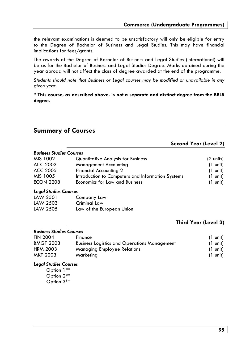the relevant examinations is deemed to be unsatisfactory will only be eligible for entry to the Degree of Bachelor of Business and Legal Studies. This may have financial implications for fees/grants.

The awards of the Degree of Bachelor of Business and Legal Studies (International) will be as for the Bachelor of Business and Legal Studies Degree. Marks obtained during the year abroad will not affect the class of degree awarded at the end of the programme.

*Students should note that Business or Legal courses may be modified or unavailable in any given year.* 

**\* This course, as described above, is not a separate and distinct degree from the BBLS degree.** 

# **Summary of Courses**

## **Second Year (Level 2)**

| MIS 1002         | <b>Quantitative Analysis for Business</b>         | $(2 \text{ units})$ |
|------------------|---------------------------------------------------|---------------------|
| ACC 2003         | <b>Management Accounting</b>                      | $(1 \text{ unit})$  |
| ACC 2005         | <b>Financial Accounting 2</b>                     | $(1 \text{ unit})$  |
| MIS 1005         | Introduction to Computers and Information Systems | $(1 \text{ unit})$  |
| <b>ECON 2208</b> | <b>Economics for Law and Business</b>             | $(1 \text{ unit})$  |

## *Legal Studies Courses*

| LAW 2501 | Company Law               |
|----------|---------------------------|
| LAW 2503 | Criminal Law              |
| LAW 2505 | Law of the European Union |

## **Third Year (Level 3)**

### *Business Studies Courses*  FIN 2004 Finance (1 unit) BMGT 2003 Business Logistics and Operations Management (1 unit) HRM 2003 Managing Employee Relations (1 unit) MKT 2003 Marketing (1 unit)

### *Legal Studies Courses*

 Option 1\*\* Option 2\*\* Option 3\*\*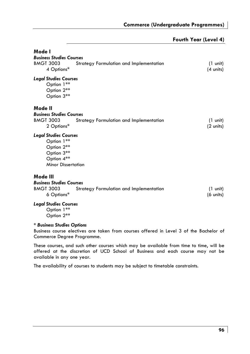| Fourth Year (Level 4) |  |  |  |
|-----------------------|--|--|--|
|-----------------------|--|--|--|

| Mode I<br><b>Business Studies Courses</b><br><b>BMGT 3003</b><br>4 Options*                                       | Strategy Formulation and Implementation | $(1 \text{ unit})$<br>$(4 \text{ units})$ |
|-------------------------------------------------------------------------------------------------------------------|-----------------------------------------|-------------------------------------------|
| <b>Legal Studies Courses</b><br>Option 1**<br>Option 2**<br>Option 3**                                            |                                         |                                           |
| Mode II<br><b>Business Studies Courses</b><br><b>BMGT 3003</b><br>2 Options*                                      | Strategy Formulation and Implementation | $(1 \text{ unit})$<br>$(2 \text{ units})$ |
| <b>Legal Studies Courses</b><br>Option 1**<br>Option 2**<br>Option 3**<br>Option 4**<br><b>Minor Dissertation</b> |                                         |                                           |
| Mode III<br><b>Business Studies Courses</b><br><b>BMGT 3003</b><br>6 Options*                                     | Strategy Formulation and Implementation | $(1 \text{ unit})$<br>(6 units)           |
| <b>Legal Studies Courses</b><br>Option 1**<br>Option 2**                                                          |                                         |                                           |
| * Business Studies Options                                                                                        |                                         |                                           |

Business course electives are taken from courses offered in Level 3 of the Bachelor of Commerce Degree Programme.

These courses, and such other courses which may be available from time to time, will be offered at the discretion of UCD School of Business and each course may not be available in any one year.

The availability of courses to students may be subject to timetable constraints.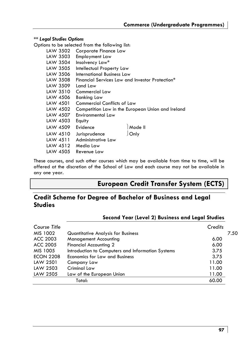### *\*\* Legal Studies Options*

Options to be selected from the following list:

| LAW 3502 | Corporate Finance Law                             |
|----------|---------------------------------------------------|
| LAW 3503 | Employment Law                                    |
| LAW 3504 | Insolvency Law*                                   |
| LAW 3505 | Intellectual Property Law                         |
| LAW 3506 | International Business Law                        |
| LAW 3508 | Financial Services Law and Investor Protection*   |
| LAW 3509 | Land Law                                          |
| LAW 3510 | Commercial Law                                    |
| LAW 4506 | <b>Banking Law</b>                                |
| LAW 4501 | <b>Commercial Conflicts of Law</b>                |
| LAW 4502 | Competition Law in the European Union and Ireland |
| LAW 4507 | Environmental Law                                 |
| LAW 4503 | Equity                                            |
| LAW 4509 | Mode II<br>Evidence                               |
| LAW 4510 | Only<br>Jurisprudence                             |
| LAW 4511 | Administrative Law                                |
| LAW 4512 | Media Law                                         |
| LAW 4505 | Revenue Law                                       |

These courses, and such other courses which may be available from time to time, will be offered at the discretion of the School of Law and each course may not be available in any one year.

# **European Credit Transfer System (ECTS)**

# **Credit Scheme for Degree of Bachelor of Business and Legal Studies**

## **Second Year (Level 2) Business and Legal Studies**

| Course Title     |                                                   | Credits |      |
|------------------|---------------------------------------------------|---------|------|
| MIS 1002         | Quantitative Analysis for Business                |         | 7.50 |
| ACC 2003         | <b>Management Accounting</b>                      | 6.00    |      |
| ACC 2005         | <b>Financial Accounting 2</b>                     | 6.00    |      |
| MIS 1005         | Introduction to Computers and Information Systems | 3.75    |      |
| <b>ECON 2208</b> | Economics for Law and Business                    | 3.75    |      |
| LAW 2501         | Company Law                                       | 11.00   |      |
| LAW 2503         | Criminal Law                                      | 11.00   |      |
| LAW 2505         | Law of the European Union                         | 11.00   |      |
|                  | Total:                                            | 60.00   |      |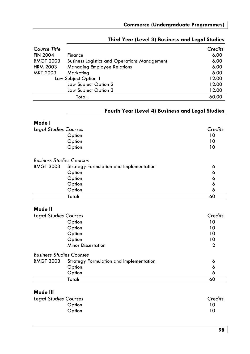| Course Title     |                                                     | Credits |
|------------------|-----------------------------------------------------|---------|
| <b>FIN 2004</b>  | Finance                                             | 6.00    |
| <b>BMGT 2003</b> | <b>Business Logistics and Operations Management</b> | 6.00    |
| <b>HRM 2003</b>  | <b>Managing Employee Relations</b>                  | 6.00    |
| <b>MKT 2003</b>  | Marketing                                           | 6.00    |
|                  | Law Subject Option 1                                | 12.00   |
|                  | Law Subject Option 2                                | 12.00   |
|                  | Law Subject Option 3                                | 12.00   |
|                  | Total:                                              | 60.00   |

# **Third Year (Level 3) Business and Legal Studies**

# **Fourth Year (Level 4) Business and Legal Studies**

| Mode I                          |                                         |         |
|---------------------------------|-----------------------------------------|---------|
| <b>Legal Studies Courses</b>    |                                         | Credits |
|                                 | Option                                  | 10      |
|                                 | Option                                  | 10      |
|                                 | Option                                  | 10      |
| <b>Business Studies Courses</b> |                                         |         |
| <b>BMGT 3003</b>                | Strategy Formulation and Implementation | 6       |
|                                 | Option                                  | 6       |
|                                 | Option                                  | 6       |
|                                 | Option                                  | 6       |
|                                 | Option                                  | 6       |
|                                 | Total:                                  | 60      |
|                                 |                                         |         |

# **Mode II**

| <b>Legal Studies Courses</b>    |                                         | Credits        |
|---------------------------------|-----------------------------------------|----------------|
|                                 | Option                                  | 10             |
|                                 | Option                                  | 10             |
|                                 | Option                                  | 10             |
|                                 | Option                                  | 10             |
|                                 | <b>Minor Dissertation</b>               | $\overline{2}$ |
| <b>Business Studies Courses</b> |                                         |                |
| <b>BMGT 3003</b>                | Strategy Formulation and Implementation | 6              |
|                                 | Option                                  | 6              |
|                                 | Option                                  | 6              |
|                                 | Total:                                  | 60             |

# **Mode III**

| Legal Studies Courses | Credits |
|-----------------------|---------|
| Option                | 10      |
| Option                | 10      |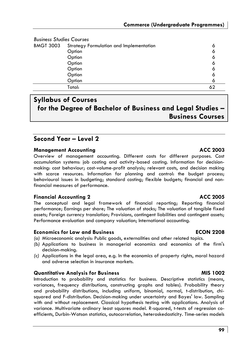| <b>Business Studies Courses</b> |                                         |   |
|---------------------------------|-----------------------------------------|---|
| <b>BMGT 3003</b>                | Strategy Formulation and Implementation | 6 |
|                                 | Option                                  | 6 |
|                                 | Option                                  | Ô |
|                                 | Option                                  | Ô |
|                                 | Option                                  | Ô |
|                                 | Option                                  | 6 |
|                                 | Option                                  | Ô |
|                                 | Total:                                  |   |

# **Syllabus of Courses for the Degree of Bachelor of Business and Legal Studies – Business Courses**

# **Second Year – Level 2**

## **Management Accounting Community Community ACC 2003**

Overview of management accounting. Different costs for different purposes. Cost accumulation systems: job costing and activity-based costing. Information for decisionmaking: cost behaviour; cost-volume-profit analysis; relevant costs, and decision making with scarce resources. Information for planning and control: the budget process; behavioural issues in budgeting; standard costing; flexible budgets; financial and nonfinancial measures of performance.

## **Financial Accounting 2** ACC 2005

The conceptual and legal framework of financial reporting; Reporting financial performance; Earnings per share; The valuation of stocks; The valuation of tangible fixed assets; Foreign currency translation; Provisions, contingent liabilities and contingent assets; Performance evaluation and company valuation; International accounting.

## **Economics for Law and Business ECON 2208**

- *(a)* Microeconomic analysis: Public goods, externalities and other related topics.
- *(b)* Applications to business in managerial economics and economics of the firm's decision-making.
- *(c)* Applications in the legal area, e.g. In the economics of property rights, moral hazard and adverse selection in insurance markets.

## **Quantitative Analysis for Business MIS 1002**

Introduction to probability and statistics for business. Descriptive statistics (means, variances, frequency distributions, constructing graphs and tables). Probability theory and probability distributions, including uniform, binomial, normal, t-distribution, chisquared and F-distribution. Decision-making under uncertainty and Bayes' law. Sampling with and without replacement. Classical hypothesis testing with applications. Analysis of variance. Multivariate ordinary least squares model. R-squared, t-tests of regression coefficients, Durbin-Watson statistics, autocorrelation, heteroskedasticity. Time-series models

## **99**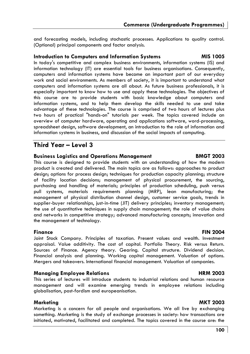and forecasting models, including stochastic processes. Applications to quality control. (Optional) principal components and factor analysis.

## **Introduction to Computers and Information Systems MIS 1005**

In today's competitive and complex business environments, information systems (IS) and information technology (IT) are essential tools for business organisations. Consequently, computers and information systems have become an important part of our everyday work and social environments. As members of society, it is important to understand what computers and information systems are all about. As future business professionals, it is especially important to know how to use and apply these technologies. The objectives of this course are to provide students with basic knowledge about computers and information systems, and to help them develop the skills needed to use and take advantage of these technologies. The course is comprised of two hours of lectures plus two hours of practical "hands-on" tutorials per week. The topics covered include an overview of computer hardware, operating and applications software, word-processing, spreadsheet design, software development, an introduction to the role of information and information systems in business, and discussion of the social impacts of computing.

# **Third Year – Level 3**

## **Business Logistics and Operations Management BMGT 2003**

This course is designed to provide students with an understanding of how the modern product is created and delivered. The main topics are as follows: approaches to product design; options for process design; techniques for production capacity planning; structure of facility location decisions; management of physical procurement, the sourcing, purchasing and handling of materials; principles of production scheduling, push versus pull systems, materials requirements planning (MRP), lean manufacturing; the management of physical distribution channel design, customer service goals, trends in supplier-buyer relationships, just-in-time (JIT) delivery principles; inventory management; the use of quantitative techniques in supply chain management; the role of value chains and networks in competitive strategy; advanced manufacturing concepts; innovation and the management of technology.

### **Finance FIN 2004**

Joint Stock Company. Principles of taxation. Present values and wealth. Investment appraisal. Value additivity. The cost of capital. Portfolio Theory. Risk versus Return. Sources of Finance. Agency theory. Gearing. Capital structure. Dividend decision. Financial analysis and planning. Working capital management. Valuation of options. Mergers and takeovers. International financial management. Valuation of companies.

## **Managing Employee Relations and Exercise HRM 2003**

This series of lectures will introduce students to industrial relations and human resource management and will examine emerging trends in employee relations including globalisation, post-fordism and europeanisation.

## **Marketing MKT 2003**

Marketing is a concern for all people and organisations. We all live by exchanging something. Marketing is the study of exchange processes in society: how transactions are initiated, motivated, facilitated and completed. The topics covered in the course are: the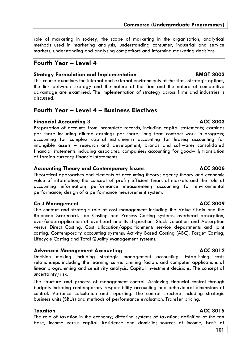role of marketing in society; the scope of marketing in the organisation; analytical methods used in marketing analysis; understanding consumer, industrial and service markets; understanding and analysing competitors and informing marketing decisions.

# **Fourth Year – Level 4**

# **Strategy Formulation and Implementation BMGT 3003**

This course examines the internal and external environments of the firm. Strategic options, the link between strategy and the nature of the firm and the nature of competitive advantage are examined. The implementation of strategy across firms and industries is discussed.

# **Fourth Year – Level 4 – Business Electives**

# **Financial Accounting 3 ACC 3003**

Preparation of accounts from incomplete records, including capital statements; earnings per share including diluted earnings per share; long term contract work in progress; accounting for complex capital instruments; accounting for leases; accounting for intangible assets – research and development, brands and software; consolidated financial statements including associated companies; accounting for goodwill; translation of foreign currency financial statements.

# **Accounting Theory and Contemporary Issues ACC 3006**

Theoretical approaches and elements of accounting theory; agency theory and economic value of information; the concept of profit; efficient financial markets and the role of accounting information; performance measurement; accounting for environmental performance; design of a performance measurement system.

# **Cost Management ACC 3009**

The context and strategic role of cost management including the Value Chain and the Balanced Scorecard. Job Costing and Process Costing systems, overhead absorption, over/underapplication of overhead and its disposition. Stock valuation and Absorption versus Direct Costing. Cost allocation/apportionment: service departments and joint costing. Contemporary accounting systems: Activity Based Costing (ABC), Target Costing, Lifecycle Costing and Total Quality Management systems.

# **Advanced Management Accounting ACC 3012**

Decision making including strategic management accounting. Establishing costs relationships including the learning curve. Limiting factors and computer applications of linear programming and sensitivity analysis. Capital investment decisions. The concept of uncertainty/risk.

The structure and process of management control. Achieving financial control through budgets including contemporary responsibility accounting and behavioural dimensions of control. Variance calculation and reporting. The control structure including strategic business units (SBUs) and methods of performance evaluation. Transfer pricing.

# **Taxation** ACC 3015

The role of taxation in the economy; differing systems of taxation; definition of the tax base; income versus capital. Residence and domicile; sources of income; basis of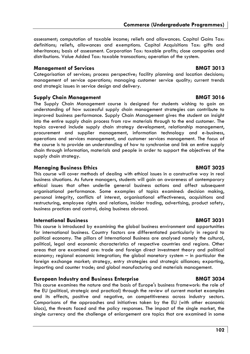assessment; computation of taxable income; reliefs and allowances. Capital Gains Tax: definitions; reliefs, allowances and exemptions. Capital Acquisitions Tax: gifts and inheritances; basis of assessment. Corporation Tax: taxable profits; close companies and distributions. Value Added Tax: taxable transactions; operation of the system.

## **Management of Services** BMGT 3013

Categorisation of services; process perspective; facility planning and location decisions; management of service operations; managing customer service quality; current trends and strategic issues in service design and delivery.

## **Supply Chain Management Communist Communist Communist Communist Communist Communist Communist Communist Communist Communist Communist Communist Communist Communist Communist Communist Communist Communist Communist Communi**

The Supply Chain Management course is designed for students wishing to gain an understanding of how successful supply chain management strategies can contribute to improved business performance. Supply Chain Management gives the student an insight into the entire supply chain process from raw materials through to the end customer. The topics covered include supply chain strategy development, relationship management, procurement and supplier management, information technology and e-business, operations and services management, and customer services management. The focus of the course is to provide an understanding of how to synchronise and link an entire supply chain through information, materials and people in order to support the objectives of the supply chain strategy.

## **Managing Business Ethics American Strutter BMGT 3025**

This course will cover methods of dealing with ethical issues in a constructive way in real business situations. As future managers, students will gain an awareness of contemporary ethical issues that often underlie general business actions and affect subsequent organisational performance. Some examples of topics examined: decision making, personal integrity, conflicts of interest, organisational effectiveness, acquisitions and restructuring, employee rights and relations, insider trading, advertising, product safety, business practices and control, doing business abroad.

## **International Business BMGT 3031**

This course is introduced by examining the global business environment and opportunities for international business. Country factors are differentiated particularly in regard to political economy. The pillars of International Business are analysed namely the cultural, political, legal and economic characteristics of respective countries and regions. Other areas that are examined are: trade and foreign direct investment theory and political economy; regional economic integration; the global monetary system – in particular the foreign exchange market; strategy, entry strategies and strategic alliances; exporting, importing and counter trade; and global manufacturing and materials management.

## **European Industry and Business Enterprise BMGT 3034**

This course examines the nature and the basis of Europe's business framework: the role of the EU (political, strategic and practical) through the review of current market examples and its effects, positive and negative, on competitiveness across industry sectors. Comparisons of the approaches and initiatives taken by the EU (with other economic blocs), the threats faced and the policy responses. The impact of the single market, the single currency and the challenge of enlargement are topics that are examined in some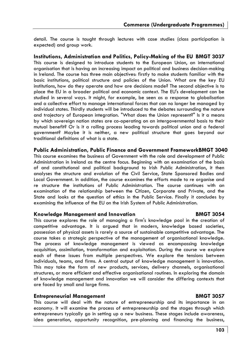detail. The course is taught through lectures with case studies (class participation is expected) and group work.

**Institutions, Administration and Politics, Policy-Making of the EU BMGT 3037**  This course is designed to introduce students to the European Union, an international organisation that is having an increasing impact on political and business decision-making in Ireland. The course has three main objectives: firstly to make students familiar with the basic institutions, political structure and policies of the Union. What are the key EU institutions, how do they operate and how are decisions made? The second objective is to place the EU in a broader political and economic context. The EU's development can be studied in several ways. It might, for example, be seen as a response to globalisation and a collective effort to manage international forces that can no longer be managed by individual states. Thirdly students will be introduced to the debates surrounding the nature and trajectory of European integration. "What does the Union represent?" Is it a means by which sovereign nation states are co-operating on an intergovernmental basis to their mutual benefit? Or is it a rolling process leading towards political union and a federal government? Maybe it is neither, a new political structure that goes beyond our traditional definitions of what is a state.

### **Public Administration, Public Finance and Government FrameworkBMGT 3040**

This course examines the business of Government with the role and development of Public Administration in Ireland as the centre focus. Beginning with an examination of the basis of and constitutional and political background to Irish Public Administration, it then analyses the structure and evolution of the Civil Service, State Sponsored Bodies and Local Government. In addition, the course examines the efforts made to re organise and re structure the institutions of Public Administration. The course continues with an examination of the relationship between the Citizen, Corporate and Private, and the State and looks at the question of ethics in the Public Service. Finally it concludes by examining the influence of the EU on the Irish System of Public Administration.

### **Knowledge Management and Innovation BMGT 3054**

### This course explores the role of managing a firm's knowledge pool in the creation of competitive advantage. It is argued that in modern, knowledge based societies, possession of physical assets is rarely a source of sustainable competitive advantage. The course takes a strategic perspective of the management of organisational knowledge. The process of knowledge management is viewed as encompassing knowledge acquisition, assimilation, transformation and exploitation. During the course we explore each of these issues from multiple perspectives. We explore the tensions between individuals, teams, and firms. A central output of knowledge management is innovation. This may take the form of new products, services, delivery channels, organisational structures, or more efficient and effective organisational routines. In exploring the domain of knowledge management and innovation we will consider the differing contexts that are faced by small and large firms.

### **Entrepreneurial Management BMGT 3057**

This course will deal with the nature of entrepreneurship and its importance in an economy. It will examine the process of entrepreneurship and the stages through which entrepreneurs typically go in setting up a new business. These stages include awareness, idea generation, opportunity recognition, pre-planning and financing the business,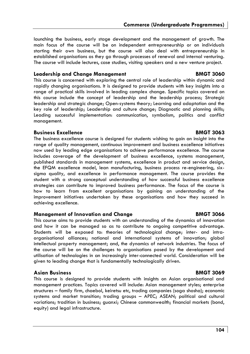launching the business, early stage development and the management of growth. The main focus of the course will be on independent entrepreneurship or on individuals starting their own business, but the course will also deal with entrepreneurship in established organisations as they go through processes of renewal and internal venturing. The course will include lectures, case studies, visiting speakers and a new venture project.

## **Leadership and Change Management BMGT 3060**

This course is concerned with exploring the central role of leadership within dynamic and rapidly changing organisations. It is designed to provide students with key insights into a range of practical skills involved in leading complex change. Specific topics covered on this course include the concept of leadership and the leadership process; Strategic leadership and strategic change; Open-systems theory; Learning and adaptation and the key role of leadership; Leadership and culture change; Diagnostic and planning skills; Leading successful implementation: communication, symbolism, politics and conflict management.

## **Business Excellence BMGT 3063**

The business excellence course is designed for students wishing to gain an insight into the range of quality management, continuous improvement and business excellence initiatives now used by leading edge organisations to achieve performance excellence. The course includes coverage of the development of business excellence, systems management, published standards in management systems, excellence in product and service design, the EFQM excellence model, lean manufacturing, business process re-engineering, sixsigma quality, and excellence in performance management. The course provides the student with a strong conceptual understanding of how successful business excellence strategies can contribute to improved business performance. The focus of the course is how to learn from excellent organisations by gaining an understanding of the improvement initiatives undertaken by these organisations and how they succeed in achieving excellence.

## **Management of Innovation and Change The Change BMGT 3066**

This course aims to provide students with an understanding of the dynamics of innovation and how it can be managed so as to contribute to ongoing competitive advantage. Students will be exposed to: theories of technological change; inter- and intraorganisational alliances; national and international systems of innovation; global intellectual property management; and, the dynamics of network industries. The focus of the course will be on the challenges to organisations posed by the development and utilisation of technologies in an increasingly inter-connected world. Consideration will be given to leading change that is fundamentally technologically driven.

# **Asian Business BMGT 3069**

This course is designed to provide students with insights on Asian organisational and management practices. Topics covered will include: Asian management styles; enterprise structures – family firm, chaebol, keiretsu etc, trading companies (soga shosha); economic systems and market transition; trading groups – APEC; ASEAN; political and cultural variations; tradition in business; guanxi; Chinese commonwealth; financial markets (bond, equity) and legal infrastructure.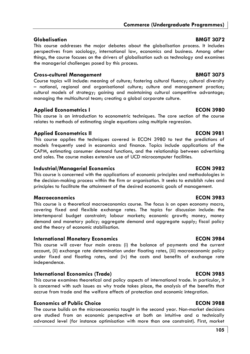# **Globalisation BMGT 3072**

This course addresses the major debates about the globalisation process. It includes perspectives from sociology, international law, economics and business. Among other things, the course focuses on the drivers of globalisation such as technology and examines the managerial challenges posed by this process.

# **Cross-cultural Management BMGT 3075**

Course topics will include: meaning of culture; fostering cultural fluency; cultural diversity – national, regional and organisational culture; culture and management practice; cultural models of strategy; gaining and maintaining cultural competitive advantage; managing the multicultural team; creating a global corporate culture.

# **Applied Econometrics I and ECON 3980**

This course is an introduction to econometric techniques. The core section of the course relates to methods of estimating single equations using multiple regression.

# **Applied Econometrics II ECON 3981**

This course applies the techniques covered in ECON 3980 to test the predictions of models frequently used in economics and finance. Topics include applications of the CAPM, estimating consumer demand functions, and the relationship between advertising and sales. The course makes extensive use of UCD microcomputer facilities.

# **Industrial/Managerial Economics ECON 3982**

This course is concerned with the applications of economic principles and methodologies in the decision-making process within the firm or organisation. It seeks to establish rules and principles to facilitate the attainment of the desired economic goals of management.

# **Macroeconomics ECON 3983**

This course is a theoretical macroeconomics course. The focus is on open economy macro, covering fixed and flexible exchange rates. The topics for discussion include: the intertemporal budget constraint; labour markets; economic growth; money, money demand and monetary policy; aggregate demand and aggregate supply; fiscal policy and the theory of economic stabilisation.

# **International Monetary Economics ECON 3984**

This course will cover four main areas: (i) the balance of payments and the current account, (ii) exchange rate determination under floating rates, (iii) macroeconomic policy under fixed and floating rates, and (iv) the costs and benefits of exchange rate independence.

# **International Economics (Trade) ECON 3985**

This course examines theoretical and policy aspects of international trade. In particular, it is concerned with such issues as why trade takes place, the analysis of the benefits that accrue from trade and the welfare effects of protection and economic integration.

# **Economics of Public Choice ECON 3988**

The course builds on the microeconomics taught in the second year. Non-market decisions are studied from an economic perspective at both an intuitive and a technically advanced level (for instance optimisation with more than one constraint). First, market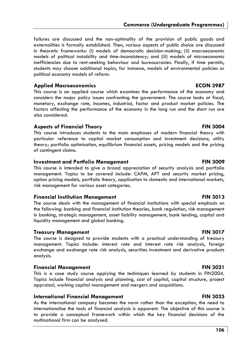## **Commerce (Undergraduate Programmes)**

failures are discussed and the non-optimality of the provision of public goods and externalities is formally established. Then, various aspects of public choice are discussed in theoretic frameworks: (i) models of democratic decision-making; (ii) macroeconomic models of political instability and time-inconsistency; and (iii) models of microeconomic inefficiencies due to rent-seeking behaviour and bureaucracies. Finally, if time permits, students may choose additional topics, for instance, models of environmental policies or political economy models of reform.

### **Applied Macroeconomics ECON 3987**

This course is an applied course which examines the performance of the economy and considers the major policy issues confronting the government. The course looks at fiscal, monetary, exchange rate, incomes, industrial, factor and product market policies. The factors affecting the performance of the economy in the long run and the short run are also considered.

### **Aspects of Financial Theory Community Community RIN 3004**

This course introduces students to the main emphases of modern financial theory with particular reference to capital market consumption and investment decisions; utility theory; portfolio optimisation, equilibrium financial assets, pricing models and the pricing of contingent claims.

### **Investment and Portfolio Management The Contract Contract PIN 3009**

This course is intended to give a broad appreciation of security analysis and portfolio management. Topics to be covered include: CAPM, APT and security market pricing, option pricing models, portfolio theory, application to domestic and international markets, risk management for various asset categories.

### **Financial Institution Management FIN 3013**

The course deals with the management of financial institutions with special emphasis on the following: banking and financial institution theories, bank regulation, risk management in banking, strategic management, asset liability management, bank lending, capital and liquidity management and global banking.

### **Treasury Management Communist Communist Communist Communist Communist Communist Communist Communist Communist Communist Communist Communist Communist Communist Communist Communist Communist Communist Communist Communist C**

The course is designed to provide students with a practical understanding of treasury management. Topics include: interest rate and interest rate risk analysis, foreign exchange and exchange rate risk analysis, securities investment and derivative products analysis.

## **Financial Management Communication Communication Communication Communication Communication Communication Communication Communication Communication Communication Communication Communication Communication Communication Comm**

This is a case study course applying the techniques learned by students in FIN2004. Topics include financial analysis and planning, cost of capital, capital structure, project appraisal, working capital management and mergers and acquisitions.

### **International Financial Management FIN 3025**

As the international company becomes the norm rather than the exception, the need to internationalise the tools of financial analysis is apparent. The objective of this course is to provide a conceptual framework within which the key financial decisions of the multinational firm can be analysed.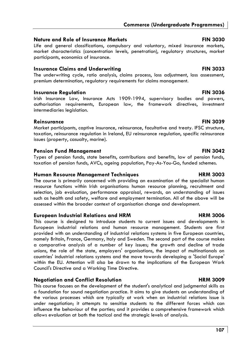## **Nature and Role of Insurance Markets FIN 3030 PIN 3030**

Life and general classifications, compulsory and voluntary, mixed insurance markets, market characteristics (concentration levels, penetration), regulatory structures, market participants, economics of insurance.

## **Insurance Claims and Underwriting Travelly and Travelly Strategy RIN 3033**

The underwriting cycle, ratio analysis, claims process, loss adjustment, loss assessment, premium determination, regulatory requirements for claims management.

## **Insurance Regulation FIN 3036**

Irish Insurance Law, Insurance Acts 1909-1994, supervisory bodies and powers, authorisation requirements, European law, the framework directives, investment intermediaries legislation.

## **Reinsurance FIN 3039**

Market participants, captive insurance, reinsurance, facultative and treaty. IFSC structure, taxation, reinsurance regulation in Ireland, EU reinsurance regulation, specific reinsurance issues (property, casualty, marine).

## **Pension Fund Management Communication FIN 3042**

Types of pension funds, state benefits, contributions and benefits, law of pension funds, taxation of pension funds, AVCs, ageing population, Pay-As-You-Go, funded schemes.

## **Human Resource Management Techniques Management Techniques** HRM 3003

The course is primarily concerned with providing an examination of the specialist human resource functions within Irish organisations: human resource planning, recruitment and selection, job evaluation, performance appraisal, rewards, an understanding of issues such as health and safety, welfare and employment termination. All of the above will be assessed within the broader context of organisation change and development.

## **European Industrial Relations and HRM HRM 3006**

This course is designed to introduce students to current issues and developments in European industrial relations and human resource management. Students are first provided with an understanding of industrial relations systems in five European countries, namely Britain, France, Germany, Italy and Sweden. The second part of the course makes a comparative analysis of a number of key issues; the growth and decline of trade unions, the role of the state, employers' organisations, the impact of multinationals on countries' industrial relations systems and the move towards developing a 'Social Europe' within the EU. Attention will also be drawn to the implications of the European Work Council's Directive and a Working Time Directive.

# **Negotiation and Conflict Resolution Arror Conflict Resolution Arror Arror HRM 3009**

This course focuses on the development of the student's analytical and judgmental skills as a foundation for sound negotiation practice. It aims to give students an understanding of the various processes which are typically at work when an industrial relations issue is under negotiation; it attempts to sensitise students to the different forces which can influence the behaviour of the parties; and it provides a comprehensive framework which allows evaluation at both the tactical and the strategic levels of analysis.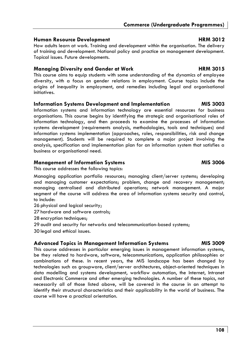## **Human Resource Development Area and HRM 3012**

How adults learn at work. Training and development within the organisation. The delivery of training and development. National policy and practice on management development. Topical issues. Future developments.

## **Managing Diversity and Gender at Work Christian Communist Christian HRM 3015**

This course aims to equip students with some understanding of the dynamics of employee diversity, with a focus on gender relations in employment. Course topics include the origins of inequality in employment, and remedies including legal and organisational initiatives.

## **Information Systems Development and Implementation MIS 3003**

Information systems and information technology are essential resources for business organisations. This course begins by identifying the strategic and organisational roles of information technology, and then proceeds to examine the processes of information systems development (requirements analysis, methodologies, tools and techniques) and information systems implementation (approaches, roles, responsibilities, risk and change management). Students will be required to complete a major project involving the analysis, specification and implementation plan for an information system that satisfies a business or organisational need.

## **Management of Information Systems MIS 3006**

This course addresses the following topics:

Managing application portfolio resources; managing client/server systems; developing and managing customer expectations; problem, change and recovery management; managing centralised and distributed operations; network management. A major segment of the course will address the area of information systems security and control, to include:

- 26 physical and logical security;
- 27 hardware and software controls;
- 28 encryption techniques;
- 29 audit and security for networks and telecommunication-based systems;
- 30 legal and ethical issues.

### **Advanced Topics in Management Information Systems MIS 3009**

This course addresses in particular emerging issues in management information systems, be they related to hardware, software, telecommunications, application philosophies or combinations of these. In recent years, the MIS landscape has been changed by technologies such as groupware, client/server architectures, object-oriented techniques in data modelling and systems development, workflow automation, the Internet, Intranet and Electronic Commerce and other emerging technologies. A number of these topics, not necessarily all of those listed above, will be covered in the course in an attempt to identify their structural characteristics and their applicability in the world of business. The course will have a practical orientation.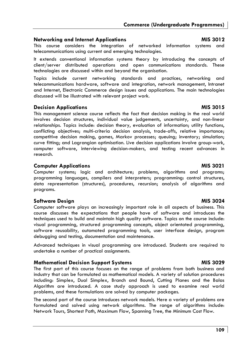### **Networking and Internet Applications MIS 3012**

This course considers the integration of networked information systems and telecommunications using current and emerging technologies.

It extends conventional information systems theory by introducing the concepts of client/server distributed operations and open communications standards. These technologies are discussed within and beyond the organisation.

Topics include current networking standards and practices, networking and telecommunications hardware, software and integration, network management, Intranet and Internet, Electronic Commerce design issues and applications. The main technologies discussed will be illustrated with relevant project work.

### **Decision Applications and Algorithm Contract Applications Applications Applications Applications Applications**

This management science course reflects the fact that decision making in the real world involves decision structures, individual value judgements, uncertainty, and non-linear relationships. Topics include: decision theory, evaluation of information; utility functions, conflicting objectives; multi-criteria decision analysis, trade-offs, relative importance; competitive decision making, games, Markov processes; queuing; inventory; simulation; curve fitting; and Lagrangian optimisation. Live decision applications involve group-work, computer software, interviewing decision-makers, and testing recent advances in research.

### **Computer Applications and Computer Applications and Computer Applications and Computer Applications and Computer Applications and Computer Applications and Computer Applications and Computer Applications and Computer Appl**

Computer systems; logic and architecture; problems, algorithms and programs; programming languages, compilers and interpreters; programming: control structures, data representation (structures), procedures, recursion; analysis of algorithms and programs.

### **Software Design MIS 3024**

Computer software plays an increasingly important role in all aspects of business. This course discusses the expectations that people have of software and introduces the techniques used to build and maintain high quality software. Topics on the course include: visual programming, structured programming concepts, object orientated programming, software reusability, automated programming tools, user interface design, program debugging and testing, documentation and maintenance.

Advanced techniques in visual programming are introduced. Students are required to undertake a number of practical assignments.

### **Mathematical Decision Support Systems MIS 3029 MIS 3029**

The first part of this course focuses on the range of problems from both business and industry that can be formulated as mathematical models. A variety of solution procedures including: Simplex, Dual Simplex, Branch and Bound, Cutting Planes and the Balas Algorithm are introduced. A case study approach is used to examine real world problems, and these formulations are solved by computer packages.

The second part of the course introduces network models. Here a variety of problems are formulated and solved using network algorithms. The range of algorithms include: Network Tours, Shortest Path, Maximum Flow, Spanning Tree, the Minimum Cost Flow.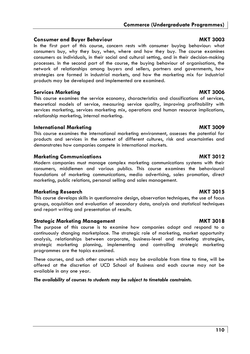### **Consumer and Buyer Behaviour MKT 3003**

In the first part of this course, concern rests with consumer buying behaviour: what consumers buy, why they buy, when, where and how they buy. The course examines consumers as individuals, in their social and cultural setting, and in their decision-making processes. In the second part of the course, the buying behaviour of organisations, the network of relationships among buyers and sellers, partners and governments, how strategies are formed in industrial markets, and how the marketing mix for industrial products may be developed and implemented are examined.

### **Services Marketing MKT 3006**

This course examines the service economy, characteristics and classifications of services, theoretical models of service, measuring service quality, improving profitability with services marketing, services marketing mix, operations and human resource implications, relationship marketing, internal marketing.

### **International Marketing MKT 3009**

This course examines the international marketing environment, assesses the potential for products and services in the context of different cultures, risk and uncertainties and demonstrates how companies compete in international markets.

### **Marketing Communications MKT 3012**

Modern companies must manage complex marketing communications systems with their consumers, middlemen and various publics. This course examines the behavioural foundations of marketing communications, media advertising, sales promotion, direct marketing, public relations, personal selling and sales management.

### **Marketing Research MKT 3015**

This course develops skills in questionnaire design, observation techniques, the use of focus groups, acquisition and evaluation of secondary data, analysis and statistical techniques and report writing and presentation of results.

### **Strategic Marketing Management MKT 3018**

The purpose of this course is to examine how companies adapt and respond to a continuously changing marketplace. The strategic role of marketing, market opportunity analysis, relationships between corporate, business-level and marketing strategies, strategic marketing planning, implementing and controlling strategic marketing programmes are the topics examined.

These courses, and such other courses which may be available from time to time, will be offered at the discretion of UCD School of Business and each course may not be available in any one year.

### *The availability of courses to students may be subject to timetable constraints.*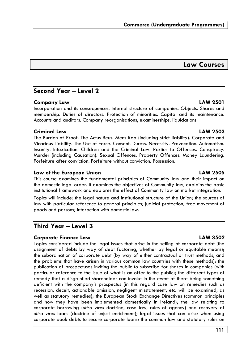# **Law Courses**

# **Second Year – Level 2**

### **Company Law LAW 2501**

Incorporation and its consequences. Internal structure of companies. Objects. Shares and membership. Duties of directors. Protection of minorities. Capital and its maintenance. Accounts and auditors. Company reorganisations, examinerships, liquidations.

## **Criminal Law LAW 2503**

The Burden of Proof. The Actus Reus. Mens Rea (including strict liability). Corporate and Vicarious Liability. The Use of Force. Consent. Duress. Necessity. Provocation. Automatism. Insanity. Intoxication. Children and the Criminal Law. Parties to Offences. Conspiracy. Murder (including Causation). Sexual Offences. Property Offences. Money Laundering. Forfeiture after conviction. Forfeiture without conviction. Possession.

## **Law of the European Union LAW 2505**

This course examines the fundamental principles of Community law and their impact on the domestic legal order. It examines the objectives of Community law, explains the basic institutional framework and explores the effect of Community law on market integration.

Topics will include: the legal nature and institutional structure of the Union; the sources of law with particular reference to general principles; judicial protection; free movement of goods and persons; interaction with domestic law.

# **Third Year – Level 3**

# **Corporate Finance Law LAW 3502**

Topics considered include the legal issues that arise in the selling of corporate debt (the assignment of debts by way of debt factoring, whether by legal or equitable means); the subordination of corporate debt (by way of either contractual or trust methods, and the problems that have arisen in various common law countries with these methods); the publication of prospectuses inviting the public to subscribe for shares in companies (with particular reference to the issue of what is an offer to the public); the different types of remedy that a disgruntled shareholder can invoke in the event of there being something deficient with the company's prospectus (in this regard case law on remedies such as recession, deceit, actionable omission, negligent misstatement, etc. will be examined, as well as statutory remedies); the European Stock Exchange Directives (common principles and how they have been implemented domestically in Ireland); the law relating to corporate borrowing (*ultra vires* doctrine, case law, rules of agency) and recovery of *ultra vires* loans (doctrine of unjust enrichment); legal issues that can arise when using corporate book debts to secure corporate loans; the common law and statutory rules on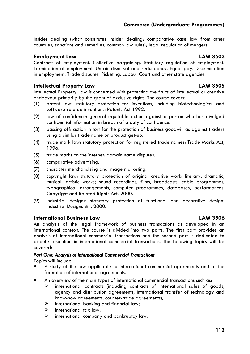insider dealing (what constitutes insider dealing; comparative case law from other countries; sanctions and remedies; common law rules); legal regulation of mergers.

### **Employment Law LAW 3503**

Contracts of employment. Collective bargaining. Statutory regulation of employment. Termination of employment. Unfair dismissal and redundancy. Equal pay. Discrimination in employment. Trade disputes. Picketing. Labour Court and other state agencies.

### **Intellectual Property Law LAW 3505**

Intellectual Property Law is concerned with protecting the fruits of intellectual or creative endeavour primarily by the grant of exclusive rights. The course covers:

- (1) patent law: statutory protection for inventions, including biotechnological and software-related inventions: Patents Act 1992.
- (2) law of confidence: general equitable action against a person who has divulged confidential information in breach of a duty of confidence.
- (3) passing off: action in tort for the protection of business goodwill as against traders using a similar trade name or product get-up.
- (4) trade mark law: statutory protection for registered trade names: Trade Marks Act, 1996.
- (5) trade marks on the internet: domain name disputes.
- (6) comparative advertising.
- (7) character merchandising and image marketing.
- (8) copyright law: statutory protection of original creative work: literary, dramatic, musical, artistic works; sound recordings, films, broadcasts, cable programmes, typographical arrangements, computer programmes, databases, performances: Copyright and Related Rights Act, 2000.
- (9) industrial designs: statutory protection of functional and decorative design: Industrial Designs Bill, 2000.

### **International Business Law LAW 3506**

An analysis of the legal framework of business transactions as developed in an international context. The course is divided into two parts. The first part provides an analysis of international commercial transactions and the second part is dedicated to dispute resolution in international commercial transactions. The following topics will be covered:

### *Part One: Analysis of International Commercial Transactions*

Topics will include:

- A study of the law applicable to international commercial agreements and of the formation of international agreements.
- An overview of the main types of international commercial transactions such as:
	- $\triangleright$  international contracts (including contracts of international sales of goods, agency and distribution agreements, international transfer of technology and know-how agreements, counter-trade agreements);
	- $\triangleright$  international banking and financial law;
	- $\triangleright$  international tax law;
	- $\triangleright$  international company and bankruptcy law.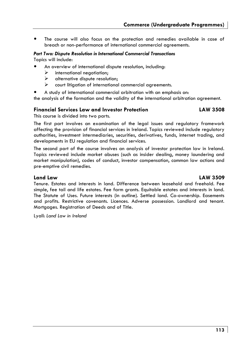The course will also focus on the protection and remedies available in case of breach or non-performance of international commercial agreements.

# *Part Two: Dispute Resolution in International Commercial Transactions*

Topics will include:

- An overview of international dispute resolution, including:
	- $\triangleright$  international negotiation;
	- $\triangleright$  alternative dispute resolution:
	- court litigation of international commercial agreements.
	- A study of international commercial arbitration with an emphasis on:

the analysis of the formation and the validity of the international arbitration agreement.

### **Financial Services Law and Investor Protection LAW 3508**

This course is divided into two parts.

The first part involves an examination of the legal issues and regulatory framework affecting the provision of financial services in Ireland. Topics reviewed include regulatory authorities, investment intermediaries, securities, derivatives, funds, internet trading, and developments in EU regulation and financial services.

The second part of the course involves an analysis of investor protection law in Ireland. Topics reviewed include market abuses (such as insider dealing, money laundering and market manipulation), codes of conduct, investor compensation, common law actions and pre-emptive civil remedies.

### **Land Law LAW 3509**

Tenure. Estates and interests in land. Difference between leasehold and freehold. Fee simple, fee tail and life estates. Fee farm grants. Equitable estates and interests in land. The Statute of Uses. Future interests (in outline). Settled land. Co-ownership. Easements and profits. Restrictive covenants. Licences. Adverse possession. Landlord and tenant. Mortgages. Registration of Deeds and of Title.

Lyall: *Land Law in Ireland*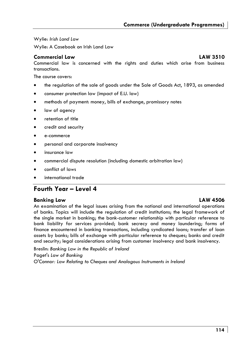Wylie: *Irish Land Law* 

Wylie: A Casebook on Irish Land Law

### **Commercial Law LAW 3510**

Commercial law is concerned with the rights and duties which arise from business transactions.

The course covers:

- the regulation of the sale of goods under the Sale of Goods Act, 1893, as amended
- consumer protection law (impact of E.U. law)
- methods of payment: money, bills of exchange, promissory notes
- law of agency
- retention of title
- credit and security
- e-commerce
- personal and corporate insolvency
- insurance law
- commercial dispute resolution (including domestic arbitration law)
- conflict of laws
- international trade

# **Fourth Year – Level 4**

### **Banking Law LAW 4506**

An examination of the legal issues arising from the national and international operations of banks. Topics will include the regulation of credit institutions; the legal framework of the single market in banking; the bank-customer relationship with particular reference to bank liability for services provided; bank secrecy and money laundering; forms of finance encountered in banking transactions, including syndicated loans; transfer of loan assets by banks; bills of exchange with particular reference to cheques; banks and credit and security; legal considerations arising from customer insolvency and bank insolvency.

Breslin: *Banking Law in the Republic of Ireland* Paget's *Law of Banking* O'Connor*: Law Relating to Cheques and Analogous Instruments in Ireland*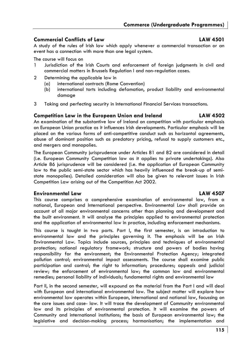# **Commercial Conflicts of Law LAW 4501**

A study of the rules of Irish law which apply whenever a commercial transaction or an event has a connection with more than one legal system.

The course will focus on

- 1 Jurisdiction of the Irish Courts and enforcement of foreign judgments in civil and commercial matters in Brussels Regulation I and non-regulation cases.
- 2 Determining the applicable law in
	- (a) international contracts (Rome Convention)
	- (b) international torts including defamation, product liability and environmental damage
- 3 Taking and perfecting security in International Financial Services transactions.

### **Competition Law in the European Union and Ireland LAW 4502**

An examination of the substantive law of Ireland on competition with particular emphasis on European Union practice as it influences Irish developments. Particular emphasis will be placed on the various forms of anti-competitive conduct such as horizontal agreements, abuse of dominant position such as predatory pricing, refusal to supply customers etc., and mergers and monopolies.

The European Community jurisprudence under Articles 81 and 82 are considered in detail (i.e. European Community Competition law as it applies to private undertakings). Also Article 86 jurisprudence will be considered (i.e. the application of European Community law to the public semi-state sector which has heavily influenced the break-up of semistate monopolies). Detailed consideration will also be given to relevant issues in Irish Competition Law arising out of the Competition Act 2002.

### **Environmental Law LAW 4507**

This course comprises a comprehensive examination of environmental law, from a national, European and International perspective. Environmental Law shall provide an account of all major environmental concerns other than planning and development and the built environment. It will analyse the principles applied to environmental protection and the application of environmental law in practice, including enforcement mechanisms.

This course is taught in two parts. Part I, the first semester, is an introduction to environmental law and the principles governing it. The emphasis will be on Irish Environmental Law. Topics include sources, principles and techniques of environmental protection; national regulatory framework; structure and powers of bodies having responsibility for the environment; the Environmental Protection Agency; integrated pollution control; environmental impact assessments. The course shall examine public participation and control; the right to information; procedures; appeals and judicial review; the enforcement of environmental law; the common law and environmental remedies; personal liability of individuals; fundamental rights and environmental law

Part II, in the second semester, will expound on the material from the Part I and will deal with European and international environmental law. The subject matter will explore how environmental law operates within European, international and national law, focussing on the core issues and case- law. It will trace the development of Community environmental law and its principles of environmental protection. It will examine the powers of Community and international institutions; the basis of European environmental law; the legislative and decision-making process; harmonisation; the implementation and

**115**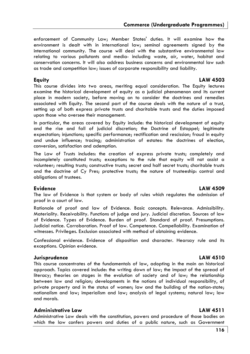enforcement of Community Law; Member States' duties. It will examine how the environment is dealt with in international law; seminal agreements signed by the international community. The course will deal with the substantive environmental law relating to various pollutants and media- including waste, air, water, habitat and conservation concerns. It will also address business concerns and environmental law such as trade and competition law; issues of corporate responsibility and liability.

# **Equity LAW 4503**

This course divides into two areas, meriting equal consideration. The Equity lectures examine the historical development of equity as a judicial phenomenon and its current place in modern society, before moving on to consider the doctrines and remedies associated with Equity. The second part of the course deals with the nature of a trust, setting up of both express private trusts and charitable trusts and the duties imposed upon those who oversee their management.

In particular, the areas covered by Equity include: the historical development of equity and the rise and fall of judicial discretion; the Doctrine of Estoppel; legitimate expectation; injunctions; specific performance; rectification and rescission; fraud in equity and undue influence; tracing; administration of estates: the doctrines of election, conversion, satisfaction and ademption.

The Law of Trusts includes: the creation of express private trusts; completely and incompletely constituted trusts; exceptions to the rule that equity will not assist a volunteer; resulting trusts; constructive trusts; secret and half secret trusts; charitable trusts and the doctrine of Cy Pres; protective trusts; the nature of trusteeship: control and obligations of trustees.

### **Evidence LAW 4509**  The law of Evidence is that system or body of rules which regulates the admission of proof in a court of law.

Rationale of proof and law of Evidence. Basic concepts. Relevance. Admissibility. Materiality. Receivability. Functions of judge and jury. Judicial discretion. Sources of law of Evidence. Types of Evidence. Burden of proof. Standard of proof. Presumptions. Judicial notice. Corroboration. Proof of law. Competence. Compellability. Examination of witnesses. Privileges. Exclusion associated with method of obtaining evidence.

Confessional evidence. Evidence of disposition and character. Hearsay rule and its exceptions. Opinion evidence.

### **Jurisprudence LAW 4510**

This course concentrates of the fundamentals of law, adopting in the main an historical approach. Topics covered include: the writing down of law; the impact of the spread of literacy; theories on stages in the evolution of society and of law; the relationship between law and religion; developments in the notions of individual responsibility, of private property and in the status of women; law and the building of the nation-state; nationalism and law; imperialism and law; analysis of legal systems; natural law; law and morals.

### **Administrative Law LAW 4511**

Administrative Law deals with the constitution, powers and procedure of those bodies on which the law confers powers and duties of a public nature, such as Government

### **116**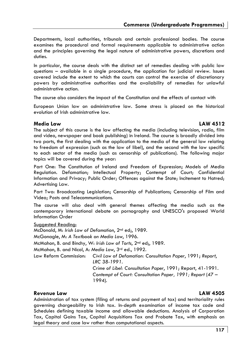Departments, local authorities, tribunals and certain professional bodies. The course examines the procedural and formal requirements applicable to administrative action and the principles governing the legal nature of administrative powers, discretions and duties.

In particular, the course deals with the distinct set of remedies dealing with public law questions – available in a single procedure, the application for judicial review. Issues covered include the extent to which the courts can control the exercise of discretionary powers by administrative authorities and the availability of remedies for unlawful administrative action.

The course also considers the impact of the Constitution and the effects of contact with

European Union law on administrative law. Some stress is placed on the historical evolution of Irish administrative law.

### **Media Law LAW 4512**

The subject of this course is the law affecting the media (including television, radio, film and video, newspaper and book publishing) in Ireland. The course is broadly divided into two parts, the first dealing with the application to the media of the general law relating to freedom of expression (such as the law of libel), and the second with the law specific to each sector of the media (such as censorship of publications). The following major topics will be covered during the year:

Part One: The Constitution of Ireland and Freedom of Expression; Models of Media Regulation. Defamation; Intellectual Property; Contempt of Court; Confidential Information and Privacy; Public Order; Offences against the State; Incitement to Hatred; Advertising Law.

Part Two: Broadcasting Legislation; Censorship of Publications; Censorship of Film and Video; Posts and Telecommunications.

The course will also deal with general themes affecting the media such as the contemporary international debate on pornography and UNESCO's proposed World Information Order

### Suggested Reading:

McDonald, M: *Irish Law of Defamation*, 2nd ed;, 1989. McGonagle, M: *A Textbook on Media Law*, 1996. McMahon, B. and Binchy, W: *Irish Law of Torts*, 2nd ed;, 1989. McMahon, B. and Nicol, A: *Media Law*, 3rd ed., 1992. Law Reform Commission: *Civil Law of Defamation: Consultation Paper*, 1991; *Report*, *LRC 38-1991*. *Crime of Libel: Consultation Paper*, 1991; Report, 41-1991. *Contempt of Court: Consultation Paper, 1991; Report* (47 – 1994).

### **Revenue Law LAW 4505**

Administration of tax system (filing of returns and payment of tax) and territoriality rules governing chargeability to Irish tax. In-depth examination of income tax code and Schedules defining taxable income and allowable deductions. Analysis of Corporation Tax, Capital Gains Tax, Capital Acquisitions Tax and Probate Tax, with emphasis on legal theory and case law rather than computational aspects.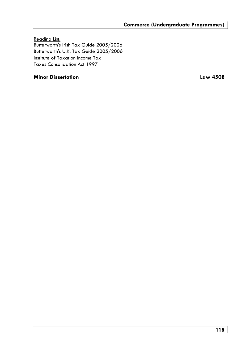Reading List: Butterworth's Irish Tax Guide 2005/2006 Butterworth's U.K. Tax Guide 2005/2006 Institute of Taxation Income Tax Taxes Consolidation Act 1997

### **Minor Dissertation Law 4508**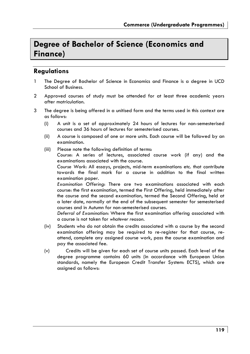# **Degree of Bachelor of Science (Economics and Finance)**

# **Regulations**

- 1 The Degree of Bachelor of Science in Economics and Finance is a degree in UCD School of Business.
- 2 Approved courses of study must be attended for at least three academic years after matriculation.
- 3 The degree is being offered in a unitised form and the terms used in this context are as follows:
	- (i) A unit is a set of approximately 24 hours of lectures for non-semesterised courses and 36 hours of lectures for semesterised courses.
	- (ii) A course is composed of one or more units. Each course will be followed by an examination.
	- (iii) Please note the following definition of terms:

 *Course*: A series of lectures, associated course work (if any) and the examinations associated with the course.

 *Course Work*: All essays, projects, mid-term examinations etc. that contribute towards the final mark for a course in addition to the final written examination paper.

*Examination Offering*: There are two examinations associated with each course: the first examination, termed the First Offering, held immediately after the course and the second examination, termed the Second Offering, held at a later date, normally at the end of the subsequent semester for semesterised courses and in Autumn for non-semesterised courses.

*Deferral of Examination*: Where the first examination offering associated with a course is not taken for *whatever reason*.

- (iv) Students who do not obtain the credits associated with a course by the second examination offering may be required to re-register for that course, reattend, complete any assigned course work, pass the course examination and pay the associated fee.
- (v) Credits will be given for each set of course units passed. Each level of the degree programme contains 60 units (in accordance with European Union standards, namely the European Credit Transfer System: ECTS), which are assigned as follows: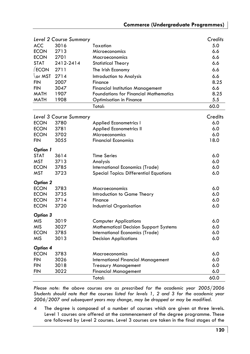|                 | Level 2 Course Summary |                                              | Credits |
|-----------------|------------------------|----------------------------------------------|---------|
| <b>ACC</b>      | 3016                   | Taxation                                     | 5.0     |
| <b>ECON</b>     | 2713                   | Microeconomics                               | 6.6     |
| <b>ECON</b>     | 2701                   | Macroeconomics                               | 6.6     |
| <b>STAT</b>     | 2412-2414              | <b>Statistical Theory</b>                    | 6.6     |
| ECON            | 2711                   | The Irish Economy                            | 6.6     |
| or MST          | 2714                   | Introduction to Analysis                     | 6.6     |
| <b>FIN</b>      | 2007                   | Finance                                      | 8.25    |
| FIN             | 3047                   | <b>Financial Institution Management</b>      | 6.6     |
| MATH            | 1907                   | <b>Foundations for Financial Mathematics</b> | 8.25    |
| MATH            | 1908                   | <b>Optimisation in Finance</b>               | 5.5     |
|                 |                        | Total:                                       | 60.0    |
|                 | Level 3 Course Summary |                                              | Credits |
| <b>ECON</b>     | 3780                   | <b>Applied Econometrics I</b>                | 6.0     |
| <b>ECON</b>     | 3781                   | <b>Applied Econometrics II</b>               | 6.0     |
| <b>ECON</b>     | 3702                   | Microeconomics                               | 6.0     |
| <b>FIN</b>      | 3055                   | <b>Financial Economics</b>                   | 18.0    |
|                 |                        |                                              |         |
| <b>Option 1</b> |                        |                                              |         |
| <b>STAT</b>     | 3614                   | <b>Time Series</b>                           | 6.0     |
| MST             | 3713                   | Analysis                                     | 6.0     |
| <b>ECON</b>     | 3785                   | International Economics (Trade)              | 6.0     |
| <b>MST</b>      | 3723                   | Special Topics: Differential Equations       | 6.0     |
| Option 2        |                        |                                              |         |
| <b>ECON</b>     | 3783                   | Macroeconomics                               | 6.0     |
| <b>ECON</b>     | 3735                   | Introduction to Game Theory                  | 6.0     |
| <b>ECON</b>     | 3714                   | Finance                                      | 6.0     |
| <b>ECON</b>     | 3720                   | Industrial Organisation                      | 6.0     |
| Option 3        |                        |                                              |         |
| <b>MIS</b>      | 3019                   | <b>Computer Applications</b>                 | 6.0     |
| <b>MIS</b>      | 3027                   | <b>Mathematical Decision Support Systems</b> | 6.0     |
| <b>ECON</b>     | 3785                   | International Economics (Trade)              | 6.0     |
| <b>MIS</b>      | 3013                   | <b>Decision Applications</b>                 | 6.0     |
| Option 4        |                        |                                              |         |
| <b>ECON</b>     | 3783                   | Macroeconomics                               | 6.0     |
| <b>FIN</b>      | 3026                   | International Financial Management           | 6.0     |
| FIN             | 3018                   | <b>Treasury Management</b>                   | 6.0     |
| FIN             | 3022                   | <b>Financial Management</b>                  | 6.0     |
|                 |                        | Total:                                       | 60.0    |

Please note: the above courses are as prescribed for the academic year 2005/2006 *Students should note that the courses listed for levels 1, 2 and 3 for the academic year 2006/2007 and subsequent years may change, may be dropped or may be modified.* 

4 The degree is composed of a number of courses which are given at three levels. Level 1 courses are offered at the commencement of the degree programme. These are followed by Level 2 courses. Level 3 courses are taken in the final stages of the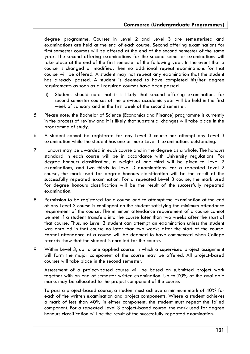degree programme. Courses in Level 2 and Level 3 are semesterised and examinations are held at the end of each course. Second offering examinations for first semester courses will be offered at the end of the second semester of the same year. The second offering examinations for the second semester examinations will take place at the end of the first semester of the following year. In the event that a course is changed or modified, then no additional repeat examinations for that course will be offered. A student may not repeat any examination that the student has already passed. A student is deemed to have completed his/her dearee requirements as soon as all required courses have been passed.

- (i) Students should note that it is likely that second offering examinations for second semester courses of the previous academic year will be held in the first week of January and in the first week of the second semester.
- 5 Please note: the Bachelor of Science (Economics and Finance) programme is currently in the process of review and it is likely that substantial changes will take place in the programme of study.
- 6 A student cannot be registered for any Level 3 course nor attempt any Level 3 examination while the student has one or more Level 1 examinations outstanding.
- 7 Honours may be awarded in each course and in the degree as a whole. The honours standard in each course will be in accordance with University regulations. For degree honours classification, a weight of one third will be given to Level 2 examinations, and two thirds to Level 3 examinations. For a repeated Level 2 course, the mark used for degree honours classification will be the result of the successfully repeated examination. For a repeated Level 3 course, the mark used for degree honours classification will be the result of the successfully repeated examination.
- 8 Permission to be registered for a course and to attempt the examination at the end of any Level 3 course is contingent on the student satisfying the minimum attendance requirement of the course. The minimum attendance requirement of a course cannot be met if a student transfers into the course later than two weeks after the start of that course. Thus, no Level 3 student can attempt an examination unless the student was enrolled in that course no later than two weeks after the start of the course. Formal attendance at a course will be deemed to have commenced when College records show that the student is enrolled for the course.
- 9 Within Level 3, up to one applied course in which a supervised project assignment will form the major component of the course may be offered. All project-based courses will take place in the second semester.

Assessment of a project-based course will be based on submitted project work together with an end of semester written examination. Up to 70% of the available marks may be allocated to the project component of the course.

To pass a project-based course, a student must achieve a minimum mark of 40% for each of the written examination and project components. Where a student achieves a mark of less than 40% in either component, the student must repeat the failed component. For a repeated Level 3 project-based course, the mark used for degree honours classification will be the result of the successfully repeated examination.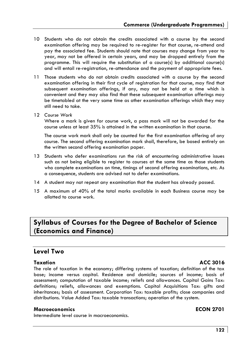- 10 Students who do not obtain the credits associated with a course by the second examination offering may be required to re-register for that course, re-attend and pay the associated fee. Students should note that courses may change from year to year, may not be offered in certain years, and may be dropped entirely from the programme. This will require the substitution of a course(s) by additional course(s) and will entail re-registration, re-attendance and the payment of appropriate fees.
- 11 Those students who do not obtain credits associated with a course by the second examination offering in their first cycle of registration for that course, may find that subsequent examination offerings, if any, may not be held at a time which is convenient and they may also find that these subsequent examination offerings may be timetabled at the very same time as other examination offerings which they may still need to take.
- 12 *Course Work*

Where a mark is given for course work, a pass mark will not be awarded for the course unless at least 35% is attained in the written examination in that course.

The course work mark shall only be counted for the first examination offering of any course. The second offering examination mark shall, therefore, be based entirely on the written second offering examination paper.

- 13 Students who defer examinations run the risk of encountering administrative issues such as not being eligible to register to courses at the same time as those students who complete examinations on time, timings of second offering examinations, etc. As a consequence, students are advised not to defer examinations.
- 14 A student may not repeat any examination that the student has already passed.
- 15 A maximum of 40% of the total marks available in each Business course may be allotted to course work.

# **Syllabus of Courses for the Degree of Bachelor of Science (Economics and Finance)**

# **Level Two**

**Taxation** ACC 3016

The role of taxation in the economy; differing systems of taxation; definition of the tax base; income versus capital. Residence and domicile; sources of income; basis of assessment; computation of taxable income; reliefs and allowances. Capital Gains Tax: definitions; reliefs, allowances and exemptions. Capital Acquisitions Tax: gifts and inheritances; basis of assessment. Corporation Tax: taxable profits; close companies and distributions. Value Added Tax: taxable transactions; operation of the system.

### **Macroeconomics ECON 2701**

Intermediate level course in macroeconomics.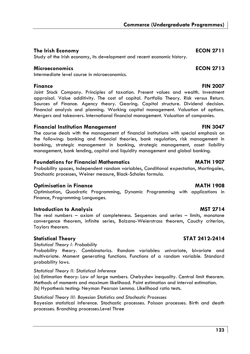## **The Irish Economy ECON 2711**

Study of the Irish economy, its development and recent economic history.

### **Microeconomics ECON 2713**

Intermediate level course in microeconomics.

### **Finance FIN 2007**

Joint Stock Company. Principles of taxation. Present values and wealth. Investment appraisal. Value additivity. The cost of capital. Portfolio Theory. Risk versus Return. Sources of Finance. Agency theory. Gearing. Capital structure. Dividend decision. Financial analysis and planning. Working capital management. Valuation of options. Mergers and takeovers. International financial management. Valuation of companies.

### **Financial Institution Management FIN 3047**

The course deals with the management of financial institutions with special emphasis on the following: banking and financial theories, bank regulation, risk management in banking, strategic management in banking, strategic management, asset liability management, bank lending, capital and liquidity management and global banking.

### **Foundations for Financial Mathematics MATH 1907**

Probability spaces, Independent random variables, Conditional expectation, Martingales, Stochastic processes, Weiner measure, Black-Scholes formula.

### **Optimisation in Finance MATH 1908**

Optimisation, Quadratic Programming, Dynamic Programming with applications in Finance, Programming Languages.

### **Introduction to Analysis** MST 2714

The real numbers – axiom of completeness. Sequences and series – limits, monotone convergence theorem, infinite series, Bolzano-Weierstrass theorem, Cauchy criterion, Taylors theorem.

### Statistical Theory **STAT 2412-2414**

*Statistical Theory I: Probability* 

Probability theory. Combinatorics. Random variables: univariate, bivariate and multivariate. Moment generating functions. Functions of a random variable. Standard probability laws.

### *Statistical Theory II: Statistical Inference*

(a) Estimation theory: Law of large numbers. Chebyshev inequality. Central limit theorem. Methods of moments and maximum likelihood. Point estimation and interval estimation. (b) Hypothesis testing: Neyman Pearson Lemma. Likelihood ratio tests.

### *Statistical Theory III: Bayesian Statistics and Stochastic Processes*

Bayesian statistical inference. Stochastic processes. Poisson processes. Birth and death processes. Branching processes.Level Three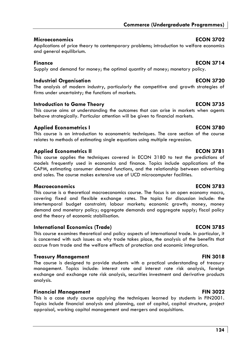### **Microeconomics ECON 3702**

Applications of price theory to contemporary problems; introduction to welfare economics and general equilibrium.

### **Finance Example 2714**

Supply and demand for money; the optimal quantity of money; monetary policy.

## **Industrial Organisation ECON 3720**

The analysis of modern industry, particularly the competitive and growth strategies of firms under uncertainty; the functions of markets.

### **Introduction to Game Theory <b>ECON 3735**

This course aims at understanding the outcomes that can arise in markets when agents behave strategically. Particular attention will be given to financial markets.

### **Applied Econometrics I and ECON 3780**

This course is an introduction to econometric techniques. The core section of the course relates to methods of estimating single equations using multiple regression.

## **Applied Econometrics II ECON 3781**

This course applies the techniques covered in ECON 3180 to test the predictions of models frequently used in economics and finance. Topics include applications of the CAPM, estimating consumer demand functions, and the relationship between advertising and sales. The course makes extensive use of UCD microcomputer facilities.

### **Macroeconomics ECON 3783**

This course is a theoretical macroeconomics course. The focus is on open economy macro, covering fixed and flexible exchange rates. The topics for discussion include: the intertemporal budget constraint; labour markets; economic growth; money, money demand and monetary policy; aggregate demands and aggregate supply; fiscal policy and the theory of economic stabilisation.

### **International Economics (Trade) ECON 3785**

This course examines theoretical and policy aspects of international trade. In particular, it is concerned with such issues as why trade takes place, the analysis of the benefits that accrue from trade and the welfare effects of protection and economic integration.

### **Treasury Management Communist Communist Communist Communist Communist Communist Communist Communist Communist Communist Communist Communist Communist Communist Communist Communist Communist Communist Communist Communist C**

The course is designed to provide students with a practical understanding of treasury management. Topics include: interest rate and interest rate risk analysis, foreign exchange and exchange rate risk analysis, securities investment and derivative products analysis.

# **Financial Management FIN 3022**

This is a case study course applying the techniques learned by students in FIN2001. Topics include financial analysis and planning, cost of capital, capital structure, project appraisal, working capital management and mergers and acquisitions.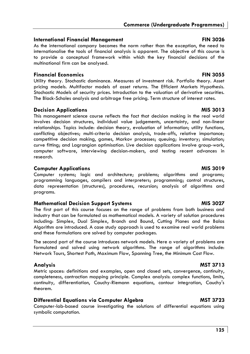### **International Financial Management FIN 3026**

As the international company becomes the norm rather than the exception, the need to internationalise the tools of financial analysis is apparent. The objective of this course is to provide a conceptual framework within which the key financial decisions of the multinational firm can be analysed.

### **Financial Economics FIN 3055**

Utility theory. Stochastic dominance. Measures of investment risk. Portfolio theory. Asset pricing models. Multifactor models of asset returns. The Efficient Markets Hypothesis. Stochastic Models of security prices. Introduction to the valuation of derivative securities. The Black-Scholes analysis and arbitrage free pricing. Term structure of interest rates.

### **Decision Applications MIS 3013**

This management science course reflects the fact that decision making in the real world involves decision structures, individual value judgements, uncertainty, and non-linear relationships. Topics include: decision theory, evaluation of information; utility functions, conflicting objectives; multi-criteria decision analysis, trade-offs, relative importance; competitive decision making, games, Markov processes; queuing; inventory; simulation; curve fitting; and Lagrangian optimisation. Live decision applications involve group-work, computer software, interviewing decision-makers, and testing recent advances in research.

### **Computer Applications and Computer Applications and Computer Applications and Computer Applications and Computer Applications and Computer Applications and Computer Applications and Computer Applications and Computer Appl**

Computer systems; logic and architecture; problems; algorithms and programs; programming languages, compilers and interpreters; programming; control structures, data representation (structures), procedures, recursion; analysis of algorithms and programs.

### **Mathematical Decision Support Systems MIS 3027 MIS 3027**

The first part of this course focuses on the range of problems from both business and industry that can be formulated as mathematical models. A variety of solution procedures including: Simplex, Dual Simplex, Branch and Bound, Cutting Planes and the Balas Algorithm are introduced. A case study approach is used to examine real world problems and these formulations are solved by computer packages.

The second part of the course introduces network models. Here a variety of problems are formulated and solved using network algorithms. The range of algorithms include: Network Tours, Shortest Path, Maximum Flow, Spanning Tree, the Minimum Cost Flow.

Metric spaces: definitions and examples, open and closed sets, convergence, continuity, completeness, contraction mapping principle. Complex analysis: complex functions, limits, continuity, differentiation, Cauchy-Riemann equations, contour integration, Cauchy's theorem.

# **Differential Equations via Computer Algebra** MST 3723

Computer-lab-based course investigating the solutions of differential equations using symbolic computation.

# **Analysis MST 3713**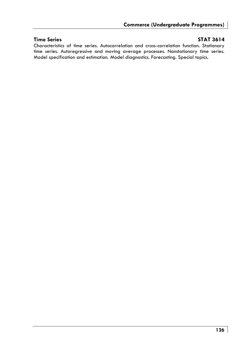### **Time Series States STAT 3614**

Characteristics of time series. Autocorrelation and cross-correlation function. Stationary time series. Autoregressive and moving average processes. Nonstationary time series. Model specification and estimation. Model diagnostics. Forecasting. Special topics.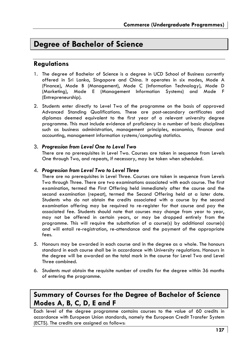# **Degree of Bachelor of Science**

# **Regulations**

- 1. The degree of Bachelor of Science is a degree in UCD School of Business currently offered in Sri Lanka, Singapore and China. It operates in six modes, Mode A (Finance), Mode B (Management), Mode C (Information Technology), Mode D (Marketing), Mode E (Management Information Systems) and Mode F (Entrepreneurship).
- 2. Students enter directly to Level Two of the programme on the basis of approved Advanced Standing Qualifications. These are post-secondary certificates and diplomas deemed equivalent to the first year of a relevant university degree programme. This must include evidence of proficiency in a number of basic disciplines such as business administration, management principles, economics, finance and accounting, management information systems/computing statistics.

### 3. *Progression from Level One to Level Two*

There are no prerequisites in Level Two. Courses are taken in sequence from Levels One through Two, and repeats, if necessary, may be taken when scheduled.

### 4. *Progression from Level Two to Level Three*

There are no prerequisites in Level Three. Courses are taken in sequence from Levels Two through Three. There are two examinations associated with each course. The first examination, termed the First Offering held immediately after the course and the second examination (repeat), termed the Second Offering held at a later date. Students who do not obtain the credits associated with a course by the second examination offering may be required to re-register for that course and pay the associated fee. Students should note that courses may change from year to year, may not be offered in certain years, or may be dropped entirely from the programme. This will require the substitution of a course(s) by additional course(s) and will entail re-registration, re-attendance and the payment of the appropriate fees.

- 5. Honours may be awarded in each course and in the degree as a whole. The honours standard in each course shall be in accordance with University regulations. Honours in the degree will be awarded on the total mark in the course for Level Two and Level Three combined.
- 6. Students must obtain the requisite number of credits for the degree within 36 months of entering the programme.

# **Summary of Courses for the Degree of Bachelor of Science Modes A, B, C, D, E and F**

Each level of the degree programme contains courses to the value of 60 credits in accordance with European Union standards, namely the European Credit Transfer System (ECTS). The credits are assigned as follows: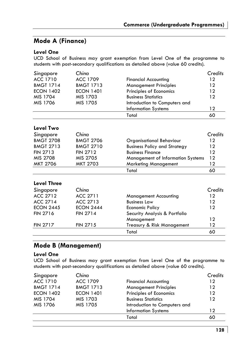# **Mode A (Finance)**

### **Level One**

UCD School of Business may grant exemption from Level One of the programme to students with post-secondary qualifications as detailed above (value 60 credits).

| Singapore          | Chino            |                                     | Credits |
|--------------------|------------------|-------------------------------------|---------|
| ACC 1710           | <b>ACC 1709</b>  | <b>Financial Accounting</b>         | 12      |
| <b>BMGT 1714</b>   | <b>BMGT 1713</b> | <b>Management Principles</b>        | 12      |
| <b>ECON 1402</b>   | <b>ECON 1401</b> | Principles of Economics             | 12      |
| MIS 1704           | MIS 1703         | <b>Business Statistics</b>          | 12      |
| MIS 1706           | MIS 1705         | Introduction to Computers and       |         |
|                    |                  | <b>Information Systems</b>          | 12      |
|                    |                  | Total                               | 60      |
| Level Two          |                  |                                     |         |
| Singapore          | Chino            |                                     | Credits |
| <b>BMGT 2708</b>   | <b>BMGT 2706</b> | Organisational Behaviour            | 12      |
| <b>BMGT 2713</b>   | <b>BMGT 2710</b> | <b>Business Policy and Strategy</b> | 12      |
| <b>FIN 2713</b>    | <b>FIN 2712</b>  | <b>Business Finance</b>             | 12      |
| MIS 2708           | MIS 2705         | Management of Information Systems   | 12      |
| <b>MKT 2706</b>    | MKT 2703         | <b>Marketing Management</b>         | 12      |
|                    |                  | Total                               | 60      |
| <b>Level Three</b> |                  |                                     |         |
| Singapore          | Chino            |                                     | Credits |
| <b>ACC 2712</b>    | ACC 2711         | <b>Management Accounting</b>        | 12      |
| <b>ACC 2714</b>    | ACC 2713         | <b>Business Law</b>                 | 12      |
| <b>ECON 2445</b>   | <b>ECON 2444</b> | Economic Policy                     | 12      |
| FIN 2716           | <b>FIN 2714</b>  | Security Analysis & Portfolio       |         |
|                    |                  | Management                          | 12      |
| <b>FIN 2717</b>    | <b>FIN 2715</b>  | Treasury & Risk Management          | 12      |
|                    |                  | Total                               | 60      |

## **Mode B (Management)**

### **Level One**

UCD School of Business may grant exemption from Level One of the programme to students with post-secondary qualifications as detailed above (value 60 credits).

| Singapore        | China            |                               | Credits |
|------------------|------------------|-------------------------------|---------|
| ACC 1710         | ACC 1709         | <b>Financial Accounting</b>   | 12      |
| <b>BMGT 1714</b> | <b>BMGT 1713</b> | <b>Management Principles</b>  | 12      |
| <b>ECON 1402</b> | <b>ECON 1401</b> | Principles of Economics       | 12      |
| MIS 1704         | MIS 1703         | <b>Business Statistics</b>    | 12      |
| MIS 1706         | MIS 1705         | Introduction to Computers and |         |
|                  |                  | <b>Information Systems</b>    | 12      |
|                  |                  | Total                         | 60      |
|                  |                  |                               |         |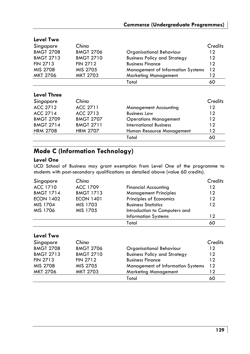# **Commerce (Undergraduate Programmes)**

| Level Two        |                  |                                          |         |
|------------------|------------------|------------------------------------------|---------|
| Singapore        | China            |                                          | Credits |
| <b>BMGT 2708</b> | <b>BMGT 2706</b> | Organisational Behaviour                 | 12      |
| <b>BMGT 2713</b> | <b>BMGT 2710</b> | <b>Business Policy and Strategy</b>      | 12      |
| <b>FIN 2713</b>  | <b>FIN 2712</b>  | <b>Business Finance</b>                  | 12      |
| MIS 2708         | MIS 2705         | <b>Management of Information Systems</b> | 12      |
| MKT 2706         | MKT 2703         | <b>Marketing Management</b>              | 12      |
|                  |                  | Total                                    | 60      |
| Level Three      |                  |                                          |         |
| Singapore        | Chino            |                                          | Credits |
| ACC 2712         | ACC 2711         | <b>Management Accounting</b>             | 12      |
| ACC 2714         | ACC 2713         | <b>Business Law</b>                      | 12      |
| <b>BMGT 2709</b> | <b>BMGT 2707</b> | <b>Operations Management</b>             | 12      |
| <b>BMGT 2714</b> | <b>BMGT 2711</b> | International Business                   | 12      |
| <b>HRM 2708</b>  | <b>HRM 2707</b>  | Human Resource Management                | 12      |
|                  |                  | Total                                    | 60      |

# **Mode C (Information Technology)**

### **Level One**

UCD School of Business may grant exemption from Level One of the programme to students with post-secondary qualifications as detailed above (value 60 credits).

| Singapore        | China            |                               | Credits |
|------------------|------------------|-------------------------------|---------|
| ACC 1710         | ACC 1709         | <b>Financial Accounting</b>   | 12      |
| <b>BMGT 1714</b> | <b>BMGT 1713</b> | <b>Management Principles</b>  | 12      |
| <b>ECON 1402</b> | <b>ECON 1401</b> | Principles of Economics       | 12      |
| MIS 1704         | MIS 1703         | <b>Business Statistics</b>    | 12      |
| MIS 1706         | MIS 1705         | Introduction to Computers and |         |
|                  |                  | <b>Information Systems</b>    | 12      |
|                  |                  | Total                         |         |

| Level Two |  |
|-----------|--|
|-----------|--|

| Singapore        | China            |                                     | Credits |
|------------------|------------------|-------------------------------------|---------|
| <b>BMGT 2708</b> | <b>BMGT 2706</b> | Organisational Behaviour            | 12      |
| <b>BMGT 2713</b> | <b>BMGT 2710</b> | <b>Business Policy and Strategy</b> | 12      |
| <b>FIN 2713</b>  | <b>FIN 2712</b>  | <b>Business Finance</b>             | 12      |
| MIS 2708         | MIS 2705         | Management of Information Systems   | 12      |
| MKT 2706         | MKT 2703         | <b>Marketing Management</b>         | 12      |
|                  |                  | Total                               | 60      |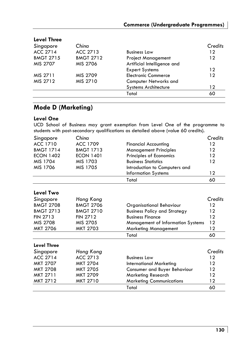# **Commerce (Undergraduate Programmes)**

| Level Three      |                  |                             |         |
|------------------|------------------|-----------------------------|---------|
| Singapore        | China            |                             | Credits |
| ACC 2714         | ACC 2713         | <b>Business Law</b>         | 12      |
| <b>BMGT 2715</b> | <b>BMGT 2712</b> | <b>Project Management</b>   | 12      |
| MIS 2707         | MIS 2706         | Artificial Intelligence and |         |
|                  |                  | <b>Expert Systems</b>       | 12      |
| MIS 2711         | MIS 2709         | <b>Electronic Commerce</b>  | 12      |
| MIS 2712         | MIS 2710         | Computer Networks and       |         |
|                  |                  | <b>Systems Architecture</b> | 12      |
|                  |                  | Total                       | 60      |
|                  |                  |                             |         |

# **Level Three**

# **Mode D (Marketing)**

### **Level One**

UCD School of Business may grant exemption from Level One of the programme to students with post-secondary qualifications as detailed above (value 60 credits).

| Singapore        | China            |                               | Credits |
|------------------|------------------|-------------------------------|---------|
| ACC 1710         | ACC 1709         | <b>Financial Accounting</b>   | 12      |
| <b>BMGT 1714</b> | <b>BMGT 1713</b> | <b>Management Principles</b>  | 12      |
| <b>ECON 1402</b> | <b>ECON 1401</b> | Principles of Economics       | $12 \,$ |
| MIS 1704         | MIS 1703         | <b>Business Statistics</b>    | 12      |
| MIS 1706         | MIS 1705         | Introduction to Computers and |         |
|                  |                  | <b>Information Systems</b>    | 12      |
|                  |                  | Total                         | 60      |

## **Level Two**

| Singapore          | Hong Kong        |                                     | Credits |
|--------------------|------------------|-------------------------------------|---------|
| <b>BMGT 2708</b>   | <b>BMGT 2706</b> | Organisational Behaviour            | 12      |
| <b>BMGT 2713</b>   | <b>BMGT 2710</b> | <b>Business Policy and Strategy</b> | 12      |
| <b>FIN 2713</b>    | <b>FIN 2712</b>  | <b>Business Finance</b>             | 12      |
| MIS 2708           | MIS 2705         | Management of Information Systems   | 12      |
| <b>MKT 2706</b>    | <b>MKT 2703</b>  | <b>Marketing Management</b>         | 12      |
|                    |                  | Total                               | 60      |
| <b>Level Three</b> |                  |                                     |         |

| Singapore       | Hong Kong       |                                 | Credits |
|-----------------|-----------------|---------------------------------|---------|
| ACC 2714        | ACC 2713        | <b>Business Law</b>             | 12      |
| MKT 2707        | MKT 2704        | <b>International Marketing</b>  | 12      |
| <b>MKT 2708</b> | <b>MKT 2705</b> | Consumer and Buyer Behaviour    | 12      |
| MKT 2711        | MKT 2709        | Marketing Research              | 12      |
| MKT 2712        | MKT 2710        | <b>Marketing Communications</b> | 12      |
|                 |                 | Total                           | 60      |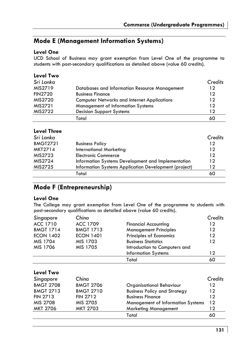# **Mode E (Management Information Systems)**

### **Level One**

UCD School of Business may grant exemption from Level One of the programme to students with post-secondary qualifications as detailed above (value 60 credits).

### **Level Two**

| Sri Lanka      |                                                    | Credits |
|----------------|----------------------------------------------------|---------|
| MIS2719        | Databases and Information Resource Management      | 12      |
| <b>FIN2720</b> | <b>Business Finance</b>                            | 12      |
| MIS2720        | <b>Computer Networks and Internet Applications</b> | 12      |
| MIS2721        | <b>Management of Information Systems</b>           | 12      |
| MIS2722        | <b>Decision Support Systems</b>                    | 12      |
|                | Total                                              | 60      |

# **Level Three**

| Sri Lanka       |                                                       | Credits |
|-----------------|-------------------------------------------------------|---------|
| <b>BMGT2721</b> | <b>Business Policy</b>                                | 12      |
| <b>MKT2714</b>  | International Marketing                               | 12      |
| MIS2723         | <b>Electronic Commerce</b>                            | 12      |
| MIS2724         | Information Systems Development and Implementation    | 12      |
| MIS2725         | Information Systems Application Development (project) | 12      |
|                 | Total                                                 | 60      |

# **Mode F (Entrepreneurship)**

### **Level One**

The College may grant exemption from Level One of the programme to students with post-secondary qualifications as detailed above (value 60 credits).

| Singapore        | Chino            |                                          | Credits |
|------------------|------------------|------------------------------------------|---------|
| ACC 1710         | ACC 1709         | <b>Financial Accounting</b>              | 12      |
| <b>BMGT 1714</b> | <b>BMGT 1713</b> | <b>Management Principles</b>             | 12      |
| <b>ECON 1402</b> | <b>ECON 1401</b> | Principles of Economics                  | 12      |
| MIS 1704         | MIS 1703         | <b>Business Statistics</b>               | 12      |
| MIS 1706         | MIS 1705         | Introduction to Computers and            |         |
|                  |                  | <b>Information Systems</b>               | $12 \,$ |
|                  |                  | Total                                    | 60      |
| Level Two        |                  |                                          |         |
| Singapore        | China            |                                          | Credits |
| <b>BMGT 2708</b> | <b>BMGT 2706</b> | Organisational Behaviour                 | 12      |
| <b>BMGT 2713</b> | <b>BMGT 2710</b> | <b>Business Policy and Strategy</b>      | 12      |
| <b>FIN 2713</b>  | <b>FIN 2712</b>  | <b>Business Finance</b>                  | 12      |
| MIS 2708         | MIS 2705         | <b>Management of Information Systems</b> | 12      |
| <b>MKT 2706</b>  | <b>MKT 2703</b>  | <b>Marketing Management</b>              | 12      |
|                  |                  | Total                                    | 60      |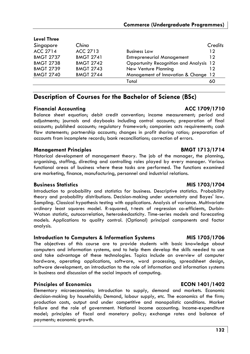### **Level Three**

| Singapore        | China            |                                         | Credits |
|------------------|------------------|-----------------------------------------|---------|
| ACC 2714         | ACC 2713         | <b>Business Law</b>                     | 12      |
| <b>BMGT 2737</b> | <b>BMGT 2741</b> | <b>Entrepreneurial Management</b>       | 12      |
| <b>BMGT 2738</b> | <b>BMGT 2742</b> | Opportunity Recognition and Analysis 12 |         |
| <b>BMGT 2739</b> | <b>BMGT 2743</b> | New Venture Planning                    | 12      |
| <b>BMGT 2740</b> | <b>BMGT 2744</b> | Management of Innovation & Change 12    |         |
|                  |                  | Total                                   | 60      |

# **Description of Courses for the Bachelor of Science (BSc)**

### **Financial Accounting ACC 1709/1710**

Balance sheet equation; debit credit convention; income measurement; period and adjustments; journals and daybooks including control accounts; preparation of final accounts; published accounts; regulatory framework; companies acts requirements; cash flow statements; partnership accounts; changes in profit sharing ratios; preparation of accounts from incomplete records; bank reconciliations; correction of errors.

### **Management Principles BMGT 1713/1714**

Historical development of management theory. The job of the manager, the planning, organising, staffing, directing and controlling roles played by every manager. Various functional areas of business where these tasks are performed. The functions examined are marketing, finance, manufacturing, personnel and industrial relations.

### **Business Statistics MIS 1703/1704**

Introduction to probability and statistics for business. Descriptive statistics. Probability theory and probability distributions. Decision-making under uncertainty and Bayes' law. Sampling. Classical hypothesis testing with applications. Analysis of variance. Multivariate ordinary least squares model. R-squared, t-tests of regression co-efficients, Durbin-Watson statistic, autocorrelation, heteroskedasticity. Time-series models and forecasting models. Applications to quality control. (Optional) principal components and factor analysis.

### **Introduction to Computers & Information Systems MIS 1705/1706**

The objectives of this course are to provide students with basic knowledge about computers and information systems, and to help them develop the skills needed to use and take advantage of these technologies. Topics include an overview of computer hardware, operating applications, software, word processing, spreadsheet design, software development, an introduction to the role of information and information systems in business and discussion of the social impacts of computing.

### **Principles of Economics ECON 1401/1402**

Elementary microeconomics; introduction to supply, demand and markets. Economic decision-making by households; Demand, labour supply, etc. The economics of the firm; production costs, output and under competitive and monopolistic conditions. Market failure and the role of government. National income accounting. Income-expenditure model; principles of fiscal and monetary policy; exchange rates and balance of payments; economic growth.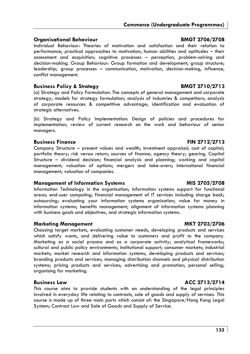### **Organisational Behaviour BMGT 2706/2708**

Individual Behaviour: Theories of motivation and satisfaction and their relation to performance; practical approaches to motivation; human abilities and aptitudes – their assessment and acquisition; cognitive processes – perception, problem-solving and decision-making. Group Behaviour: Group formation and development; group structure; leadership; group processes – communication, motivation, decision-making, influence, conflict management.

### **Business Policy & Strategy BMGT 2710/2713**

(a) Strategy and Policy Formulation: The concepts of general management and corporate strategy; models for strategy formulation; analysis of industries & competitors; analysis of corporate resources & competitive advantage; identification and evaluation of strategic alternatives.

(b) Strategy and Policy Implementation: Design of policies and procedures for implementation; review of current research on the work and behaviour of senior managers.

### **Business Finance FIN 2712/2713**

Company Structure – present values and wealth; investment appraisal; cost of capital; portfolio theory; risk versus return; sources of finance; agency theory; gearing. Capital Structure – dividend decision; financial analysis and planning; working and capital management; valuation of options; mergers and take-overs; international financial management; valuation of companies.

### **Management of Information Systems MIS 2705/2708**

Information Technology in the organisation; information systems support for functional areas; end-user computing; financial management of IT services including charge back; outsourcing; evaluating your information systems organisation; value for money in information systems; benefits management; alignment of information systems planning with business goals and objectives, and strategic information systems.

### **Marketing Management MKT 2703/2706**

Choosing target markets, evaluating customer needs, developing products and services which satisfy wants, and delivering value to customers and profit to the company. Marketing as a social process and as a corporate activity; analytical frameworks; cultural and public policy environments; institutional support; consumer markets; industrial markets; market research and information systems; developing products and services; branding products and services; managing distribution channels and physical distribution systems; pricing products and services; advertising and promotion; personal selling; organising for marketing.

### **Business Law ACC 2713/2714**

This course aims to provide students with an understanding of the legal principles involved in everyday life relating to contracts, sale of goods and supply of services. This course is made up of three main parts which consist of: the Singapore/Hong Kong Legal System; Contract Law and Sale of Goods and Supply of Service.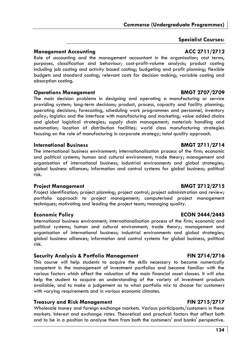# **Specialist Courses:**

# **Management Accounting ACC 2711/2712**

Role of accounting and the management accountant in the organisation; cost terms, purposes, classification and behaviour; cost-profit-volume analysis; product costing including job costing and activity based costing; budgeting and profit planning; flexible budgets and standard costing; relevant costs for decision making; variable costing and absorption costing.

### **Operations Management Communications Apple 2707/2709**

The main decision problems in designing and operating a manufacturing or service providing system; long-term decisions; product, process, capacity and facility planning; operating decisions; forecasting, scheduling work programmes and personnel, inventory policy; logistics and the interface with manufacturing and marketing; value added chains and global logistical strategies; supply chain management; materials handling and automation; location of distribution facilities; world class manufacturing strategies focusing on the role of manufacturing in corporate strategy; total quality approach.

### **International Business BMGT 2711/2714**

The international business environment; internationalisation process of the firm; economic and political systems; human and cultural environment; trade theory; management and organisation of international business; industrial environments and global strategies; global business alliances; information and control systems for global business; political risk.

### **Project Management BMGT 2712/2715**

Project identification; project planning; project control; project administration and review; portfolio approach to project management; computerised project management techniques; motivating and leading the project team; managing quality.

International business environment; internationalisation process of the firm; economic and political systems; human and cultural environment; trade theory; management and organisation of international business; industrial environments and global strategies; global business alliances; information and control systems for global business, political risk.

### **Security Analysis & Portfolio Management FIN 2714/2716**

This course will help students to acquire the skills necessary to become numerically competent in the management of investment portfolios and become familiar with the various factors which affect the valuation of the main financial asset classes. It will also help the student to acquire an understanding of the variety of investment products available, and to make a judgement as to what portfolio mix to choose for customers with varying requirements and in various economic climates.

### **Treasury and Risk Management FIN 2715/2717**

Wholesale money and foreign exchange markets. Various participants/customers in these markets. Interest and exchange rates. Theoretical and practical factors that affect both and to be in a position to analyse them from both the customers' and banks' perspective.

### **Economic Policy ECON 2444/2445**

### **134**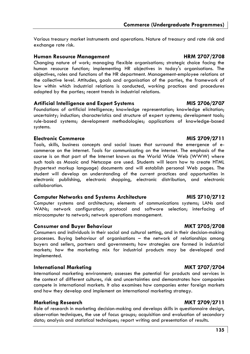Various treasury market instruments and operations. Nature of treasury and rate risk and exchange rate risk.

### **Human Resource Management HRM 2707/2708**

Changing nature of work; managing flexible organisations; strategic choice facing the human resource function; implementing HR objectives in today's organisations. The objectives, roles and functions of the HR department. Management-employee relations at the collective level. Attitudes, goals and organisation of the parties, the framework of law within which industrial relations is conducted, working practices and procedures adopted by the parties; recent trends in industrial relations.

### **Artificial Intelligence and Expert Systems MIS 2706/2707**

Foundations of artificial intelligence; knowledge representation; knowledge elicitation; uncertainty; induction; characteristics and structure of expert systems; development tools; rule-based systems; development methodologies; applications of knowledge-based systems.

### **Electronic Commerce MIS 2709/2711**

Tools, skills, business concepts and social issues that surround the emergence of ecommerce on the internet. Tools for communicating on the internet. The emphasis of the course is on that part of the Internet known as the World Wide Web (WWW) where such tools as Mosaic and Netscape are used. Students will learn how to create HTML (hypertext markup language) documents and will establish personal Web pages. The student will develop an understanding of the current practices and opportunities in electronic publishing, electronic shopping, electronic distribution, and electronic collaboration.

### **Computer Networks and Systems Architecture MIS 2710/2712**

Computer systems and architecture; elements of communications systems; LANs and WANs; network configuration; protocol and software selection; interfacing of microcomputer to network; network operations management.

### **Consumer and Buyer Behaviour MKT 2705/2708**

Consumers and individuals in their social and cultural setting, and in their decision-making processes. Buying behaviour of organisations – the network of relationships among buyers and sellers, partners and governments; how strategies are formed in industrial markets; how the marketing mix for industrial products may be developed and implemented.

### **International Marketing MKT 2707/2704**

International marketing environment; assesses the potential for products and services in the context of different cultures, risk and uncertainties and demonstrates how companies compete in international markets. It also examines how companies enter foreign markets and how they develop and implement an international marketing strategy.

### **Marketing Research MKT 2709/2711**

Role of research in marketing decision-making and develops skills in questionnaire design, observation techniques, the use of focus groups; acquisition and evaluation of secondary data; analysis and statistical techniques; report writing and presentation of results.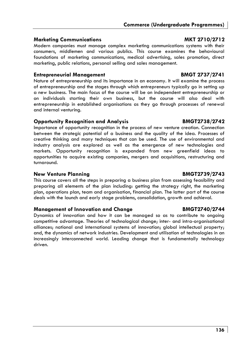### **Marketing Communications MKT 2710/2712**

Modern companies must manage complex marketing communications systems with their consumers, middlemen and various publics. This course examines the behavioural foundations of marketing communications, medical advertising, sales promotion, direct marketing, public relations, personal selling and sales management.

### **Entrepreneurial Management BMGT 2737/2741**

Nature of entrepreneurship and its importance in an economy. It will examine the process of entrepreneurship and the stages through which entrepreneurs typically go in setting up a new business. The main focus of the course will be on independent entrepreneurship or on individuals starting their own business, but the course will also deal with entrepreneurship in established organisations as they go through processes of renewal and internal venturing.

### **Opportunity Recognition and Analysis BMGT2738/2742**

Importance of opportunity recognition in the process of new venture creation. Connection between the strategic potential of a business and the quality of the idea. Processes of creative thinking and many techniques that can be used. The use of environmental and industry analysis are explored as well as the emergence of new technologies and markets. Opportunity recognition is expanded from new greenfield ideas to opportunities to acquire existing companies, mergers and acquisitions, restructuring and turnaround.

### **New Venture Planning Community Community BMGT2739/2743**

This course covers all the steps in preparing a business plan from assessing feasibility and preparing all elements of the plan including: getting the strategy right, the marketing plan, operations plan, team and organisation, financial plan. The latter part of the course deals with the launch and early stage problems, consolidation, growth and achieval.

### **Management of Innovation and Change BMGT2740/2744**

Dynamics of innovation and how it can be managed so as to contribute to ongoing competitive advantage. Theories of technological change; inter- and intra-organisational alliances; national and international systems of innovation; global intellectual property; and, the dynamics of network industries. Development and utilisation of technologies in an increasingly interconnected world. Leading change that is fundamentally technology driven.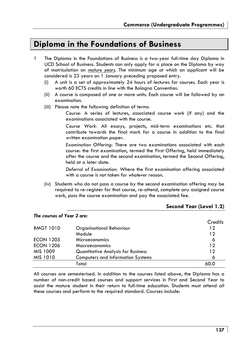# **Diploma in the Foundations of Business**

- 1 The Diploma in the Foundations of Business is a two-year full-time day Diploma in UCD School of Business. Students can only apply for a place on the Diploma by way of matriculation on *mature years*. The minimum age at which an applicant will be considered is 23 years on 1 January preceding proposed entry.
	- (i) A unit is a set of approximately 24 hours of lectures for courses. Each year is worth 60 ECTS credits in line with the Bologna Convention.
	- (ii) A course is composed of one or more units. Each course will be followed by an examination.
	- (iii) Please note the following definition of terms:

*Course:* A series of lectures, associated course work (if any) and the examinations associated with the course.

*Course Work:* All essays, projects, mid-term examinations etc. that contribute towards the final mark for a course in addition to the final written examination paper.

*Examination Offering:* There are two examinations associated with each course: the first examination, termed the First Offering, held immediately after the course and the second examination, termed the Second Offering, held at a later date.

*Deferral of Examination:* Where the first examination offering associated with a course is not taken for *whatever reason*.

(iv) Students who do not pass a course by the second examination offering may be required to re-register for that course, re-attend, complete any assigned course work, pass the course examination and pay the associated fee.

| The courses of Year 2 are: |                                           |         |
|----------------------------|-------------------------------------------|---------|
|                            |                                           | Credits |
| <b>BMGT 1010</b>           | Organisational Behaviour                  | 12      |
|                            | Module                                    | 12      |
| <b>ECON 1205</b>           | Microeconomics                            | 6       |
| <b>ECON 1206</b>           | Macroeconomics                            | 12      |
| MIS 1009                   | <b>Quantitative Analysis for Business</b> | 12      |
| MIS 1010                   | <b>Computers and Information Systems</b>  | 6       |
|                            | Total                                     | 60.0    |

### **Second Year (Level 1.2)**

All courses are semesterised. In addition to the courses listed above, the Diploma has a number of non-credit based courses and support services in First and Second Year to assist the mature student in their return to full-time education. Students must attend all these courses and perform to the required standard. Courses include: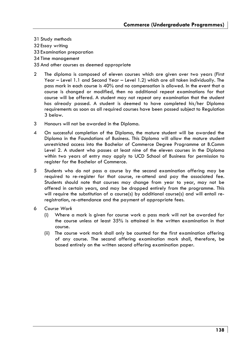31 Study methods

- 32 Essay writing
- 33 Examination preparation
- 34 Time management
- 35 And other courses as deemed appropriate
- 2 The diploma is composed of eleven courses which are given over two years (First Year – Level 1.1 and Second Year – Level 1.2) which are all taken individually. The pass mark in each course is 40% and no compensation is allowed. In the event that a course is changed or modified, then no additional repeat examinations for that course will be offered. A student may not repeat any examination that the student has already passed. A student is deemed to have completed his/her Diploma requirements as soon as all required courses have been passed subject to Regulation 3 below.
- 3 Honours will not be awarded in the Diploma.
- 4 On successful completion of the Diploma, the mature student will be awarded the Diploma in the Foundations of Business. This Diploma will allow the mature student unrestricted access into the Bachelor of Commerce Degree Programme at B.Comm Level 2. A student who passes at least nine of the eleven courses in the Diploma within two years of entry may apply to UCD School of Business for permission to register for the Bachelor of Commerce.
- 5 Students who do not pass a course by the second examination offering may be required to re-register for that course, re-attend and pay the associated fee. Students should note that courses may change from year to year, may not be offered in certain years, and may be dropped entirely from the programme. This will require the substitution of a course(s) by additional course(s) and will entail reregistration, re-attendance and the payment of appropriate fees.
- 6 *Course Work*
	- (i) Where a mark is given for course work a pass mark will not be awarded for the course unless at least 35% is attained in the written examination in that course.
	- (ii) The course work mark shall only be counted for the first examination offering of any course. The second offering examination mark shall, therefore, be based entirely on the written second offering examination paper.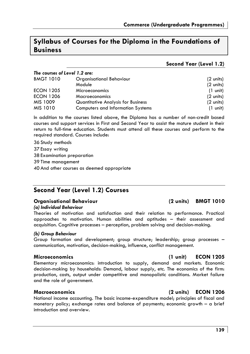# **Syllabus of Courses for the Diploma in the Foundations of Business**

### **Second Year (Level 1.2)**

| The courses of Level 1.2 are: |                                    |                     |
|-------------------------------|------------------------------------|---------------------|
| <b>BMGT 1010</b>              | Organisational Behaviour           | $(2 \text{ units})$ |
|                               | Module                             | $(2 \text{ units})$ |
| <b>ECON 1205</b>              | Microeconomics                     | $(1 \text{ unit})$  |
| <b>ECON 1206</b>              | Macroeconomics                     | (2 units)           |
| MIS 1009                      | Quantitative Analysis for Business | $(2 \text{ units})$ |
| MIS 1010                      | Computers and Information Systems  | $(1 \text{ unit})$  |

In addition to the courses listed above, the Diploma has a number of non-credit based courses and support services in First and Second Year to assist the mature student in their return to full-time education. Students must attend all these courses and perform to the required standard. Courses include:

36 Study methods

37 Essay writing

38 Examination preparation

39 Time management

40 And other courses as deemed appropriate

# **Second Year (Level 1.2) Courses**

### **Organisational Behaviour (2 units) BMGT 1010**

### *(a) Individual Behaviour*

Theories of motivation and satisfaction and their relation to performance. Practical approaches to motivation. Human abilities and aptitudes – their assessment and acquisition. Cognitive processes – perception, problem solving and decision-making.

### *(b) Group Behaviour*

Group formation and development; group structure; leadership; group processes – communication, motivation, decision-making, influence, conflict management.

### **Microeconomics (1 unit) ECON 1205**

Elementary microeconomics: introduction to supply, demand and markets. Economic decision-making by households: Demand, labour supply, etc. The economics of the firm: production, costs, output under competitive and monopolistic conditions. Market failure and the role of government.

National income accounting. The basic income-expenditure model; principles of fiscal and monetary policy; exchange rates and balance of payments; economic growth – a brief introduction and overview.

### **Macroeconomics (2 units) ECON 1206**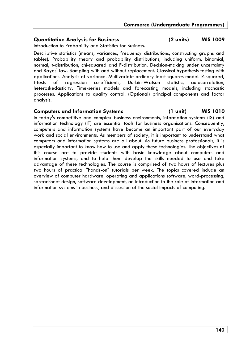# **Quantitative Analysis for Business (2 units) MIS 1009**

Introduction to Probability and Statistics for Business.

Descriptive statistics (means, variances, frequency distributions, constructing graphs and tables). Probability theory and probability distributions, including uniform, binomial, normal, t-distribution, chi-squared and F-distribution. Decision-making under uncertainty and Bayes' law. Sampling with and without replacement. Classical hypothesis testing with applications. Analysis of variance. Multivariate ordinary least squares model. R-squared, t-tests of regression co-efficients, Durbin-Watson statistic, autocorrelation, heteroskedasticity. Time-series models and forecasting models, including stochastic processes. Applications to quality control. (Optional) principal components and factor analysis.

### **Computers and Information Systems (1 unit) MIS 1010**

In today's competitive and complex business environments, information systems (IS) and information technology (IT) are essential tools for business organisations. Consequently, computers and information systems have become an important part of our everyday work and social environments. As members of society, it is important to understand what computers and information systems are all about. As future business professionals, it is especially important to know how to use and apply these technologies. The objectives of this course are to provide students with basic knowledge about computers and information systems, and to help them develop the skills needed to use and take advantage of these technologies. The course is comprised of two hours of lectures plus two hours of practical "hands-on" tutorials per week. The topics covered include an overview of computer hardware, operating and applications software, word-processing, spreadsheet design, software development, an introduction to the role of information and information systems in business, and discussion of the social impacts of computing.

### **140**